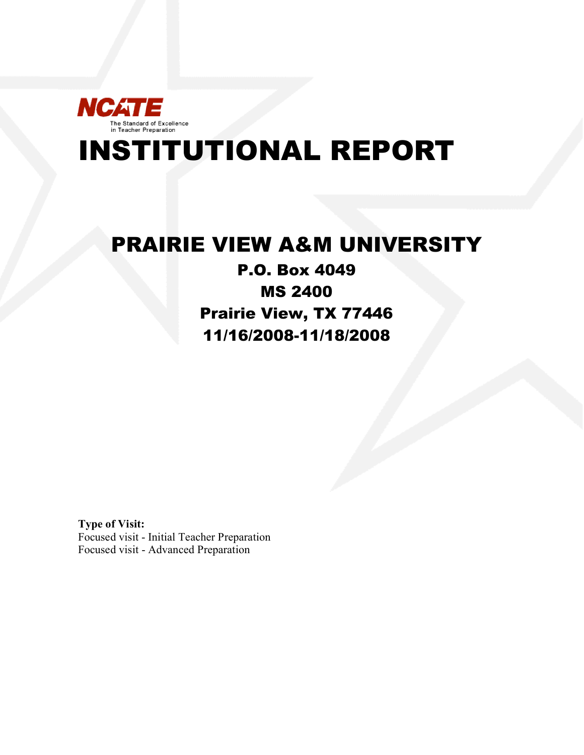

# INSTITUTIONAL REPORT

## PRAIRIE VIEW A&M UNIVERSITY

## P.O. Box 4049 MS 2400 Prairie View, TX 77446 11/16/2008-11/18/2008

**Type of Visit:** Focused visit - Initial Teacher Preparation Focused visit - Advanced Preparation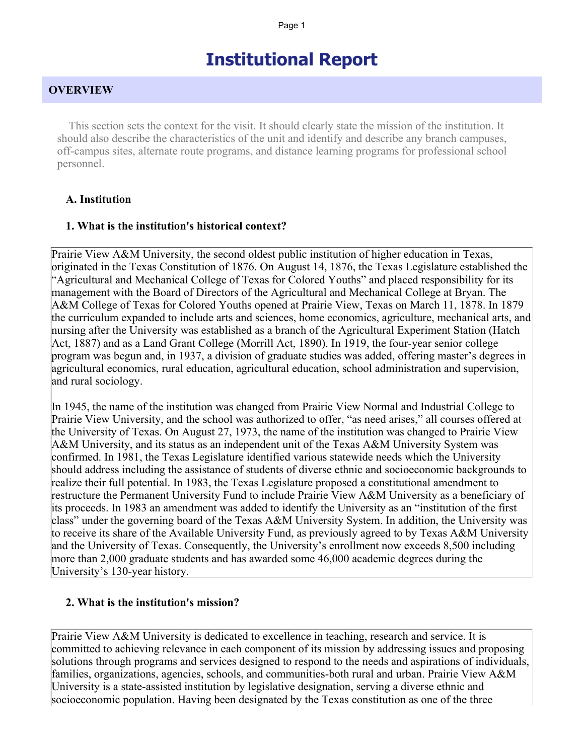## **Institutional Report**

#### **OVERVIEW**

 This section sets the context for the visit. It should clearly state the mission of the institution. It should also describe the characteristics of the unit and identify and describe any branch campuses, off-campus sites, alternate route programs, and distance learning programs for professional school personnel.

#### **A. Institution**

#### **1. What is the institution's historical context?**

Prairie View A&M University, the second oldest public institution of higher education in Texas, originated in the Texas Constitution of 1876. On August 14, 1876, the Texas Legislature established the "Agricultural and Mechanical College of Texas for Colored Youths" and placed responsibility for its management with the Board of Directors of the Agricultural and Mechanical College at Bryan. The A&M College of Texas for Colored Youths opened at Prairie View, Texas on March 11, 1878. In 1879 the curriculum expanded to include arts and sciences, home economics, agriculture, mechanical arts, and nursing after the University was established as a branch of the Agricultural Experiment Station (Hatch Act, 1887) and as a Land Grant College (Morrill Act, 1890). In 1919, the four-year senior college program was begun and, in 1937, a division of graduate studies was added, offering master's degrees in agricultural economics, rural education, agricultural education, school administration and supervision, and rural sociology.

In 1945, the name of the institution was changed from Prairie View Normal and Industrial College to Prairie View University, and the school was authorized to offer, "as need arises," all courses offered at the University of Texas. On August 27, 1973, the name of the institution was changed to Prairie View A&M University, and its status as an independent unit of the Texas A&M University System was confirmed. In 1981, the Texas Legislature identified various statewide needs which the University should address including the assistance of students of diverse ethnic and socioeconomic backgrounds to realize their full potential. In 1983, the Texas Legislature proposed a constitutional amendment to restructure the Permanent University Fund to include Prairie View A&M University as a beneficiary of its proceeds. In 1983 an amendment was added to identify the University as an "institution of the first class" under the governing board of the Texas A&M University System. In addition, the University was to receive its share of the Available University Fund, as previously agreed to by Texas A&M University and the University of Texas. Consequently, the University's enrollment now exceeds 8,500 including more than 2,000 graduate students and has awarded some 46,000 academic degrees during the University's 130-year history.

#### **2. What is the institution's mission?**

Prairie View A&M University is dedicated to excellence in teaching, research and service. It is committed to achieving relevance in each component of its mission by addressing issues and proposing solutions through programs and services designed to respond to the needs and aspirations of individuals, families, organizations, agencies, schools, and communities-both rural and urban. Prairie View A&M University is a state-assisted institution by legislative designation, serving a diverse ethnic and socioeconomic population. Having been designated by the Texas constitution as one of the three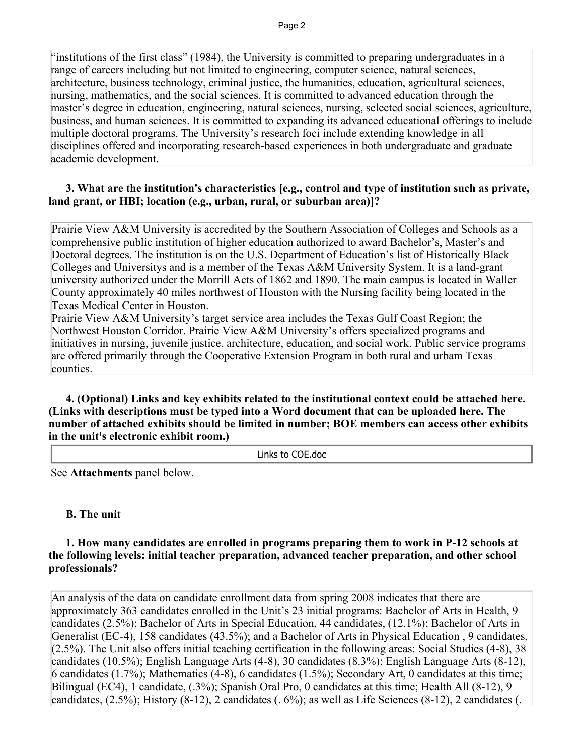"institutions of the first class" (1984), the University is committed to preparing undergraduates in a range of careers including but not limited to engineering, computer science, natural sciences, architecture, business technology, criminal justice, the humanities, education, agricultural sciences, nursing, mathematics, and the social sciences. It is committed to advanced education through the master's degree in education, engineering, natural sciences, nursing, selected social sciences, agriculture, business, and human sciences. It is committed to expanding its advanced educational offerings to include multiple doctoral programs. The University's research foci include extending knowledge in all disciplines offered and incorporating research-based experiences in both undergraduate and graduate academic development.

#### **3. What are the institution's characteristics [e.g., control and type of institution such as private, land grant, or HBI; location (e.g., urban, rural, or suburban area)]?**

Prairie View A&M University is accredited by the Southern Association of Colleges and Schools as a comprehensive public institution of higher education authorized to award Bachelor's, Master's and Doctoral degrees. The institution is on the U.S. Department of Education's list of Historically Black Colleges and Universitys and is a member of the Texas A&M University System. It is a land-grant university authorized under the Morrill Acts of 1862 and 1890. The main campus is located in Waller County approximately 40 miles northwest of Houston with the Nursing facility being located in the Texas Medical Center in Houston.

Prairie View A&M University's target service area includes the Texas Gulf Coast Region; the Northwest Houston Corridor. Prairie View A&M University's offers specialized programs and initiatives in nursing, juvenile justice, architecture, education, and social work. Public service programs are offered primarily through the Cooperative Extension Program in both rural and urbam Texas counties.

 **4. (Optional) Links and key exhibits related to the institutional context could be attached here. (Links with descriptions must be typed into a Word document that can be uploaded here. The number of attached exhibits should be limited in number; BOE members can access other exhibits in the unit's electronic exhibit room.)**

Links to COE.doc

See **Attachments** panel below.

#### **B. The unit**

#### **1. How many candidates are enrolled in programs preparing them to work in P-12 schools at the following levels: initial teacher preparation, advanced teacher preparation, and other school professionals?**

An analysis of the data on candidate enrollment data from spring 2008 indicates that there are approximately 363 candidates enrolled in the Unit's 23 initial programs: Bachelor of Arts in Health, 9 candidates (2.5%); Bachelor of Arts in Special Education, 44 candidates, (12.1%); Bachelor of Arts in Generalist (EC-4), 158 candidates (43.5%); and a Bachelor of Arts in Physical Education , 9 candidates, (2.5%). The Unit also offers initial teaching certification in the following areas: Social Studies (4-8), 38 candidates (10.5%); English Language Arts (4-8), 30 candidates (8.3%); English Language Arts (8-12), 6 candidates (1.7%); Mathematics (4-8), 6 candidates (1.5%); Secondary Art, 0 candidates at this time; Bilingual (EC4), 1 candidate, (.3%); Spanish Oral Pro, 0 candidates at this time; Health All (8-12), 9 candidates, (2.5%); History (8-12), 2 candidates (. 6%); as well as Life Sciences (8-12), 2 candidates (.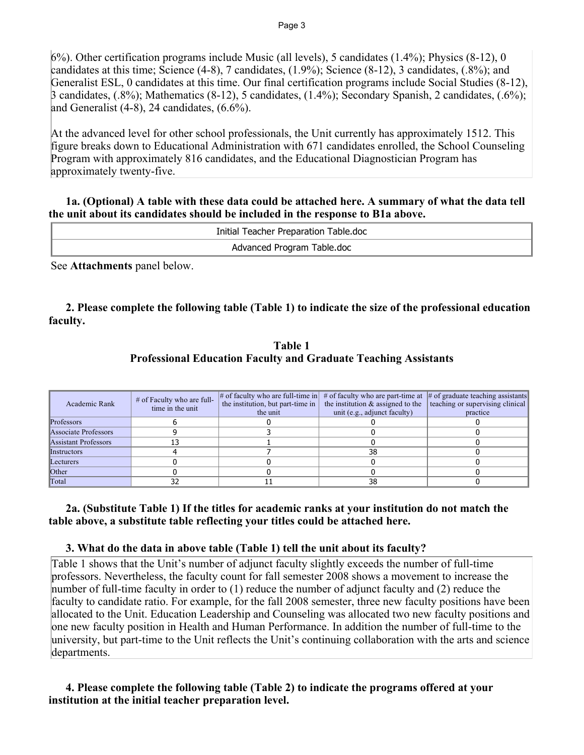6%). Other certification programs include Music (all levels), 5 candidates (1.4%); Physics (8-12), 0 candidates at this time; Science (4-8), 7 candidates, (1.9%); Science (8-12), 3 candidates, (.8%); and Generalist ESL, 0 candidates at this time. Our final certification programs include Social Studies (8-12), 3 candidates, (.8%); Mathematics (8-12), 5 candidates, (1.4%); Secondary Spanish, 2 candidates, (.6%); and Generalist  $(4-8)$ , 24 candidates,  $(6.6\%)$ .

At the advanced level for other school professionals, the Unit currently has approximately 1512. This figure breaks down to Educational Administration with 671 candidates enrolled, the School Counseling Program with approximately 816 candidates, and the Educational Diagnostician Program has approximately twenty-five.

#### **1a. (Optional) A table with these data could be attached here. A summary of what the data tell the unit about its candidates should be included in the response to B1a above.**

| Initial Teacher Preparation Table.doc |
|---------------------------------------|
| Advanced Program Table.doc            |

See **Attachments** panel below.

## **2. Please complete the following table (Table 1) to indicate the size of the professional education faculty.**

| Table 1                                                                |  |
|------------------------------------------------------------------------|--|
| <b>Professional Education Faculty and Graduate Teaching Assistants</b> |  |

| Academic Rank        | $#$ of Faculty who are full-<br>time in the unit | the institution, but part-time in<br>the unit | # of faculty who are full-time in $\#$ of faculty who are part-time at $\#$ of graduate teaching assistants<br>the institution $\&$ assigned to the $\ $ teaching or supervising clinical<br>unit (e.g., adjunct faculty) | practice |
|----------------------|--------------------------------------------------|-----------------------------------------------|---------------------------------------------------------------------------------------------------------------------------------------------------------------------------------------------------------------------------|----------|
| Professors           |                                                  |                                               |                                                                                                                                                                                                                           |          |
| Associate Professors |                                                  |                                               |                                                                                                                                                                                                                           |          |
| Assistant Professors |                                                  |                                               |                                                                                                                                                                                                                           |          |
| Instructors          |                                                  |                                               | 38                                                                                                                                                                                                                        |          |
| Lecturers            |                                                  |                                               |                                                                                                                                                                                                                           |          |
| <b>Other</b>         |                                                  |                                               |                                                                                                                                                                                                                           |          |
| Total                |                                                  |                                               | 38                                                                                                                                                                                                                        |          |

## **2a. (Substitute Table 1) If the titles for academic ranks at your institution do not match the table above, a substitute table reflecting your titles could be attached here.**

## **3. What do the data in above table (Table 1) tell the unit about its faculty?**

Table 1 shows that the Unit's number of adjunct faculty slightly exceeds the number of full-time professors. Nevertheless, the faculty count for fall semester 2008 shows a movement to increase the number of full-time faculty in order to (1) reduce the number of adjunct faculty and (2) reduce the faculty to candidate ratio. For example, for the fall 2008 semester, three new faculty positions have been allocated to the Unit. Education Leadership and Counseling was allocated two new faculty positions and one new faculty position in Health and Human Performance. In addition the number of full-time to the university, but part-time to the Unit reflects the Unit's continuing collaboration with the arts and science departments.

## **4. Please complete the following table (Table 2) to indicate the programs offered at your institution at the initial teacher preparation level.**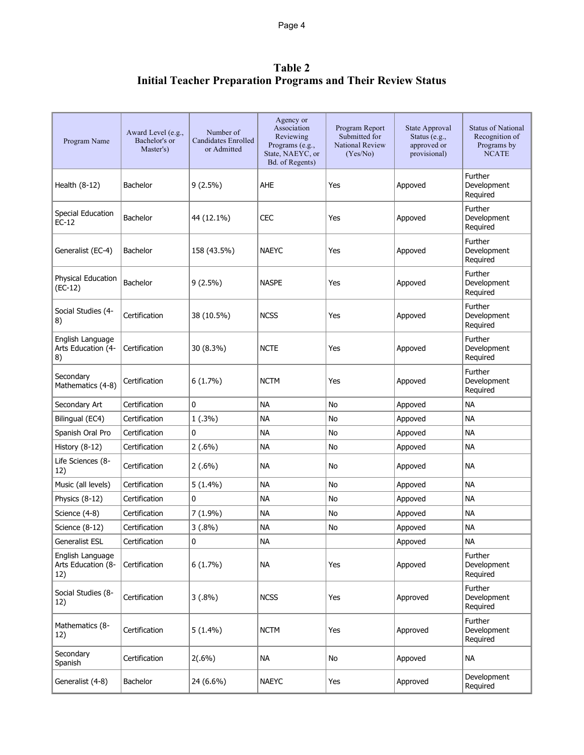Page 4

## **Table 2 Initial Teacher Preparation Programs and Their Review Status**

| Program Name                                  | Award Level (e.g.,<br>Bachelor's or<br>Master's) | Number of<br><b>Candidates Enrolled</b><br>or Admitted | Agency or<br>Association<br>Reviewing<br>Programs (e.g.,<br>State, NAEYC, or<br>Bd. of Regents) | Program Report<br>Submitted for<br><b>National Review</b><br>(Yes/No) | State Approval<br>Status (e.g.,<br>approved or<br>provisional) | <b>Status of National</b><br>Recognition of<br>Programs by<br><b>NCATE</b> |
|-----------------------------------------------|--------------------------------------------------|--------------------------------------------------------|-------------------------------------------------------------------------------------------------|-----------------------------------------------------------------------|----------------------------------------------------------------|----------------------------------------------------------------------------|
| Health $(8-12)$                               | <b>Bachelor</b>                                  | $9(2.5\%)$                                             | AHE                                                                                             | Yes                                                                   | Appoved                                                        | Further<br>Development<br>Required                                         |
| Special Education<br>$EC-12$                  | <b>Bachelor</b>                                  | 44 (12.1%)                                             | <b>CEC</b>                                                                                      | Yes                                                                   | Appoved                                                        | Further<br>Development<br>Required                                         |
| Generalist (EC-4)                             | <b>Bachelor</b>                                  | 158 (43.5%)                                            | <b>NAEYC</b>                                                                                    | Yes                                                                   | Appoved                                                        | Further<br>Development<br>Required                                         |
| Physical Education<br>$(EC-12)$               | <b>Bachelor</b>                                  | $9(2.5\%)$                                             | <b>NASPE</b>                                                                                    | Yes                                                                   | Appoved                                                        | Further<br>Development<br>Required                                         |
| Social Studies (4-<br>8)                      | Certification                                    | 38 (10.5%)                                             | <b>NCSS</b>                                                                                     | Yes                                                                   | Appoved                                                        | Further<br>Development<br>Required                                         |
| English Language<br>Arts Education (4-<br>8)  | Certification                                    | 30 (8.3%)                                              | <b>NCTE</b>                                                                                     | Yes                                                                   | Appoved                                                        | Further<br>Development<br>Required                                         |
| Secondary<br>Mathematics (4-8)                | Certification                                    | $6(1.7\%)$                                             | <b>NCTM</b>                                                                                     | Yes                                                                   | Appoved                                                        | Further<br>Development<br>Required                                         |
| Secondary Art                                 | Certification                                    | 0                                                      | <b>NA</b>                                                                                       | No                                                                    | Appoved                                                        | <b>NA</b>                                                                  |
| Bilingual (EC4)                               | Certification                                    | 1(.3%)                                                 | <b>NA</b>                                                                                       | No                                                                    | Appoved                                                        | <b>NA</b>                                                                  |
| Spanish Oral Pro                              | Certification                                    | 0                                                      | <b>NA</b>                                                                                       | No                                                                    | Appoved                                                        | <b>NA</b>                                                                  |
| History $(8-12)$                              | Certification                                    | $2(.6\%)$                                              | <b>NA</b>                                                                                       | No                                                                    | Appoved                                                        | <b>NA</b>                                                                  |
| Life Sciences (8-<br>12)                      | Certification                                    | $2(.6\%)$                                              | <b>NA</b>                                                                                       | No                                                                    | Appoved                                                        | <b>NA</b>                                                                  |
| Music (all levels)                            | Certification                                    | 5 (1.4%)                                               | <b>NA</b>                                                                                       | No                                                                    | Appoved                                                        | <b>NA</b>                                                                  |
| Physics (8-12)                                | Certification                                    | 0                                                      | <b>NA</b>                                                                                       | No                                                                    | Appoved                                                        | <b>NA</b>                                                                  |
| Science (4-8)                                 | Certification                                    | 7 (1.9%)                                               | NА                                                                                              | No                                                                    | Appoved                                                        | <b>NA</b>                                                                  |
| Science (8-12)                                | Certification                                    | $3(.8\%)$                                              | <b>NA</b>                                                                                       | No                                                                    | Appoved                                                        | <b>NA</b>                                                                  |
| Generalist ESL                                | Certification                                    | 0                                                      | <b>NA</b>                                                                                       |                                                                       | Appoved                                                        | <b>NA</b>                                                                  |
| English Language<br>Arts Education (8-<br>12) | Certification                                    | $6(1.7\%)$                                             | <b>NA</b>                                                                                       | Yes                                                                   | Appoved                                                        | Further<br>Development<br>Required                                         |
| Social Studies (8-<br>12)                     | Certification                                    | $3(.8\%)$                                              | <b>NCSS</b>                                                                                     | Yes                                                                   | Approved                                                       | Further<br>Development<br>Required                                         |
| Mathematics (8-<br>12)                        | Certification                                    | $5(1.4\%)$                                             | <b>NCTM</b>                                                                                     | Yes                                                                   | Approved                                                       | Further<br>Development<br>Required                                         |
| Secondary<br>Spanish                          | Certification                                    | $2(.6\%)$                                              | <b>NA</b>                                                                                       | No                                                                    | Appoved                                                        | <b>NA</b>                                                                  |
| Generalist (4-8)                              | Bachelor                                         | 24 (6.6%)                                              | <b>NAEYC</b>                                                                                    | Yes                                                                   | Approved                                                       | Development<br>Required                                                    |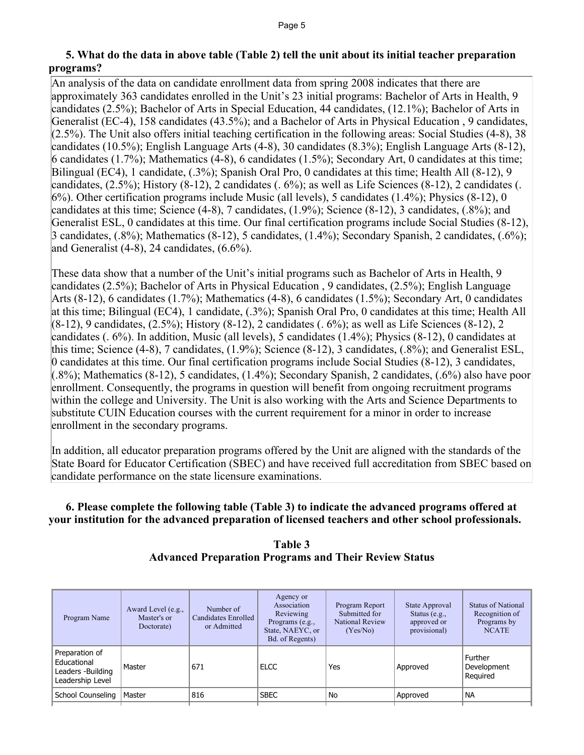#### **5. What do the data in above table (Table 2) tell the unit about its initial teacher preparation programs?**

An analysis of the data on candidate enrollment data from spring 2008 indicates that there are approximately 363 candidates enrolled in the Unit's 23 initial programs: Bachelor of Arts in Health, 9 candidates (2.5%); Bachelor of Arts in Special Education, 44 candidates, (12.1%); Bachelor of Arts in Generalist (EC-4), 158 candidates (43.5%); and a Bachelor of Arts in Physical Education , 9 candidates, (2.5%). The Unit also offers initial teaching certification in the following areas: Social Studies (4-8), 38 candidates (10.5%); English Language Arts (4-8), 30 candidates (8.3%); English Language Arts (8-12), 6 candidates (1.7%); Mathematics (4-8), 6 candidates (1.5%); Secondary Art, 0 candidates at this time; Bilingual (EC4), 1 candidate, (.3%); Spanish Oral Pro, 0 candidates at this time; Health All (8-12), 9 candidates, (2.5%); History (8-12), 2 candidates (. 6%); as well as Life Sciences (8-12), 2 candidates (. 6%). Other certification programs include Music (all levels), 5 candidates (1.4%); Physics (8-12), 0 candidates at this time; Science (4-8), 7 candidates, (1.9%); Science (8-12), 3 candidates, (.8%); and Generalist ESL, 0 candidates at this time. Our final certification programs include Social Studies (8-12), 3 candidates, (.8%); Mathematics (8-12), 5 candidates, (1.4%); Secondary Spanish, 2 candidates, (.6%); and Generalist  $(4-8)$ , 24 candidates,  $(6.6\%)$ .

These data show that a number of the Unit's initial programs such as Bachelor of Arts in Health, 9 candidates (2.5%); Bachelor of Arts in Physical Education , 9 candidates, (2.5%); English Language Arts (8-12), 6 candidates (1.7%); Mathematics (4-8), 6 candidates (1.5%); Secondary Art, 0 candidates at this time; Bilingual (EC4), 1 candidate, (.3%); Spanish Oral Pro, 0 candidates at this time; Health All (8-12), 9 candidates, (2.5%); History (8-12), 2 candidates (. 6%); as well as Life Sciences (8-12), 2 candidates (. 6%). In addition, Music (all levels), 5 candidates (1.4%); Physics (8-12), 0 candidates at this time; Science (4-8), 7 candidates, (1.9%); Science (8-12), 3 candidates, (.8%); and Generalist ESL, 0 candidates at this time. Our final certification programs include Social Studies (8-12), 3 candidates,  $(0.8\%)$ ; Mathematics (8-12), 5 candidates, (1.4%); Secondary Spanish, 2 candidates, (.6%) also have poor enrollment. Consequently, the programs in question will benefit from ongoing recruitment programs within the college and University. The Unit is also working with the Arts and Science Departments to substitute CUIN Education courses with the current requirement for a minor in order to increase enrollment in the secondary programs.

In addition, all educator preparation programs offered by the Unit are aligned with the standards of the State Board for Educator Certification (SBEC) and have received full accreditation from SBEC based on candidate performance on the state licensure examinations.

## **6. Please complete the following table (Table 3) to indicate the advanced programs offered at your institution for the advanced preparation of licensed teachers and other school professionals.**

| <b>Table 3</b>                                               |
|--------------------------------------------------------------|
| <b>Advanced Preparation Programs and Their Review Status</b> |

| Program Name                                                           | Award Level (e.g.,<br>Master's or<br>Doctorate) | Number of<br>Candidates Enrolled<br>or Admitted | Agency or<br>Association<br>Reviewing<br>Programs (e.g.,<br>State, NAEYC, or<br>Bd. of Regents) | Program Report<br>Submitted for<br><b>National Review</b><br>(Yes/No) | State Approval<br>Status $(e.g.,$<br>approved or<br>provisional) | <b>Status of National</b><br>Recognition of<br>Programs by<br><b>NCATE</b> |
|------------------------------------------------------------------------|-------------------------------------------------|-------------------------------------------------|-------------------------------------------------------------------------------------------------|-----------------------------------------------------------------------|------------------------------------------------------------------|----------------------------------------------------------------------------|
| Preparation of<br>Educational<br>Leaders -Building<br>Leadership Level | Master                                          | 671                                             | <b>ELCC</b>                                                                                     | Yes                                                                   | Approved                                                         | Further<br>Development<br>Required                                         |
| School Counseling                                                      | Master                                          | 816                                             | <b>SBEC</b>                                                                                     | No                                                                    | Approved                                                         | <b>NA</b>                                                                  |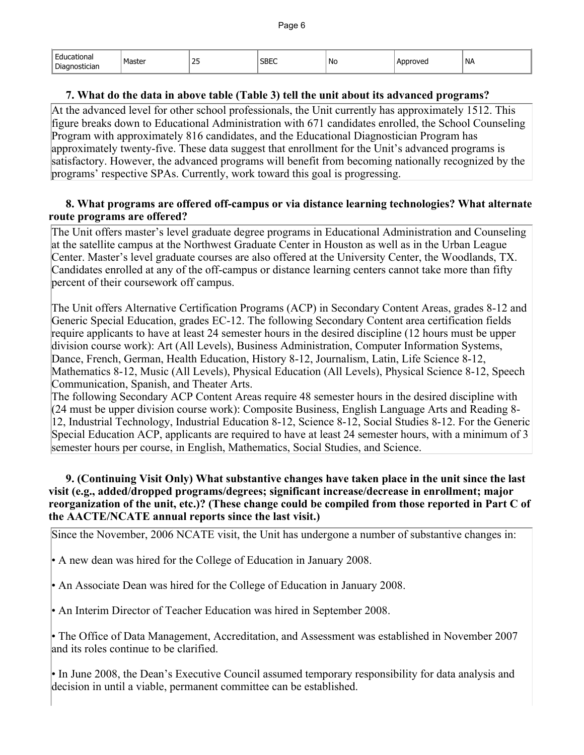| $ -$<br>Educational | Master | つに | <b>SBEC</b> | .No | Approved | <b>NA</b> |
|---------------------|--------|----|-------------|-----|----------|-----------|
| Diagnostician       |        | بے |             |     |          |           |

#### **7. What do the data in above table (Table 3) tell the unit about its advanced programs?**

At the advanced level for other school professionals, the Unit currently has approximately 1512. This figure breaks down to Educational Administration with 671 candidates enrolled, the School Counseling Program with approximately 816 candidates, and the Educational Diagnostician Program has approximately twenty-five. These data suggest that enrollment for the Unit's advanced programs is satisfactory. However, the advanced programs will benefit from becoming nationally recognized by the programs' respective SPAs. Currently, work toward this goal is progressing.

#### **8. What programs are offered off-campus or via distance learning technologies? What alternate route programs are offered?**

The Unit offers master's level graduate degree programs in Educational Administration and Counseling at the satellite campus at the Northwest Graduate Center in Houston as well as in the Urban League Center. Master's level graduate courses are also offered at the University Center, the Woodlands, TX. Candidates enrolled at any of the off-campus or distance learning centers cannot take more than fifty percent of their coursework off campus.

The Unit offers Alternative Certification Programs (ACP) in Secondary Content Areas, grades 8-12 and Generic Special Education, grades EC-12. The following Secondary Content area certification fields require applicants to have at least 24 semester hours in the desired discipline (12 hours must be upper division course work): Art (All Levels), Business Administration, Computer Information Systems, Dance, French, German, Health Education, History 8-12, Journalism, Latin, Life Science 8-12, Mathematics 8-12, Music (All Levels), Physical Education (All Levels), Physical Science 8-12, Speech Communication, Spanish, and Theater Arts.

The following Secondary ACP Content Areas require 48 semester hours in the desired discipline with (24 must be upper division course work): Composite Business, English Language Arts and Reading 8- 12, Industrial Technology, Industrial Education 8-12, Science 8-12, Social Studies 8-12. For the Generic Special Education ACP, applicants are required to have at least 24 semester hours, with a minimum of 3 semester hours per course, in English, Mathematics, Social Studies, and Science.

#### **9. (Continuing Visit Only) What substantive changes have taken place in the unit since the last visit (e.g., added/dropped programs/degrees; significant increase/decrease in enrollment; major reorganization of the unit, etc.)? (These change could be compiled from those reported in Part C of the AACTE/NCATE annual reports since the last visit.)**

Since the November, 2006 NCATE visit, the Unit has undergone a number of substantive changes in:

• A new dean was hired for the College of Education in January 2008.

• An Associate Dean was hired for the College of Education in January 2008.

• An Interim Director of Teacher Education was hired in September 2008.

• The Office of Data Management, Accreditation, and Assessment was established in November 2007 and its roles continue to be clarified.

• In June 2008, the Dean's Executive Council assumed temporary responsibility for data analysis and decision in until a viable, permanent committee can be established.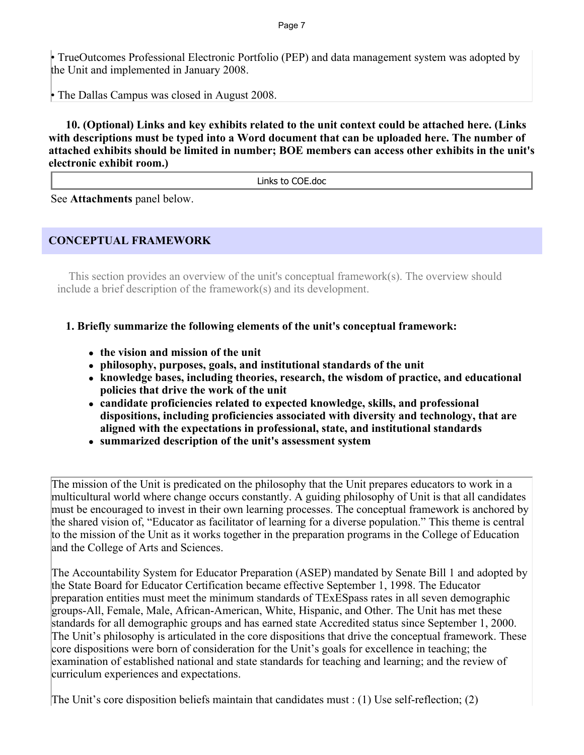• TrueOutcomes Professional Electronic Portfolio (PEP) and data management system was adopted by the Unit and implemented in January 2008.

• The Dallas Campus was closed in August 2008.

 **10. (Optional) Links and key exhibits related to the unit context could be attached here. (Links with descriptions must be typed into a Word document that can be uploaded here. The number of attached exhibits should be limited in number; BOE members can access other exhibits in the unit's electronic exhibit room.)**

Links to COE.doc

See **Attachments** panel below.

## **CONCEPTUAL FRAMEWORK**

This section provides an overview of the unit's conceptual framework $(s)$ . The overview should include a brief description of the framework(s) and its development.

**1. Briefly summarize the following elements of the unit's conceptual framework:** 

- ! **the vision and mission of the unit**
- ! **philosophy, purposes, goals, and institutional standards of the unit**
- ! **knowledge bases, including theories, research, the wisdom of practice, and educational policies that drive the work of the unit**
- ! **candidate proficiencies related to expected knowledge, skills, and professional dispositions, including proficiencies associated with diversity and technology, that are aligned with the expectations in professional, state, and institutional standards**
- ! **summarized description of the unit's assessment system**

The mission of the Unit is predicated on the philosophy that the Unit prepares educators to work in a multicultural world where change occurs constantly. A guiding philosophy of Unit is that all candidates must be encouraged to invest in their own learning processes. The conceptual framework is anchored by the shared vision of, "Educator as facilitator of learning for a diverse population." This theme is central to the mission of the Unit as it works together in the preparation programs in the College of Education and the College of Arts and Sciences.

The Accountability System for Educator Preparation (ASEP) mandated by Senate Bill 1 and adopted by the State Board for Educator Certification became effective September 1, 1998. The Educator preparation entities must meet the minimum standards of TExESpass rates in all seven demographic groups-All, Female, Male, African-American, White, Hispanic, and Other. The Unit has met these standards for all demographic groups and has earned state Accredited status since September 1, 2000. The Unit's philosophy is articulated in the core dispositions that drive the conceptual framework. These core dispositions were born of consideration for the Unit's goals for excellence in teaching; the examination of established national and state standards for teaching and learning; and the review of curriculum experiences and expectations.

The Unit's core disposition beliefs maintain that candidates must : (1) Use self-reflection; (2)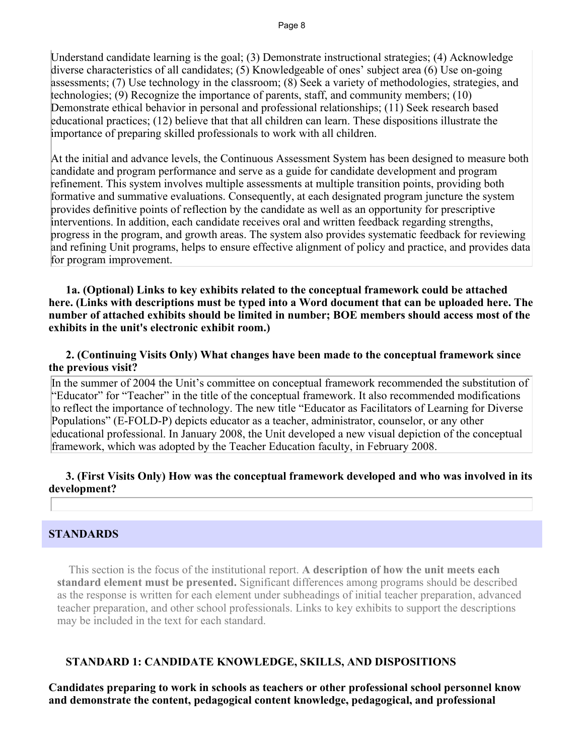Understand candidate learning is the goal; (3) Demonstrate instructional strategies; (4) Acknowledge diverse characteristics of all candidates; (5) Knowledgeable of ones' subject area (6) Use on-going assessments; (7) Use technology in the classroom; (8) Seek a variety of methodologies, strategies, and technologies; (9) Recognize the importance of parents, staff, and community members; (10) Demonstrate ethical behavior in personal and professional relationships; (11) Seek research based educational practices; (12) believe that that all children can learn. These dispositions illustrate the importance of preparing skilled professionals to work with all children.

At the initial and advance levels, the Continuous Assessment System has been designed to measure both candidate and program performance and serve as a guide for candidate development and program refinement. This system involves multiple assessments at multiple transition points, providing both formative and summative evaluations. Consequently, at each designated program juncture the system provides definitive points of reflection by the candidate as well as an opportunity for prescriptive interventions. In addition, each candidate receives oral and written feedback regarding strengths, progress in the program, and growth areas. The system also provides systematic feedback for reviewing and refining Unit programs, helps to ensure effective alignment of policy and practice, and provides data for program improvement.

 **1a. (Optional) Links to key exhibits related to the conceptual framework could be attached here. (Links with descriptions must be typed into a Word document that can be uploaded here. The number of attached exhibits should be limited in number; BOE members should access most of the exhibits in the unit's electronic exhibit room.)**

#### **2. (Continuing Visits Only) What changes have been made to the conceptual framework since the previous visit?**

In the summer of 2004 the Unit's committee on conceptual framework recommended the substitution of "Educator" for "Teacher" in the title of the conceptual framework. It also recommended modifications to reflect the importance of technology. The new title "Educator as Facilitators of Learning for Diverse Populations" (E-FOLD-P) depicts educator as a teacher, administrator, counselor, or any other educational professional. In January 2008, the Unit developed a new visual depiction of the conceptual framework, which was adopted by the Teacher Education faculty, in February 2008.

## **3. (First Visits Only) How was the conceptual framework developed and who was involved in its development?**

#### **STANDARDS**

 This section is the focus of the institutional report. **A description of how the unit meets each standard element must be presented.** Significant differences among programs should be described as the response is written for each element under subheadings of initial teacher preparation, advanced teacher preparation, and other school professionals. Links to key exhibits to support the descriptions may be included in the text for each standard.

#### **STANDARD 1: CANDIDATE KNOWLEDGE, SKILLS, AND DISPOSITIONS**

**Candidates preparing to work in schools as teachers or other professional school personnel know and demonstrate the content, pedagogical content knowledge, pedagogical, and professional**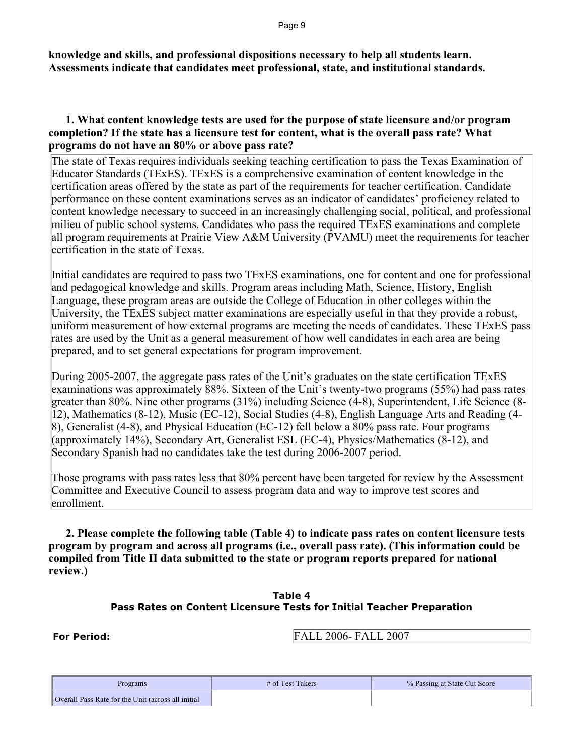Page 9

**knowledge and skills, and professional dispositions necessary to help all students learn. Assessments indicate that candidates meet professional, state, and institutional standards.**

#### **1. What content knowledge tests are used for the purpose of state licensure and/or program completion? If the state has a licensure test for content, what is the overall pass rate? What programs do not have an 80% or above pass rate?**

The state of Texas requires individuals seeking teaching certification to pass the Texas Examination of Educator Standards (TExES). TExES is a comprehensive examination of content knowledge in the certification areas offered by the state as part of the requirements for teacher certification. Candidate performance on these content examinations serves as an indicator of candidates' proficiency related to content knowledge necessary to succeed in an increasingly challenging social, political, and professional milieu of public school systems. Candidates who pass the required TExES examinations and complete all program requirements at Prairie View A&M University (PVAMU) meet the requirements for teacher certification in the state of Texas.

Initial candidates are required to pass two TExES examinations, one for content and one for professional and pedagogical knowledge and skills. Program areas including Math, Science, History, English Language, these program areas are outside the College of Education in other colleges within the University, the TExES subject matter examinations are especially useful in that they provide a robust, uniform measurement of how external programs are meeting the needs of candidates. These TExES pass rates are used by the Unit as a general measurement of how well candidates in each area are being prepared, and to set general expectations for program improvement.

During 2005-2007, the aggregate pass rates of the Unit's graduates on the state certification TExES examinations was approximately 88%. Sixteen of the Unit's twenty-two programs (55%) had pass rates greater than 80%. Nine other programs (31%) including Science (4-8), Superintendent, Life Science (8- 12), Mathematics (8-12), Music (EC-12), Social Studies (4-8), English Language Arts and Reading (4- 8), Generalist (4-8), and Physical Education (EC-12) fell below a 80% pass rate. Four programs (approximately 14%), Secondary Art, Generalist ESL (EC-4), Physics/Mathematics (8-12), and Secondary Spanish had no candidates take the test during 2006-2007 period.

Those programs with pass rates less that 80% percent have been targeted for review by the Assessment Committee and Executive Council to assess program data and way to improve test scores and enrollment.

 **2. Please complete the following table (Table 4) to indicate pass rates on content licensure tests program by program and across all programs (i.e., overall pass rate). (This information could be compiled from Title II data submitted to the state or program reports prepared for national review.)**

#### **Table 4 Pass Rates on Content Licensure Tests for Initial Teacher Preparation**

**For Period:** FALL 2006- FALL 2007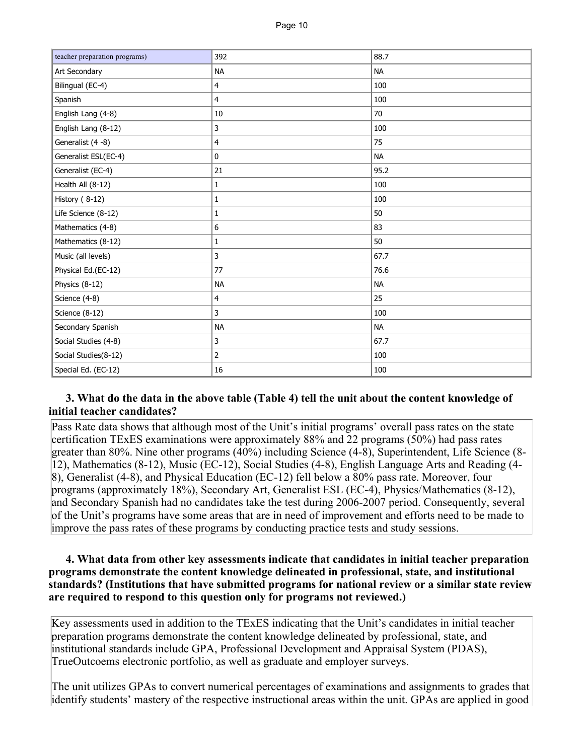| teacher preparation programs) | 392            | 88.7      |
|-------------------------------|----------------|-----------|
| Art Secondary                 | <b>NA</b>      | <b>NA</b> |
| Bilingual (EC-4)              | 4              | 100       |
| Spanish                       | 4              | 100       |
| English Lang (4-8)            | 10             | 70        |
| English Lang (8-12)           | 3              | 100       |
| Generalist (4 -8)             | 4              | 75        |
| Generalist ESL(EC-4)          | 0              | <b>NA</b> |
| Generalist (EC-4)             | 21             | 95.2      |
| Health All (8-12)             | 1              | 100       |
| History (8-12)                | 1              | 100       |
| Life Science (8-12)           | 1              | 50        |
| Mathematics (4-8)             | 6              | 83        |
| Mathematics (8-12)            | 1              | 50        |
| Music (all levels)            | 3              | 67.7      |
| Physical Ed.(EC-12)           | 77             | 76.6      |
| Physics (8-12)                | <b>NA</b>      | <b>NA</b> |
| Science (4-8)                 | 4              | 25        |
| Science (8-12)                | 3              | 100       |
| Secondary Spanish             | <b>NA</b>      | <b>NA</b> |
| Social Studies (4-8)          | 3              | 67.7      |
| Social Studies(8-12)          | $\overline{2}$ | 100       |
| Special Ed. (EC-12)           | 16             | 100       |

## **3. What do the data in the above table (Table 4) tell the unit about the content knowledge of initial teacher candidates?**

Pass Rate data shows that although most of the Unit's initial programs' overall pass rates on the state certification TExES examinations were approximately 88% and 22 programs (50%) had pass rates greater than 80%. Nine other programs (40%) including Science (4-8), Superintendent, Life Science (8- 12), Mathematics (8-12), Music (EC-12), Social Studies (4-8), English Language Arts and Reading (4- 8), Generalist (4-8), and Physical Education (EC-12) fell below a 80% pass rate. Moreover, four programs (approximately 18%), Secondary Art, Generalist ESL (EC-4), Physics/Mathematics (8-12), and Secondary Spanish had no candidates take the test during 2006-2007 period. Consequently, several of the Unit's programs have some areas that are in need of improvement and efforts need to be made to improve the pass rates of these programs by conducting practice tests and study sessions.

#### **4. What data from other key assessments indicate that candidates in initial teacher preparation programs demonstrate the content knowledge delineated in professional, state, and institutional standards? (Institutions that have submitted programs for national review or a similar state review are required to respond to this question only for programs not reviewed.)**

Key assessments used in addition to the TExES indicating that the Unit's candidates in initial teacher preparation programs demonstrate the content knowledge delineated by professional, state, and institutional standards include GPA, Professional Development and Appraisal System (PDAS), TrueOutcoems electronic portfolio, as well as graduate and employer surveys.

The unit utilizes GPAs to convert numerical percentages of examinations and assignments to grades that identify students' mastery of the respective instructional areas within the unit. GPAs are applied in good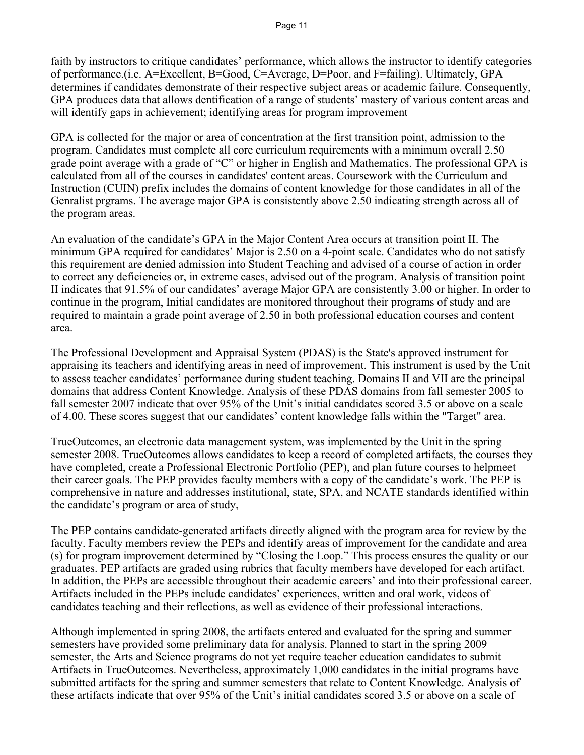faith by instructors to critique candidates' performance, which allows the instructor to identify categories of performance.(i.e. A=Excellent, B=Good, C=Average, D=Poor, and F=failing). Ultimately, GPA determines if candidates demonstrate of their respective subject areas or academic failure. Consequently, GPA produces data that allows dentification of a range of students' mastery of various content areas and will identify gaps in achievement; identifying areas for program improvement

GPA is collected for the major or area of concentration at the first transition point, admission to the program. Candidates must complete all core curriculum requirements with a minimum overall 2.50 grade point average with a grade of "C" or higher in English and Mathematics. The professional GPA is calculated from all of the courses in candidates' content areas. Coursework with the Curriculum and Instruction (CUIN) prefix includes the domains of content knowledge for those candidates in all of the Genralist prgrams. The average major GPA is consistently above 2.50 indicating strength across all of the program areas.

An evaluation of the candidate's GPA in the Major Content Area occurs at transition point II. The minimum GPA required for candidates' Major is 2.50 on a 4-point scale. Candidates who do not satisfy this requirement are denied admission into Student Teaching and advised of a course of action in order to correct any deficiencies or, in extreme cases, advised out of the program. Analysis of transition point II indicates that 91.5% of our candidates' average Major GPA are consistently 3.00 or higher. In order to continue in the program, Initial candidates are monitored throughout their programs of study and are required to maintain a grade point average of 2.50 in both professional education courses and content area.

The Professional Development and Appraisal System (PDAS) is the State's approved instrument for appraising its teachers and identifying areas in need of improvement. This instrument is used by the Unit to assess teacher candidates' performance during student teaching. Domains II and VII are the principal domains that address Content Knowledge. Analysis of these PDAS domains from fall semester 2005 to fall semester 2007 indicate that over 95% of the Unit's initial candidates scored 3.5 or above on a scale of 4.00. These scores suggest that our candidates' content knowledge falls within the "Target" area.

TrueOutcomes, an electronic data management system, was implemented by the Unit in the spring semester 2008. TrueOutcomes allows candidates to keep a record of completed artifacts, the courses they have completed, create a Professional Electronic Portfolio (PEP), and plan future courses to helpmeet their career goals. The PEP provides faculty members with a copy of the candidate's work. The PEP is comprehensive in nature and addresses institutional, state, SPA, and NCATE standards identified within the candidate's program or area of study,

The PEP contains candidate-generated artifacts directly aligned with the program area for review by the faculty. Faculty members review the PEPs and identify areas of improvement for the candidate and area (s) for program improvement determined by "Closing the Loop." This process ensures the quality or our graduates. PEP artifacts are graded using rubrics that faculty members have developed for each artifact. In addition, the PEPs are accessible throughout their academic careers' and into their professional career. Artifacts included in the PEPs include candidates' experiences, written and oral work, videos of candidates teaching and their reflections, as well as evidence of their professional interactions.

Although implemented in spring 2008, the artifacts entered and evaluated for the spring and summer semesters have provided some preliminary data for analysis. Planned to start in the spring 2009 semester, the Arts and Science programs do not yet require teacher education candidates to submit Artifacts in TrueOutcomes. Nevertheless, approximately 1,000 candidates in the initial programs have submitted artifacts for the spring and summer semesters that relate to Content Knowledge. Analysis of these artifacts indicate that over 95% of the Unit's initial candidates scored 3.5 or above on a scale of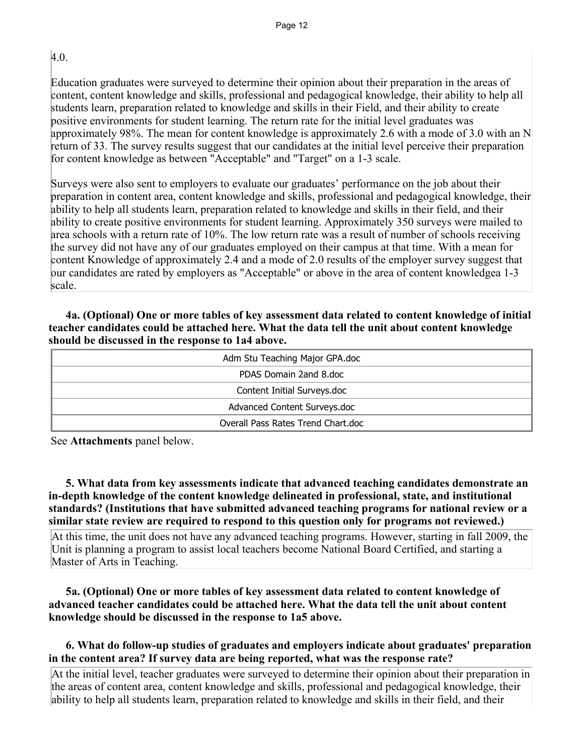4.0.

Education graduates were surveyed to determine their opinion about their preparation in the areas of content, content knowledge and skills, professional and pedagogical knowledge, their ability to help all students learn, preparation related to knowledge and skills in their Field, and their ability to create positive environments for student learning. The return rate for the initial level graduates was approximately 98%. The mean for content knowledge is approximately 2.6 with a mode of 3.0 with an N return of 33. The survey results suggest that our candidates at the initial level perceive their preparation for content knowledge as between "Acceptable" and "Target" on a 1-3 scale.

Surveys were also sent to employers to evaluate our graduates' performance on the job about their preparation in content area, content knowledge and skills, professional and pedagogical knowledge, their ability to help all students learn, preparation related to knowledge and skills in their field, and their ability to create positive environments for student learning. Approximately 350 surveys were mailed to area schools with a return rate of 10%. The low return rate was a result of number of schools receiving the survey did not have any of our graduates employed on their campus at that time. With a mean for content Knowledge of approximately 2.4 and a mode of 2.0 results of the employer survey suggest that our candidates are rated by employers as "Acceptable" or above in the area of content knowledgea 1-3 scale.

## **4a. (Optional) One or more tables of key assessment data related to content knowledge of initial teacher candidates could be attached here. What the data tell the unit about content knowledge should be discussed in the response to 1a4 above.**

| Adm Stu Teaching Major GPA.doc     |
|------------------------------------|
| PDAS Domain 2and 8.doc             |
| Content Initial Surveys.doc        |
| Advanced Content Surveys.doc       |
| Overall Pass Rates Trend Chart.doc |

See **Attachments** panel below.

 **5. What data from key assessments indicate that advanced teaching candidates demonstrate an in-depth knowledge of the content knowledge delineated in professional, state, and institutional standards? (Institutions that have submitted advanced teaching programs for national review or a similar state review are required to respond to this question only for programs not reviewed.)**

At this time, the unit does not have any advanced teaching programs. However, starting in fall 2009, the Unit is planning a program to assist local teachers become National Board Certified, and starting a Master of Arts in Teaching.

## **5a. (Optional) One or more tables of key assessment data related to content knowledge of advanced teacher candidates could be attached here. What the data tell the unit about content knowledge should be discussed in the response to 1a5 above.**

## **6. What do follow-up studies of graduates and employers indicate about graduates' preparation in the content area? If survey data are being reported, what was the response rate?**

At the initial level, teacher graduates were surveyed to determine their opinion about their preparation in the areas of content area, content knowledge and skills, professional and pedagogical knowledge, their ability to help all students learn, preparation related to knowledge and skills in their field, and their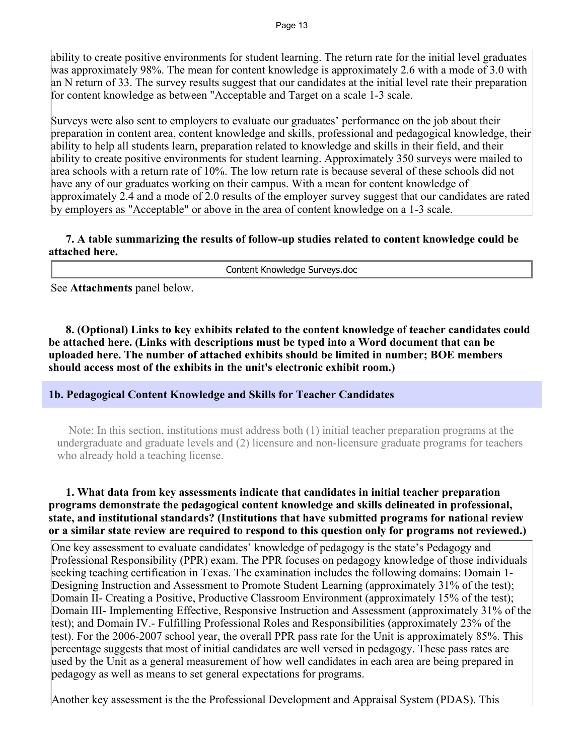ability to create positive environments for student learning. The return rate for the initial level graduates was approximately 98%. The mean for content knowledge is approximately 2.6 with a mode of 3.0 with an N return of 33. The survey results suggest that our candidates at the initial level rate their preparation for content knowledge as between "Acceptable and Target on a scale 1-3 scale.

Surveys were also sent to employers to evaluate our graduates' performance on the job about their preparation in content area, content knowledge and skills, professional and pedagogical knowledge, their ability to help all students learn, preparation related to knowledge and skills in their field, and their ability to create positive environments for student learning. Approximately 350 surveys were mailed to area schools with a return rate of 10%. The low return rate is because several of these schools did not have any of our graduates working on their campus. With a mean for content knowledge of approximately 2.4 and a mode of 2.0 results of the employer survey suggest that our candidates are rated by employers as "Acceptable" or above in the area of content knowledge on a 1-3 scale.

#### **7. A table summarizing the results of follow-up studies related to content knowledge could be attached here.**

Content Knowledge Surveys.doc

See **Attachments** panel below.

 **8. (Optional) Links to key exhibits related to the content knowledge of teacher candidates could be attached here. (Links with descriptions must be typed into a Word document that can be uploaded here. The number of attached exhibits should be limited in number; BOE members should access most of the exhibits in the unit's electronic exhibit room.)**

#### **1b. Pedagogical Content Knowledge and Skills for Teacher Candidates**

 Note: In this section, institutions must address both (1) initial teacher preparation programs at the undergraduate and graduate levels and (2) licensure and non-licensure graduate programs for teachers who already hold a teaching license.

#### **1. What data from key assessments indicate that candidates in initial teacher preparation programs demonstrate the pedagogical content knowledge and skills delineated in professional, state, and institutional standards? (Institutions that have submitted programs for national review or a similar state review are required to respond to this question only for programs not reviewed.)**

One key assessment to evaluate candidates' knowledge of pedagogy is the state's Pedagogy and Professional Responsibility (PPR) exam. The PPR focuses on pedagogy knowledge of those individuals seeking teaching certification in Texas. The examination includes the following domains: Domain 1- Designing Instruction and Assessment to Promote Student Learning (approximately 31% of the test); Domain II- Creating a Positive, Productive Classroom Environment (approximately 15% of the test); Domain III- Implementing Effective, Responsive Instruction and Assessment (approximately 31% of the test); and Domain IV.- Fulfilling Professional Roles and Responsibilities (approximately 23% of the test). For the 2006-2007 school year, the overall PPR pass rate for the Unit is approximately 85%. This percentage suggests that most of initial candidates are well versed in pedagogy. These pass rates are used by the Unit as a general measurement of how well candidates in each area are being prepared in pedagogy as well as means to set general expectations for programs.

Another key assessment is the the Professional Development and Appraisal System (PDAS). This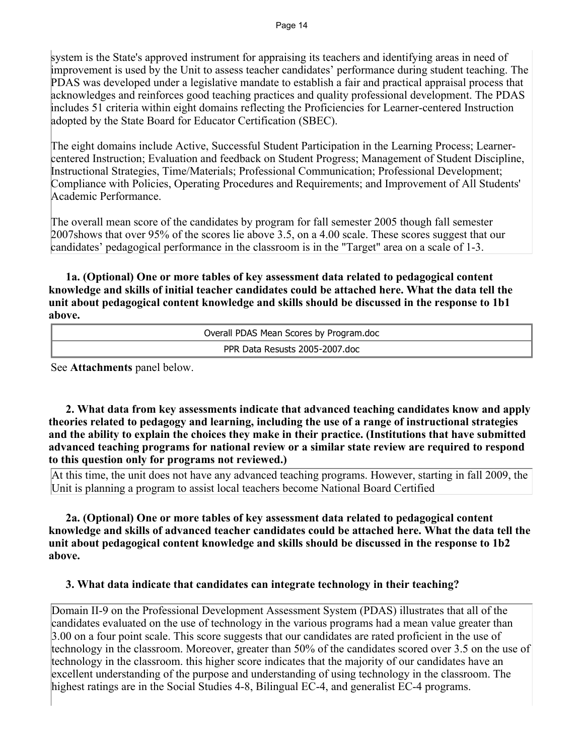system is the State's approved instrument for appraising its teachers and identifying areas in need of improvement is used by the Unit to assess teacher candidates' performance during student teaching. The PDAS was developed under a legislative mandate to establish a fair and practical appraisal process that acknowledges and reinforces good teaching practices and quality professional development. The PDAS includes 51 criteria within eight domains reflecting the Proficiencies for Learner-centered Instruction adopted by the State Board for Educator Certification (SBEC).

The eight domains include Active, Successful Student Participation in the Learning Process; Learnercentered Instruction; Evaluation and feedback on Student Progress; Management of Student Discipline, Instructional Strategies, Time/Materials; Professional Communication; Professional Development; Compliance with Policies, Operating Procedures and Requirements; and Improvement of All Students' Academic Performance.

The overall mean score of the candidates by program for fall semester 2005 though fall semester 2007shows that over 95% of the scores lie above 3.5, on a 4.00 scale. These scores suggest that our candidates' pedagogical performance in the classroom is in the "Target" area on a scale of 1-3.

 **1a. (Optional) One or more tables of key assessment data related to pedagogical content knowledge and skills of initial teacher candidates could be attached here. What the data tell the unit about pedagogical content knowledge and skills should be discussed in the response to 1b1 above.**

| Overall PDAS Mean Scores by Program.doc |
|-----------------------------------------|
| PPR Data Resusts 2005-2007.doc          |

See **Attachments** panel below.

 **2. What data from key assessments indicate that advanced teaching candidates know and apply theories related to pedagogy and learning, including the use of a range of instructional strategies and the ability to explain the choices they make in their practice. (Institutions that have submitted advanced teaching programs for national review or a similar state review are required to respond to this question only for programs not reviewed.)**

At this time, the unit does not have any advanced teaching programs. However, starting in fall 2009, the Unit is planning a program to assist local teachers become National Board Certified

 **2a. (Optional) One or more tables of key assessment data related to pedagogical content knowledge and skills of advanced teacher candidates could be attached here. What the data tell the unit about pedagogical content knowledge and skills should be discussed in the response to 1b2 above.**

## **3. What data indicate that candidates can integrate technology in their teaching?**

Domain II-9 on the Professional Development Assessment System (PDAS) illustrates that all of the candidates evaluated on the use of technology in the various programs had a mean value greater than 3.00 on a four point scale. This score suggests that our candidates are rated proficient in the use of technology in the classroom. Moreover, greater than 50% of the candidates scored over 3.5 on the use of technology in the classroom. this higher score indicates that the majority of our candidates have an excellent understanding of the purpose and understanding of using technology in the classroom. The highest ratings are in the Social Studies 4-8, Bilingual EC-4, and generalist EC-4 programs.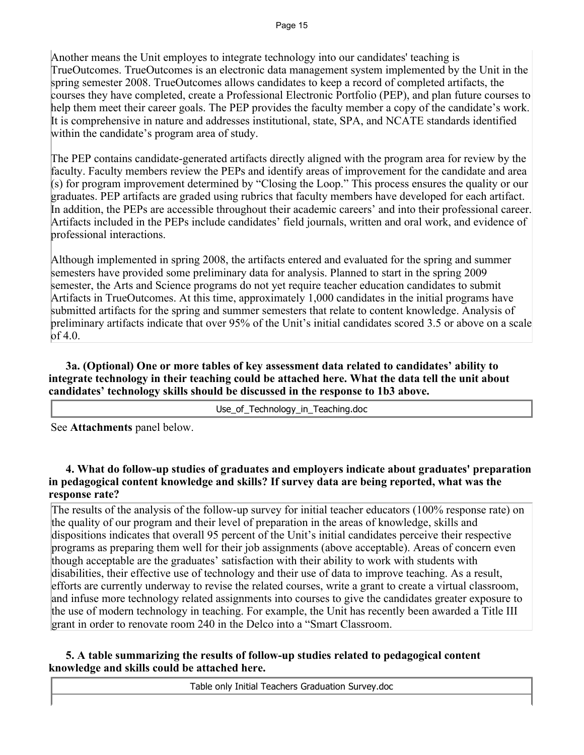Another means the Unit employes to integrate technology into our candidates' teaching is TrueOutcomes. TrueOutcomes is an electronic data management system implemented by the Unit in the spring semester 2008. TrueOutcomes allows candidates to keep a record of completed artifacts, the courses they have completed, create a Professional Electronic Portfolio (PEP), and plan future courses to help them meet their career goals. The PEP provides the faculty member a copy of the candidate's work. It is comprehensive in nature and addresses institutional, state, SPA, and NCATE standards identified within the candidate's program area of study.

The PEP contains candidate-generated artifacts directly aligned with the program area for review by the faculty. Faculty members review the PEPs and identify areas of improvement for the candidate and area (s) for program improvement determined by "Closing the Loop." This process ensures the quality or our graduates. PEP artifacts are graded using rubrics that faculty members have developed for each artifact. In addition, the PEPs are accessible throughout their academic careers' and into their professional career. Artifacts included in the PEPs include candidates' field journals, written and oral work, and evidence of professional interactions.

Although implemented in spring 2008, the artifacts entered and evaluated for the spring and summer semesters have provided some preliminary data for analysis. Planned to start in the spring 2009 semester, the Arts and Science programs do not yet require teacher education candidates to submit Artifacts in TrueOutcomes. At this time, approximately 1,000 candidates in the initial programs have submitted artifacts for the spring and summer semesters that relate to content knowledge. Analysis of preliminary artifacts indicate that over 95% of the Unit's initial candidates scored 3.5 or above on a scale of 4.0.

 **3a. (Optional) One or more tables of key assessment data related to candidates' ability to integrate technology in their teaching could be attached here. What the data tell the unit about candidates' technology skills should be discussed in the response to 1b3 above.**

Use\_of\_Technology\_in\_Teaching.doc

See **Attachments** panel below.

 **4. What do follow-up studies of graduates and employers indicate about graduates' preparation in pedagogical content knowledge and skills? If survey data are being reported, what was the response rate?** 

The results of the analysis of the follow-up survey for initial teacher educators (100% response rate) on the quality of our program and their level of preparation in the areas of knowledge, skills and dispositions indicates that overall 95 percent of the Unit's initial candidates perceive their respective programs as preparing them well for their job assignments (above acceptable). Areas of concern even though acceptable are the graduates' satisfaction with their ability to work with students with disabilities, their effective use of technology and their use of data to improve teaching. As a result, efforts are currently underway to revise the related courses, write a grant to create a virtual classroom, and infuse more technology related assignments into courses to give the candidates greater exposure to the use of modern technology in teaching. For example, the Unit has recently been awarded a Title III grant in order to renovate room 240 in the Delco into a "Smart Classroom.

## **5. A table summarizing the results of follow-up studies related to pedagogical content knowledge and skills could be attached here.**

Table only Initial Teachers Graduation Survey.doc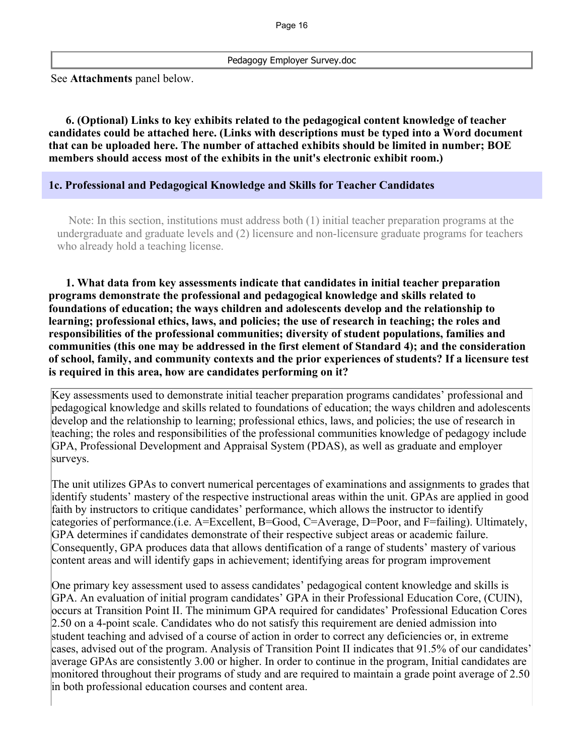Pedagogy Employer Survey.doc

See **Attachments** panel below.

 **6. (Optional) Links to key exhibits related to the pedagogical content knowledge of teacher candidates could be attached here. (Links with descriptions must be typed into a Word document that can be uploaded here. The number of attached exhibits should be limited in number; BOE members should access most of the exhibits in the unit's electronic exhibit room.)**

#### **1c. Professional and Pedagogical Knowledge and Skills for Teacher Candidates**

 Note: In this section, institutions must address both (1) initial teacher preparation programs at the undergraduate and graduate levels and (2) licensure and non-licensure graduate programs for teachers who already hold a teaching license.

 **1. What data from key assessments indicate that candidates in initial teacher preparation programs demonstrate the professional and pedagogical knowledge and skills related to foundations of education; the ways children and adolescents develop and the relationship to learning; professional ethics, laws, and policies; the use of research in teaching; the roles and responsibilities of the professional communities; diversity of student populations, families and communities (this one may be addressed in the first element of Standard 4); and the consideration of school, family, and community contexts and the prior experiences of students? If a licensure test is required in this area, how are candidates performing on it?** 

Key assessments used to demonstrate initial teacher preparation programs candidates' professional and pedagogical knowledge and skills related to foundations of education; the ways children and adolescents develop and the relationship to learning; professional ethics, laws, and policies; the use of research in teaching; the roles and responsibilities of the professional communities knowledge of pedagogy include GPA, Professional Development and Appraisal System (PDAS), as well as graduate and employer surveys.

The unit utilizes GPAs to convert numerical percentages of examinations and assignments to grades that identify students' mastery of the respective instructional areas within the unit. GPAs are applied in good faith by instructors to critique candidates' performance, which allows the instructor to identify categories of performance.(i.e. A=Excellent, B=Good, C=Average, D=Poor, and F=failing). Ultimately, GPA determines if candidates demonstrate of their respective subject areas or academic failure. Consequently, GPA produces data that allows dentification of a range of students' mastery of various content areas and will identify gaps in achievement; identifying areas for program improvement

One primary key assessment used to assess candidates' pedagogical content knowledge and skills is GPA. An evaluation of initial program candidates' GPA in their Professional Education Core, (CUIN), occurs at Transition Point II. The minimum GPA required for candidates' Professional Education Cores 2.50 on a 4-point scale. Candidates who do not satisfy this requirement are denied admission into student teaching and advised of a course of action in order to correct any deficiencies or, in extreme cases, advised out of the program. Analysis of Transition Point II indicates that 91.5% of our candidates' average GPAs are consistently 3.00 or higher. In order to continue in the program, Initial candidates are monitored throughout their programs of study and are required to maintain a grade point average of 2.50 in both professional education courses and content area.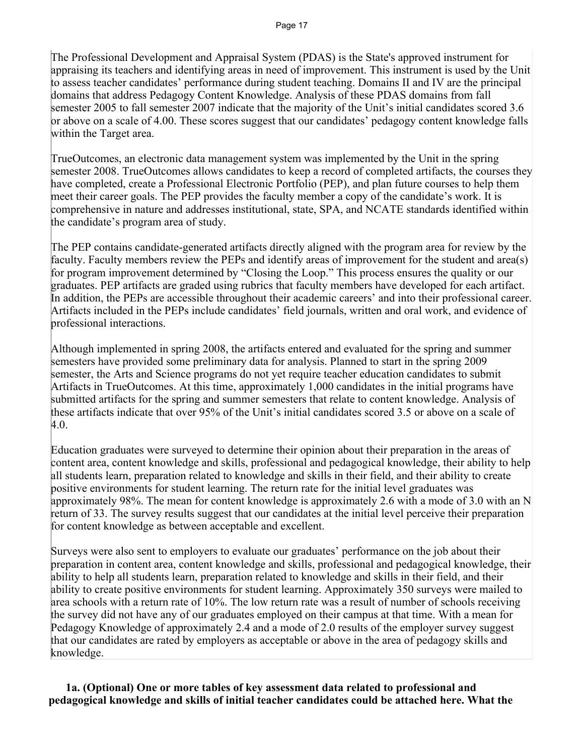The Professional Development and Appraisal System (PDAS) is the State's approved instrument for appraising its teachers and identifying areas in need of improvement. This instrument is used by the Unit to assess teacher candidates' performance during student teaching. Domains II and IV are the principal domains that address Pedagogy Content Knowledge. Analysis of these PDAS domains from fall semester 2005 to fall semester 2007 indicate that the majority of the Unit's initial candidates scored 3.6 or above on a scale of 4.00. These scores suggest that our candidates' pedagogy content knowledge falls within the Target area.

TrueOutcomes, an electronic data management system was implemented by the Unit in the spring semester 2008. TrueOutcomes allows candidates to keep a record of completed artifacts, the courses they have completed, create a Professional Electronic Portfolio (PEP), and plan future courses to help them meet their career goals. The PEP provides the faculty member a copy of the candidate's work. It is comprehensive in nature and addresses institutional, state, SPA, and NCATE standards identified within the candidate's program area of study.

The PEP contains candidate-generated artifacts directly aligned with the program area for review by the faculty. Faculty members review the PEPs and identify areas of improvement for the student and area(s) for program improvement determined by "Closing the Loop." This process ensures the quality or our graduates. PEP artifacts are graded using rubrics that faculty members have developed for each artifact. In addition, the PEPs are accessible throughout their academic careers' and into their professional career. Artifacts included in the PEPs include candidates' field journals, written and oral work, and evidence of professional interactions.

Although implemented in spring 2008, the artifacts entered and evaluated for the spring and summer semesters have provided some preliminary data for analysis. Planned to start in the spring 2009 semester, the Arts and Science programs do not yet require teacher education candidates to submit Artifacts in TrueOutcomes. At this time, approximately 1,000 candidates in the initial programs have submitted artifacts for the spring and summer semesters that relate to content knowledge. Analysis of these artifacts indicate that over 95% of the Unit's initial candidates scored 3.5 or above on a scale of 4.0.

Education graduates were surveyed to determine their opinion about their preparation in the areas of content area, content knowledge and skills, professional and pedagogical knowledge, their ability to help all students learn, preparation related to knowledge and skills in their field, and their ability to create positive environments for student learning. The return rate for the initial level graduates was approximately 98%. The mean for content knowledge is approximately 2.6 with a mode of 3.0 with an N return of 33. The survey results suggest that our candidates at the initial level perceive their preparation for content knowledge as between acceptable and excellent.

Surveys were also sent to employers to evaluate our graduates' performance on the job about their preparation in content area, content knowledge and skills, professional and pedagogical knowledge, their ability to help all students learn, preparation related to knowledge and skills in their field, and their ability to create positive environments for student learning. Approximately 350 surveys were mailed to area schools with a return rate of 10%. The low return rate was a result of number of schools receiving the survey did not have any of our graduates employed on their campus at that time. With a mean for Pedagogy Knowledge of approximately 2.4 and a mode of 2.0 results of the employer survey suggest that our candidates are rated by employers as acceptable or above in the area of pedagogy skills and knowledge.

 **1a. (Optional) One or more tables of key assessment data related to professional and pedagogical knowledge and skills of initial teacher candidates could be attached here. What the**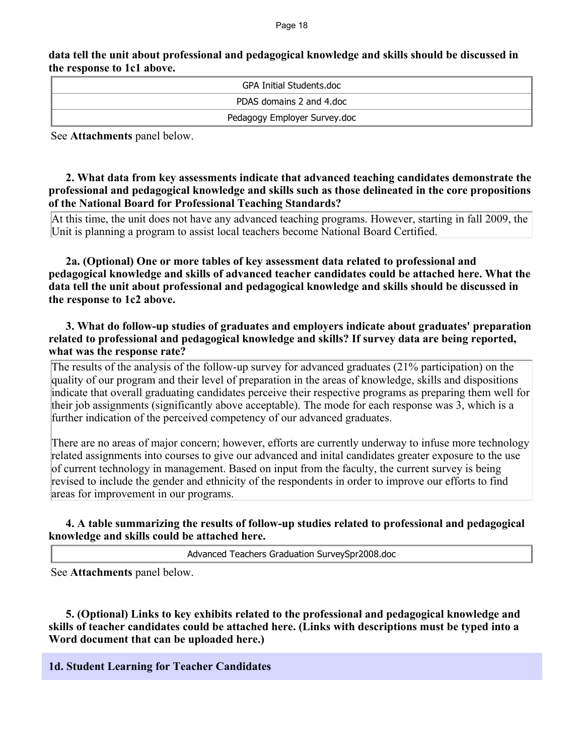#### **data tell the unit about professional and pedagogical knowledge and skills should be discussed in the response to 1c1 above.**

| GPA Initial Students.doc     |
|------------------------------|
| PDAS domains 2 and 4.doc     |
| Pedagogy Employer Survey.doc |

See **Attachments** panel below.

#### **2. What data from key assessments indicate that advanced teaching candidates demonstrate the professional and pedagogical knowledge and skills such as those delineated in the core propositions of the National Board for Professional Teaching Standards?**

At this time, the unit does not have any advanced teaching programs. However, starting in fall 2009, the Unit is planning a program to assist local teachers become National Board Certified.

 **2a. (Optional) One or more tables of key assessment data related to professional and pedagogical knowledge and skills of advanced teacher candidates could be attached here. What the data tell the unit about professional and pedagogical knowledge and skills should be discussed in the response to 1c2 above.**

## **3. What do follow-up studies of graduates and employers indicate about graduates' preparation related to professional and pedagogical knowledge and skills? If survey data are being reported, what was the response rate?**

The results of the analysis of the follow-up survey for advanced graduates (21% participation) on the quality of our program and their level of preparation in the areas of knowledge, skills and dispositions indicate that overall graduating candidates perceive their respective programs as preparing them well for their job assignments (significantly above acceptable). The mode for each response was 3, which is a further indication of the perceived competency of our advanced graduates.

There are no areas of major concern; however, efforts are currently underway to infuse more technology related assignments into courses to give our advanced and inital candidates greater exposure to the use of current technology in management. Based on input from the faculty, the current survey is being revised to include the gender and ethnicity of the respondents in order to improve our efforts to find areas for improvement in our programs.

## **4. A table summarizing the results of follow-up studies related to professional and pedagogical knowledge and skills could be attached here.**

Advanced Teachers Graduation SurveySpr2008.doc

See **Attachments** panel below.

 **5. (Optional) Links to key exhibits related to the professional and pedagogical knowledge and skills of teacher candidates could be attached here. (Links with descriptions must be typed into a Word document that can be uploaded here.)**

## **1d. Student Learning for Teacher Candidates**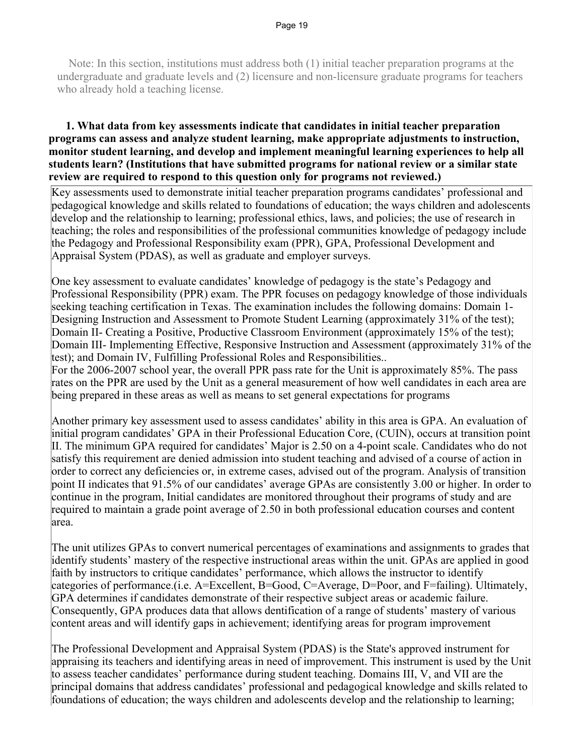Note: In this section, institutions must address both (1) initial teacher preparation programs at the undergraduate and graduate levels and (2) licensure and non-licensure graduate programs for teachers who already hold a teaching license.

#### **1. What data from key assessments indicate that candidates in initial teacher preparation programs can assess and analyze student learning, make appropriate adjustments to instruction, monitor student learning, and develop and implement meaningful learning experiences to help all students learn? (Institutions that have submitted programs for national review or a similar state review are required to respond to this question only for programs not reviewed.)**

Key assessments used to demonstrate initial teacher preparation programs candidates' professional and pedagogical knowledge and skills related to foundations of education; the ways children and adolescents develop and the relationship to learning; professional ethics, laws, and policies; the use of research in teaching; the roles and responsibilities of the professional communities knowledge of pedagogy include the Pedagogy and Professional Responsibility exam (PPR), GPA, Professional Development and Appraisal System (PDAS), as well as graduate and employer surveys.

One key assessment to evaluate candidates' knowledge of pedagogy is the state's Pedagogy and Professional Responsibility (PPR) exam. The PPR focuses on pedagogy knowledge of those individuals seeking teaching certification in Texas. The examination includes the following domains: Domain 1- Designing Instruction and Assessment to Promote Student Learning (approximately 31% of the test); Domain II- Creating a Positive, Productive Classroom Environment (approximately 15% of the test); Domain III- Implementing Effective, Responsive Instruction and Assessment (approximately 31% of the test); and Domain IV, Fulfilling Professional Roles and Responsibilities..

For the 2006-2007 school year, the overall PPR pass rate for the Unit is approximately 85%. The pass rates on the PPR are used by the Unit as a general measurement of how well candidates in each area are being prepared in these areas as well as means to set general expectations for programs

Another primary key assessment used to assess candidates' ability in this area is GPA. An evaluation of initial program candidates' GPA in their Professional Education Core, (CUIN), occurs at transition point II. The minimum GPA required for candidates' Major is 2.50 on a 4-point scale. Candidates who do not satisfy this requirement are denied admission into student teaching and advised of a course of action in order to correct any deficiencies or, in extreme cases, advised out of the program. Analysis of transition point II indicates that 91.5% of our candidates' average GPAs are consistently 3.00 or higher. In order to continue in the program, Initial candidates are monitored throughout their programs of study and are required to maintain a grade point average of 2.50 in both professional education courses and content area.

The unit utilizes GPAs to convert numerical percentages of examinations and assignments to grades that identify students' mastery of the respective instructional areas within the unit. GPAs are applied in good faith by instructors to critique candidates' performance, which allows the instructor to identify categories of performance.(i.e. A=Excellent, B=Good, C=Average, D=Poor, and F=failing). Ultimately, GPA determines if candidates demonstrate of their respective subject areas or academic failure. Consequently, GPA produces data that allows dentification of a range of students' mastery of various content areas and will identify gaps in achievement; identifying areas for program improvement

The Professional Development and Appraisal System (PDAS) is the State's approved instrument for appraising its teachers and identifying areas in need of improvement. This instrument is used by the Unit to assess teacher candidates' performance during student teaching. Domains III, V, and VII are the principal domains that address candidates' professional and pedagogical knowledge and skills related to foundations of education; the ways children and adolescents develop and the relationship to learning;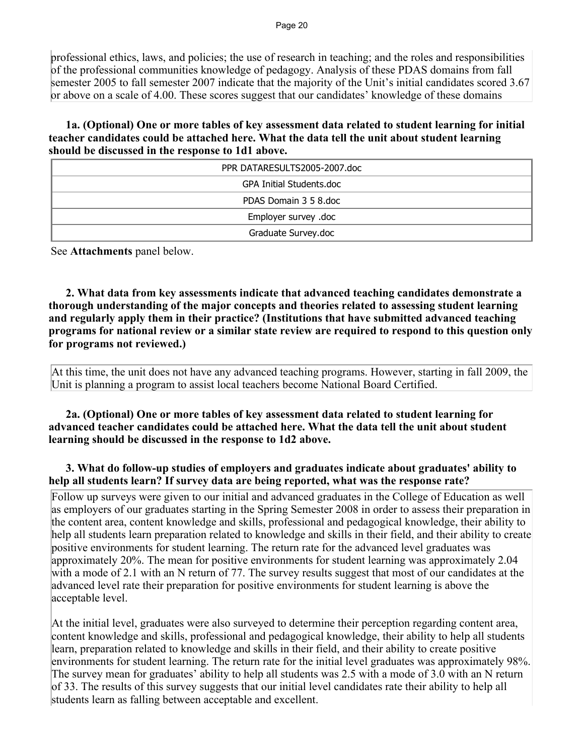professional ethics, laws, and policies; the use of research in teaching; and the roles and responsibilities of the professional communities knowledge of pedagogy. Analysis of these PDAS domains from fall semester 2005 to fall semester 2007 indicate that the majority of the Unit's initial candidates scored 3.67 or above on a scale of 4.00. These scores suggest that our candidates' knowledge of these domains

 **1a. (Optional) One or more tables of key assessment data related to student learning for initial teacher candidates could be attached here. What the data tell the unit about student learning should be discussed in the response to 1d1 above.**

| PPR DATARESULTS2005-2007.doc |
|------------------------------|
| GPA Initial Students.doc     |
| PDAS Domain 3 5 8.doc        |
| Employer survey .doc         |
| Graduate Survey.doc          |

See **Attachments** panel below.

 **2. What data from key assessments indicate that advanced teaching candidates demonstrate a thorough understanding of the major concepts and theories related to assessing student learning and regularly apply them in their practice? (Institutions that have submitted advanced teaching programs for national review or a similar state review are required to respond to this question only for programs not reviewed.)**

At this time, the unit does not have any advanced teaching programs. However, starting in fall 2009, the Unit is planning a program to assist local teachers become National Board Certified.

 **2a. (Optional) One or more tables of key assessment data related to student learning for advanced teacher candidates could be attached here. What the data tell the unit about student learning should be discussed in the response to 1d2 above.**

## **3. What do follow-up studies of employers and graduates indicate about graduates' ability to help all students learn? If survey data are being reported, what was the response rate?**

Follow up surveys were given to our initial and advanced graduates in the College of Education as well as employers of our graduates starting in the Spring Semester 2008 in order to assess their preparation in the content area, content knowledge and skills, professional and pedagogical knowledge, their ability to help all students learn preparation related to knowledge and skills in their field, and their ability to create positive environments for student learning. The return rate for the advanced level graduates was approximately 20%. The mean for positive environments for student learning was approximately 2.04 with a mode of 2.1 with an N return of 77. The survey results suggest that most of our candidates at the advanced level rate their preparation for positive environments for student learning is above the acceptable level.

At the initial level, graduates were also surveyed to determine their perception regarding content area, content knowledge and skills, professional and pedagogical knowledge, their ability to help all students learn, preparation related to knowledge and skills in their field, and their ability to create positive environments for student learning. The return rate for the initial level graduates was approximately 98%. The survey mean for graduates' ability to help all students was 2.5 with a mode of 3.0 with an N return of 33. The results of this survey suggests that our initial level candidates rate their ability to help all students learn as falling between acceptable and excellent.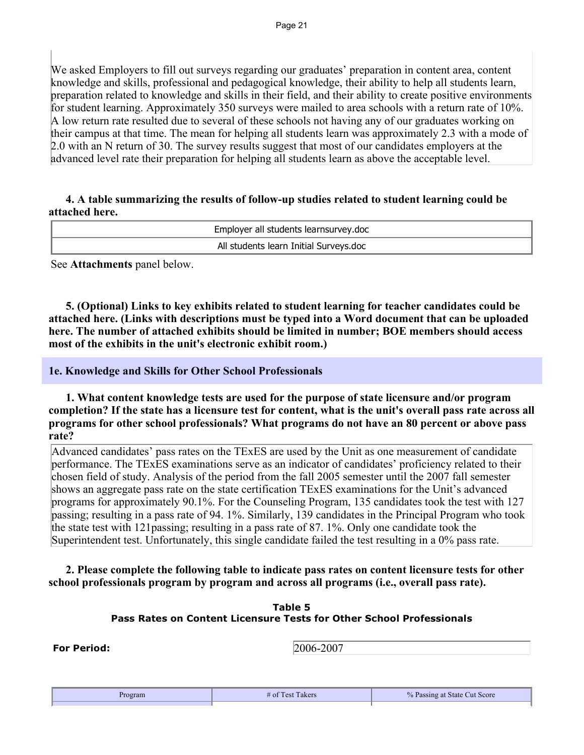We asked Employers to fill out surveys regarding our graduates' preparation in content area, content knowledge and skills, professional and pedagogical knowledge, their ability to help all students learn, preparation related to knowledge and skills in their field, and their ability to create positive environments for student learning. Approximately 350 surveys were mailed to area schools with a return rate of 10%. A low return rate resulted due to several of these schools not having any of our graduates working on their campus at that time. The mean for helping all students learn was approximately 2.3 with a mode of 2.0 with an N return of 30. The survey results suggest that most of our candidates employers at the advanced level rate their preparation for helping all students learn as above the acceptable level.

#### **4. A table summarizing the results of follow-up studies related to student learning could be attached here.**

| Employer all students learnsurvey.doc  |  |
|----------------------------------------|--|
| All students learn Initial Surveys.doc |  |

See **Attachments** panel below.

 **5. (Optional) Links to key exhibits related to student learning for teacher candidates could be attached here. (Links with descriptions must be typed into a Word document that can be uploaded here. The number of attached exhibits should be limited in number; BOE members should access most of the exhibits in the unit's electronic exhibit room.)**

**1e. Knowledge and Skills for Other School Professionals**

 **1. What content knowledge tests are used for the purpose of state licensure and/or program completion? If the state has a licensure test for content, what is the unit's overall pass rate across all programs for other school professionals? What programs do not have an 80 percent or above pass rate?**

Advanced candidates' pass rates on the TExES are used by the Unit as one measurement of candidate performance. The TExES examinations serve as an indicator of candidates' proficiency related to their chosen field of study. Analysis of the period from the fall 2005 semester until the 2007 fall semester shows an aggregate pass rate on the state certification TExES examinations for the Unit's advanced programs for approximately 90.1%. For the Counseling Program, 135 candidates took the test with 127 passing; resulting in a pass rate of 94. 1%. Similarly, 139 candidates in the Principal Program who took the state test with 121passing; resulting in a pass rate of 87. 1%. Only one candidate took the Superintendent test. Unfortunately, this single candidate failed the test resulting in a 0% pass rate.

 **2. Please complete the following table to indicate pass rates on content licensure tests for other school professionals program by program and across all programs (i.e., overall pass rate).**

#### **Table 5 Pass Rates on Content Licensure Tests for Other School Professionals**

**For Period:** 2006-2007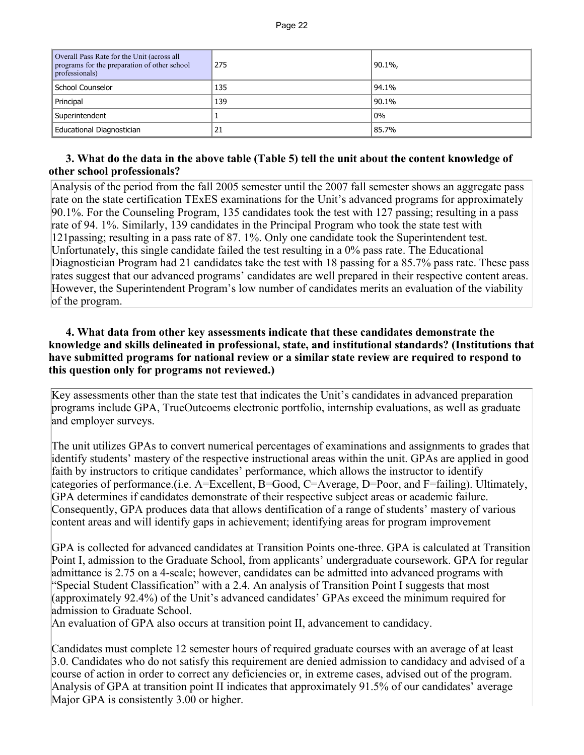| Overall Pass Rate for the Unit (across all<br>programs for the preparation of other school<br>professionals) | 275 | $90.1\%$ |
|--------------------------------------------------------------------------------------------------------------|-----|----------|
| School Counselor                                                                                             | 135 | 94.1%    |
| Principal                                                                                                    | 139 | 90.1%    |
| Superintendent                                                                                               |     | $0\%$    |
| Educational Diagnostician                                                                                    | 21  | 85.7%    |

## **3. What do the data in the above table (Table 5) tell the unit about the content knowledge of other school professionals?**

Analysis of the period from the fall 2005 semester until the 2007 fall semester shows an aggregate pass rate on the state certification TExES examinations for the Unit's advanced programs for approximately 90.1%. For the Counseling Program, 135 candidates took the test with 127 passing; resulting in a pass rate of 94. 1%. Similarly, 139 candidates in the Principal Program who took the state test with 121passing; resulting in a pass rate of 87. 1%. Only one candidate took the Superintendent test. Unfortunately, this single candidate failed the test resulting in a 0% pass rate. The Educational Diagnostician Program had 21 candidates take the test with 18 passing for a 85.7% pass rate. These pass rates suggest that our advanced programs' candidates are well prepared in their respective content areas. However, the Superintendent Program's low number of candidates merits an evaluation of the viability of the program.

#### **4. What data from other key assessments indicate that these candidates demonstrate the knowledge and skills delineated in professional, state, and institutional standards? (Institutions that have submitted programs for national review or a similar state review are required to respond to this question only for programs not reviewed.)**

Key assessments other than the state test that indicates the Unit's candidates in advanced preparation programs include GPA, TrueOutcoems electronic portfolio, internship evaluations, as well as graduate and employer surveys.

The unit utilizes GPAs to convert numerical percentages of examinations and assignments to grades that identify students' mastery of the respective instructional areas within the unit. GPAs are applied in good faith by instructors to critique candidates' performance, which allows the instructor to identify categories of performance.(i.e. A=Excellent, B=Good, C=Average, D=Poor, and F=failing). Ultimately, GPA determines if candidates demonstrate of their respective subject areas or academic failure. Consequently, GPA produces data that allows dentification of a range of students' mastery of various content areas and will identify gaps in achievement; identifying areas for program improvement

GPA is collected for advanced candidates at Transition Points one-three. GPA is calculated at Transition Point I, admission to the Graduate School, from applicants' undergraduate coursework. GPA for regular admittance is 2.75 on a 4-scale; however, candidates can be admitted into advanced programs with "Special Student Classification" with a 2.4. An analysis of Transition Point I suggests that most (approximately 92.4%) of the Unit's advanced candidates' GPAs exceed the minimum required for admission to Graduate School.

An evaluation of GPA also occurs at transition point II, advancement to candidacy.

Candidates must complete 12 semester hours of required graduate courses with an average of at least 3.0. Candidates who do not satisfy this requirement are denied admission to candidacy and advised of a course of action in order to correct any deficiencies or, in extreme cases, advised out of the program. Analysis of GPA at transition point II indicates that approximately 91.5% of our candidates' average Major GPA is consistently 3.00 or higher.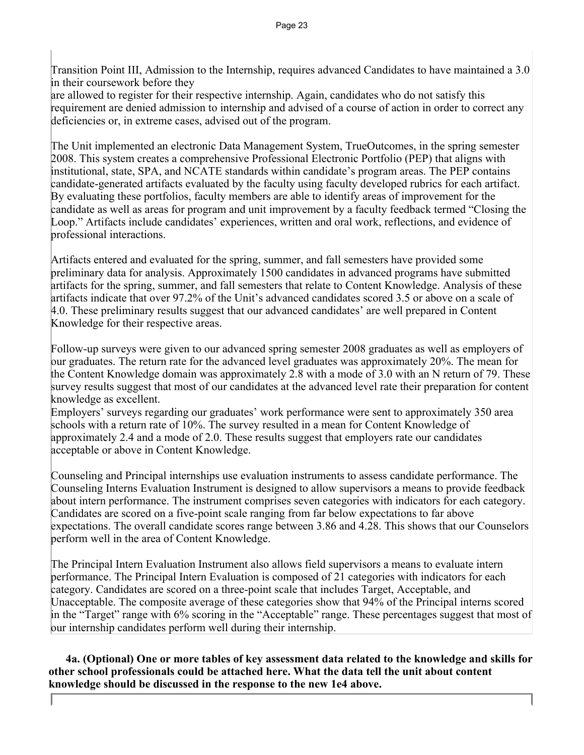Transition Point III, Admission to the Internship, requires advanced Candidates to have maintained a 3.0 in their coursework before they

are allowed to register for their respective internship. Again, candidates who do not satisfy this requirement are denied admission to internship and advised of a course of action in order to correct any deficiencies or, in extreme cases, advised out of the program.

The Unit implemented an electronic Data Management System, TrueOutcomes, in the spring semester 2008. This system creates a comprehensive Professional Electronic Portfolio (PEP) that aligns with institutional, state, SPA, and NCATE standards within candidate's program areas. The PEP contains candidate-generated artifacts evaluated by the faculty using faculty developed rubrics for each artifact. By evaluating these portfolios, faculty members are able to identify areas of improvement for the candidate as well as areas for program and unit improvement by a faculty feedback termed "Closing the Loop." Artifacts include candidates' experiences, written and oral work, reflections, and evidence of professional interactions.

Artifacts entered and evaluated for the spring, summer, and fall semesters have provided some preliminary data for analysis. Approximately 1500 candidates in advanced programs have submitted artifacts for the spring, summer, and fall semesters that relate to Content Knowledge. Analysis of these artifacts indicate that over 97.2% of the Unit's advanced candidates scored 3.5 or above on a scale of 4.0. These preliminary results suggest that our advanced candidates' are well prepared in Content Knowledge for their respective areas.

Follow-up surveys were given to our advanced spring semester 2008 graduates as well as employers of our graduates. The return rate for the advanced level graduates was approximately 20%. The mean for the Content Knowledge domain was approximately 2.8 with a mode of 3.0 with an N return of 79. These survey results suggest that most of our candidates at the advanced level rate their preparation for content knowledge as excellent.

Employers' surveys regarding our graduates' work performance were sent to approximately 350 area schools with a return rate of 10%. The survey resulted in a mean for Content Knowledge of approximately 2.4 and a mode of 2.0. These results suggest that employers rate our candidates acceptable or above in Content Knowledge.

Counseling and Principal internships use evaluation instruments to assess candidate performance. The Counseling Interns Evaluation Instrument is designed to allow supervisors a means to provide feedback about intern performance. The instrument comprises seven categories with indicators for each category. Candidates are scored on a five-point scale ranging from far below expectations to far above expectations. The overall candidate scores range between 3.86 and 4.28. This shows that our Counselors perform well in the area of Content Knowledge.

The Principal Intern Evaluation Instrument also allows field supervisors a means to evaluate intern performance. The Principal Intern Evaluation is composed of 21 categories with indicators for each category. Candidates are scored on a three-point scale that includes Target, Acceptable, and Unacceptable. The composite average of these categories show that 94% of the Principal interns scored in the "Target" range with 6% scoring in the "Acceptable" range. These percentages suggest that most of our internship candidates perform well during their internship.

 **4a. (Optional) One or more tables of key assessment data related to the knowledge and skills for other school professionals could be attached here. What the data tell the unit about content knowledge should be discussed in the response to the new 1e4 above.**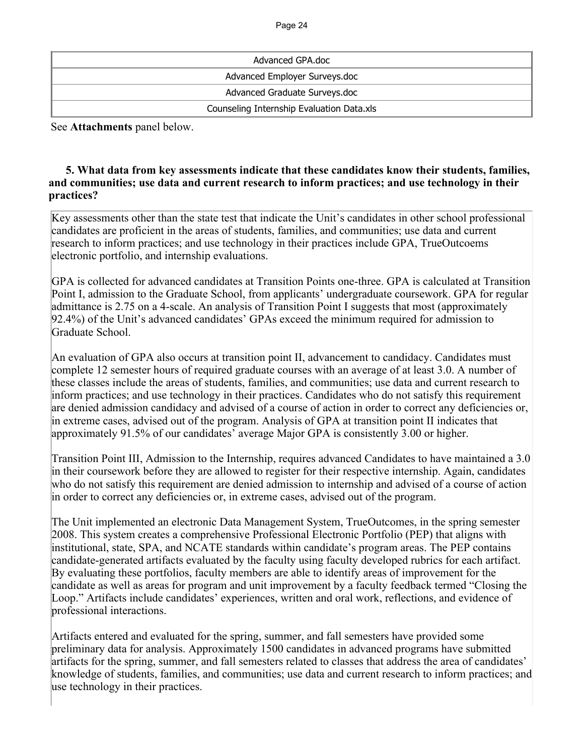| Advanced GPA.doc                          |  |  |  |
|-------------------------------------------|--|--|--|
| Advanced Employer Surveys.doc             |  |  |  |
| Advanced Graduate Surveys.doc             |  |  |  |
| Counseling Internship Evaluation Data.xls |  |  |  |

See **Attachments** panel below.

## **5. What data from key assessments indicate that these candidates know their students, families, and communities; use data and current research to inform practices; and use technology in their practices?**

Key assessments other than the state test that indicate the Unit's candidates in other school professional candidates are proficient in the areas of students, families, and communities; use data and current research to inform practices; and use technology in their practices include GPA, TrueOutcoems electronic portfolio, and internship evaluations.

GPA is collected for advanced candidates at Transition Points one-three. GPA is calculated at Transition Point I, admission to the Graduate School, from applicants' undergraduate coursework. GPA for regular admittance is 2.75 on a 4-scale. An analysis of Transition Point I suggests that most (approximately 92.4%) of the Unit's advanced candidates' GPAs exceed the minimum required for admission to Graduate School.

An evaluation of GPA also occurs at transition point II, advancement to candidacy. Candidates must complete 12 semester hours of required graduate courses with an average of at least 3.0. A number of these classes include the areas of students, families, and communities; use data and current research to inform practices; and use technology in their practices. Candidates who do not satisfy this requirement are denied admission candidacy and advised of a course of action in order to correct any deficiencies or, in extreme cases, advised out of the program. Analysis of GPA at transition point II indicates that approximately 91.5% of our candidates' average Major GPA is consistently 3.00 or higher.

Transition Point III, Admission to the Internship, requires advanced Candidates to have maintained a 3.0 in their coursework before they are allowed to register for their respective internship. Again, candidates who do not satisfy this requirement are denied admission to internship and advised of a course of action in order to correct any deficiencies or, in extreme cases, advised out of the program.

The Unit implemented an electronic Data Management System, TrueOutcomes, in the spring semester 2008. This system creates a comprehensive Professional Electronic Portfolio (PEP) that aligns with institutional, state, SPA, and NCATE standards within candidate's program areas. The PEP contains candidate-generated artifacts evaluated by the faculty using faculty developed rubrics for each artifact. By evaluating these portfolios, faculty members are able to identify areas of improvement for the candidate as well as areas for program and unit improvement by a faculty feedback termed "Closing the Loop." Artifacts include candidates' experiences, written and oral work, reflections, and evidence of professional interactions.

Artifacts entered and evaluated for the spring, summer, and fall semesters have provided some preliminary data for analysis. Approximately 1500 candidates in advanced programs have submitted artifacts for the spring, summer, and fall semesters related to classes that address the area of candidates' knowledge of students, families, and communities; use data and current research to inform practices; and use technology in their practices.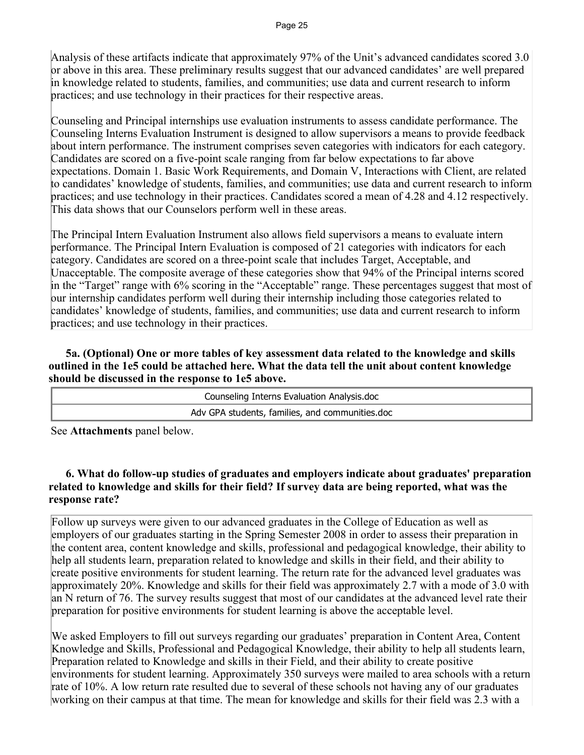Analysis of these artifacts indicate that approximately 97% of the Unit's advanced candidates scored 3.0 or above in this area. These preliminary results suggest that our advanced candidates' are well prepared in knowledge related to students, families, and communities; use data and current research to inform practices; and use technology in their practices for their respective areas.

Counseling and Principal internships use evaluation instruments to assess candidate performance. The Counseling Interns Evaluation Instrument is designed to allow supervisors a means to provide feedback about intern performance. The instrument comprises seven categories with indicators for each category. Candidates are scored on a five-point scale ranging from far below expectations to far above expectations. Domain 1. Basic Work Requirements, and Domain V, Interactions with Client, are related to candidates' knowledge of students, families, and communities; use data and current research to inform practices; and use technology in their practices. Candidates scored a mean of 4.28 and 4.12 respectively. This data shows that our Counselors perform well in these areas.

The Principal Intern Evaluation Instrument also allows field supervisors a means to evaluate intern performance. The Principal Intern Evaluation is composed of 21 categories with indicators for each category. Candidates are scored on a three-point scale that includes Target, Acceptable, and Unacceptable. The composite average of these categories show that 94% of the Principal interns scored in the "Target" range with 6% scoring in the "Acceptable" range. These percentages suggest that most of our internship candidates perform well during their internship including those categories related to candidates' knowledge of students, families, and communities; use data and current research to inform practices; and use technology in their practices.

 **5a. (Optional) One or more tables of key assessment data related to the knowledge and skills outlined in the 1e5 could be attached here. What the data tell the unit about content knowledge should be discussed in the response to 1e5 above.**

| Counseling Interns Evaluation Analysis.doc      |
|-------------------------------------------------|
| Adv GPA students, families, and communities.doc |

See **Attachments** panel below.

## **6. What do follow-up studies of graduates and employers indicate about graduates' preparation related to knowledge and skills for their field? If survey data are being reported, what was the response rate?**

Follow up surveys were given to our advanced graduates in the College of Education as well as employers of our graduates starting in the Spring Semester 2008 in order to assess their preparation in the content area, content knowledge and skills, professional and pedagogical knowledge, their ability to help all students learn, preparation related to knowledge and skills in their field, and their ability to create positive environments for student learning. The return rate for the advanced level graduates was approximately 20%. Knowledge and skills for their field was approximately 2.7 with a mode of 3.0 with an N return of 76. The survey results suggest that most of our candidates at the advanced level rate their preparation for positive environments for student learning is above the acceptable level.

We asked Employers to fill out surveys regarding our graduates' preparation in Content Area, Content Knowledge and Skills, Professional and Pedagogical Knowledge, their ability to help all students learn, Preparation related to Knowledge and skills in their Field, and their ability to create positive environments for student learning. Approximately 350 surveys were mailed to area schools with a return rate of 10%. A low return rate resulted due to several of these schools not having any of our graduates working on their campus at that time. The mean for knowledge and skills for their field was 2.3 with a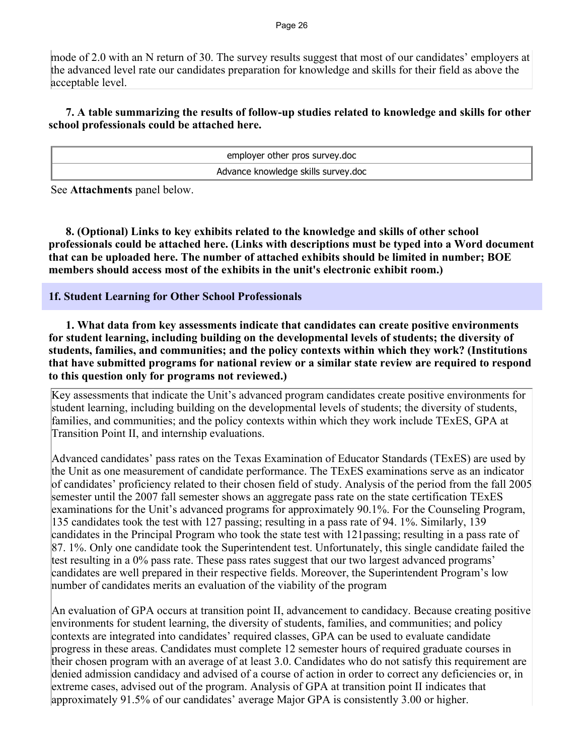#### Page 26

mode of 2.0 with an N return of 30. The survey results suggest that most of our candidates' employers at the advanced level rate our candidates preparation for knowledge and skills for their field as above the acceptable level.

## **7. A table summarizing the results of follow-up studies related to knowledge and skills for other school professionals could be attached here.**

| employer other pros survey.doc      |  |  |  |
|-------------------------------------|--|--|--|
| Advance knowledge skills survey.doc |  |  |  |

See **Attachments** panel below.

 **8. (Optional) Links to key exhibits related to the knowledge and skills of other school professionals could be attached here. (Links with descriptions must be typed into a Word document that can be uploaded here. The number of attached exhibits should be limited in number; BOE members should access most of the exhibits in the unit's electronic exhibit room.)**

#### **1f. Student Learning for Other School Professionals**

 **1. What data from key assessments indicate that candidates can create positive environments for student learning, including building on the developmental levels of students; the diversity of students, families, and communities; and the policy contexts within which they work? (Institutions that have submitted programs for national review or a similar state review are required to respond to this question only for programs not reviewed.)**

Key assessments that indicate the Unit's advanced program candidates create positive environments for student learning, including building on the developmental levels of students; the diversity of students, families, and communities; and the policy contexts within which they work include TExES, GPA at Transition Point II, and internship evaluations.

Advanced candidates' pass rates on the Texas Examination of Educator Standards (TExES) are used by the Unit as one measurement of candidate performance. The TExES examinations serve as an indicator of candidates' proficiency related to their chosen field of study. Analysis of the period from the fall 2005 semester until the 2007 fall semester shows an aggregate pass rate on the state certification TExES examinations for the Unit's advanced programs for approximately 90.1%. For the Counseling Program, 135 candidates took the test with 127 passing; resulting in a pass rate of 94. 1%. Similarly, 139 candidates in the Principal Program who took the state test with 121passing; resulting in a pass rate of 87. 1%. Only one candidate took the Superintendent test. Unfortunately, this single candidate failed the test resulting in a 0% pass rate. These pass rates suggest that our two largest advanced programs' candidates are well prepared in their respective fields. Moreover, the Superintendent Program's low number of candidates merits an evaluation of the viability of the program

An evaluation of GPA occurs at transition point II, advancement to candidacy. Because creating positive environments for student learning, the diversity of students, families, and communities; and policy contexts are integrated into candidates' required classes, GPA can be used to evaluate candidate progress in these areas. Candidates must complete 12 semester hours of required graduate courses in their chosen program with an average of at least 3.0. Candidates who do not satisfy this requirement are denied admission candidacy and advised of a course of action in order to correct any deficiencies or, in extreme cases, advised out of the program. Analysis of GPA at transition point II indicates that approximately 91.5% of our candidates' average Major GPA is consistently 3.00 or higher.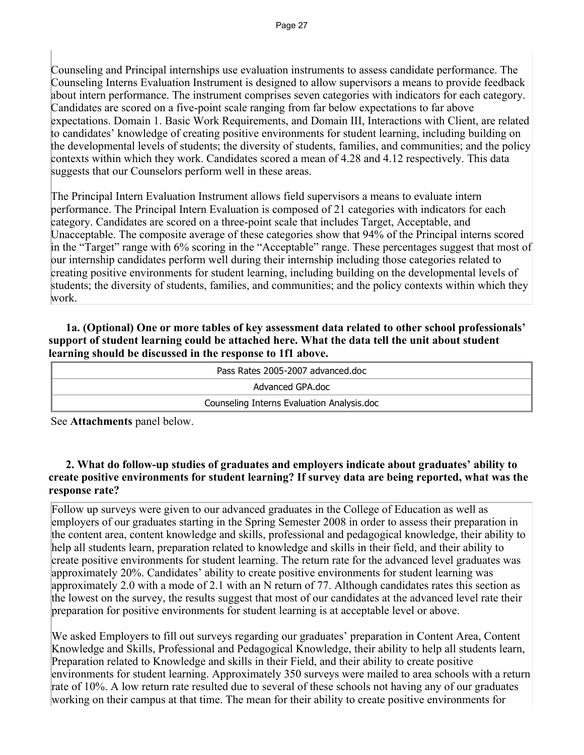Counseling and Principal internships use evaluation instruments to assess candidate performance. The Counseling Interns Evaluation Instrument is designed to allow supervisors a means to provide feedback about intern performance. The instrument comprises seven categories with indicators for each category. Candidates are scored on a five-point scale ranging from far below expectations to far above expectations. Domain 1. Basic Work Requirements, and Domain III, Interactions with Client, are related to candidates' knowledge of creating positive environments for student learning, including building on the developmental levels of students; the diversity of students, families, and communities; and the policy contexts within which they work. Candidates scored a mean of 4.28 and 4.12 respectively. This data suggests that our Counselors perform well in these areas.

The Principal Intern Evaluation Instrument allows field supervisors a means to evaluate intern performance. The Principal Intern Evaluation is composed of 21 categories with indicators for each category. Candidates are scored on a three-point scale that includes Target, Acceptable, and Unacceptable. The composite average of these categories show that 94% of the Principal interns scored in the "Target" range with 6% scoring in the "Acceptable" range. These percentages suggest that most of our internship candidates perform well during their internship including those categories related to creating positive environments for student learning, including building on the developmental levels of students; the diversity of students, families, and communities; and the policy contexts within which they work.

## **1a. (Optional) One or more tables of key assessment data related to other school professionals' support of student learning could be attached here. What the data tell the unit about student learning should be discussed in the response to 1f1 above.**

| Pass Rates 2005-2007 advanced.doc          |  |  |  |  |
|--------------------------------------------|--|--|--|--|
| Advanced GPA.doc                           |  |  |  |  |
| Counseling Interns Evaluation Analysis.doc |  |  |  |  |

See **Attachments** panel below.

## **2. What do follow-up studies of graduates and employers indicate about graduates' ability to create positive environments for student learning? If survey data are being reported, what was the response rate?**

Follow up surveys were given to our advanced graduates in the College of Education as well as employers of our graduates starting in the Spring Semester 2008 in order to assess their preparation in the content area, content knowledge and skills, professional and pedagogical knowledge, their ability to help all students learn, preparation related to knowledge and skills in their field, and their ability to create positive environments for student learning. The return rate for the advanced level graduates was approximately 20%. Candidates' ability to create positive environments for student learning was approximately 2.0 with a mode of 2.1 with an N return of 77. Although candidates rates this section as the lowest on the survey, the results suggest that most of our candidates at the advanced level rate their preparation for positive environments for student learning is at acceptable level or above.

We asked Employers to fill out surveys regarding our graduates' preparation in Content Area, Content Knowledge and Skills, Professional and Pedagogical Knowledge, their ability to help all students learn, Preparation related to Knowledge and skills in their Field, and their ability to create positive environments for student learning. Approximately 350 surveys were mailed to area schools with a return rate of 10%. A low return rate resulted due to several of these schools not having any of our graduates working on their campus at that time. The mean for their ability to create positive environments for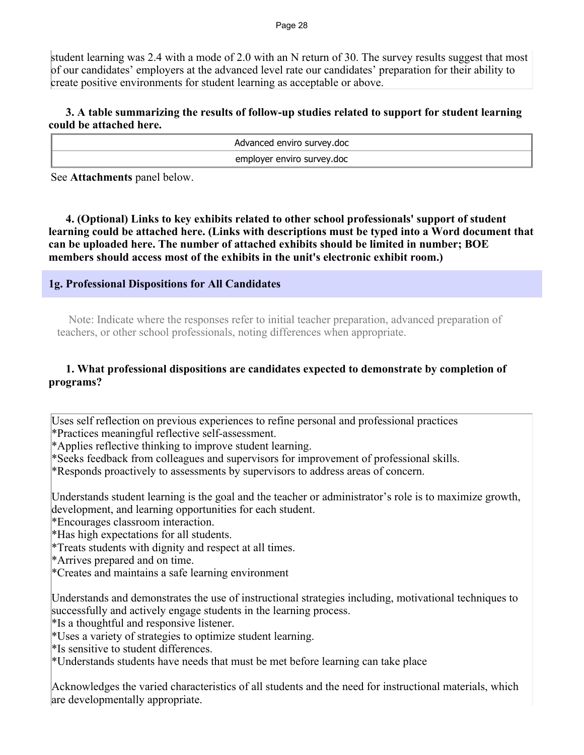student learning was 2.4 with a mode of 2.0 with an N return of 30. The survey results suggest that most of our candidates' employers at the advanced level rate our candidates' preparation for their ability to create positive environments for student learning as acceptable or above.

## **3. A table summarizing the results of follow-up studies related to support for student learning could be attached here.**

Advanced enviro survey.doc employer enviro survey.doc

See **Attachments** panel below.

 **4. (Optional) Links to key exhibits related to other school professionals' support of student learning could be attached here. (Links with descriptions must be typed into a Word document that can be uploaded here. The number of attached exhibits should be limited in number; BOE members should access most of the exhibits in the unit's electronic exhibit room.)**

## **1g. Professional Dispositions for All Candidates**

 Note: Indicate where the responses refer to initial teacher preparation, advanced preparation of teachers, or other school professionals, noting differences when appropriate.

## **1. What professional dispositions are candidates expected to demonstrate by completion of programs?**

Uses self reflection on previous experiences to refine personal and professional practices \*Practices meaningful reflective self-assessment.

\*Applies reflective thinking to improve student learning.

\*Seeks feedback from colleagues and supervisors for improvement of professional skills.

\*Responds proactively to assessments by supervisors to address areas of concern.

Understands student learning is the goal and the teacher or administrator's role is to maximize growth, development, and learning opportunities for each student.

\*Encourages classroom interaction.

\*Has high expectations for all students.

\*Treats students with dignity and respect at all times.

\*Arrives prepared and on time.

\*Creates and maintains a safe learning environment

Understands and demonstrates the use of instructional strategies including, motivational techniques to successfully and actively engage students in the learning process.

\*Is a thoughtful and responsive listener.

\*Uses a variety of strategies to optimize student learning.

\*Is sensitive to student differences.

\*Understands students have needs that must be met before learning can take place

Acknowledges the varied characteristics of all students and the need for instructional materials, which are developmentally appropriate.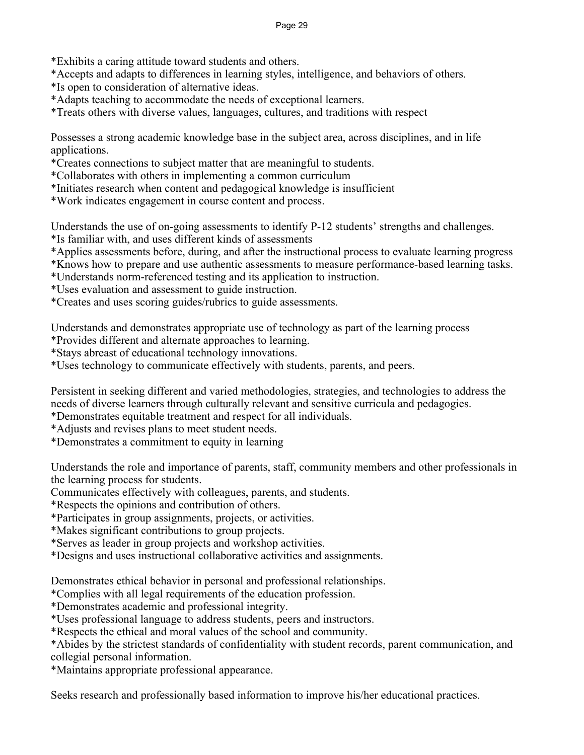\*Exhibits a caring attitude toward students and others.

\*Accepts and adapts to differences in learning styles, intelligence, and behaviors of others.

\*Is open to consideration of alternative ideas.

\*Adapts teaching to accommodate the needs of exceptional learners.

\*Treats others with diverse values, languages, cultures, and traditions with respect

Possesses a strong academic knowledge base in the subject area, across disciplines, and in life applications.

\*Creates connections to subject matter that are meaningful to students.

\*Collaborates with others in implementing a common curriculum

\*Initiates research when content and pedagogical knowledge is insufficient

\*Work indicates engagement in course content and process.

Understands the use of on-going assessments to identify P-12 students' strengths and challenges.

\*Is familiar with, and uses different kinds of assessments

\*Applies assessments before, during, and after the instructional process to evaluate learning progress

\*Knows how to prepare and use authentic assessments to measure performance-based learning tasks.

\*Understands norm-referenced testing and its application to instruction.

\*Uses evaluation and assessment to guide instruction.

\*Creates and uses scoring guides/rubrics to guide assessments.

Understands and demonstrates appropriate use of technology as part of the learning process

\*Provides different and alternate approaches to learning.

\*Stays abreast of educational technology innovations.

\*Uses technology to communicate effectively with students, parents, and peers.

Persistent in seeking different and varied methodologies, strategies, and technologies to address the needs of diverse learners through culturally relevant and sensitive curricula and pedagogies.

\*Demonstrates equitable treatment and respect for all individuals.

\*Adjusts and revises plans to meet student needs.

\*Demonstrates a commitment to equity in learning

Understands the role and importance of parents, staff, community members and other professionals in the learning process for students.

Communicates effectively with colleagues, parents, and students.

\*Respects the opinions and contribution of others.

\*Participates in group assignments, projects, or activities.

\*Makes significant contributions to group projects.

\*Serves as leader in group projects and workshop activities.

\*Designs and uses instructional collaborative activities and assignments.

Demonstrates ethical behavior in personal and professional relationships.

\*Complies with all legal requirements of the education profession.

\*Demonstrates academic and professional integrity.

\*Uses professional language to address students, peers and instructors.

\*Respects the ethical and moral values of the school and community.

\*Abides by the strictest standards of confidentiality with student records, parent communication, and collegial personal information.

\*Maintains appropriate professional appearance.

Seeks research and professionally based information to improve his/her educational practices.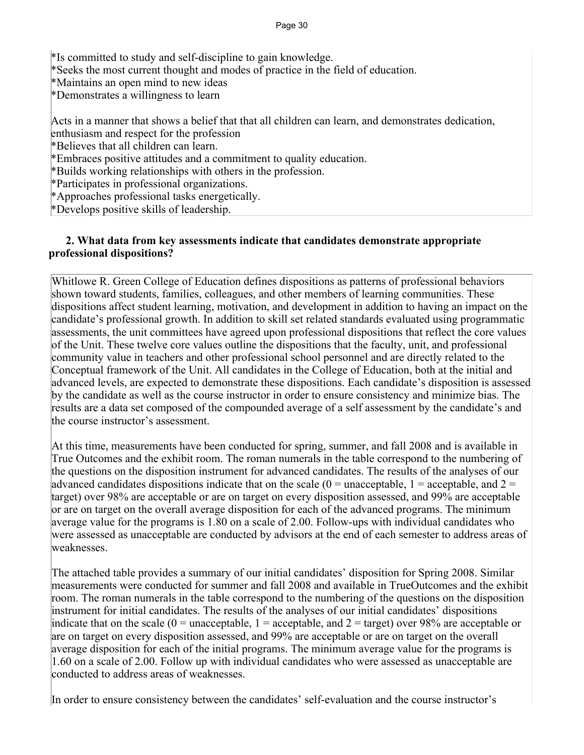#### Page 30

\*Is committed to study and self-discipline to gain knowledge.

\*Seeks the most current thought and modes of practice in the field of education.

\*Maintains an open mind to new ideas

\*Demonstrates a willingness to learn

Acts in a manner that shows a belief that that all children can learn, and demonstrates dedication,

enthusiasm and respect for the profession

\*Believes that all children can learn.

\*Embraces positive attitudes and a commitment to quality education.

\*Builds working relationships with others in the profession.

\*Participates in professional organizations.

\*Approaches professional tasks energetically.

\*Develops positive skills of leadership.

#### **2. What data from key assessments indicate that candidates demonstrate appropriate professional dispositions?**

Whitlowe R. Green College of Education defines dispositions as patterns of professional behaviors shown toward students, families, colleagues, and other members of learning communities. These dispositions affect student learning, motivation, and development in addition to having an impact on the candidate's professional growth. In addition to skill set related standards evaluated using programmatic assessments, the unit committees have agreed upon professional dispositions that reflect the core values of the Unit. These twelve core values outline the dispositions that the faculty, unit, and professional community value in teachers and other professional school personnel and are directly related to the Conceptual framework of the Unit. All candidates in the College of Education, both at the initial and advanced levels, are expected to demonstrate these dispositions. Each candidate's disposition is assessed by the candidate as well as the course instructor in order to ensure consistency and minimize bias. The results are a data set composed of the compounded average of a self assessment by the candidate's and the course instructor's assessment.

At this time, measurements have been conducted for spring, summer, and fall 2008 and is available in True Outcomes and the exhibit room. The roman numerals in the table correspond to the numbering of the questions on the disposition instrument for advanced candidates. The results of the analyses of our advanced candidates dispositions indicate that on the scale  $(0 = \text{unacceptable}, 1 = \text{acceptable}, \text{and } 2 = \text{output})$ target) over 98% are acceptable or are on target on every disposition assessed, and 99% are acceptable or are on target on the overall average disposition for each of the advanced programs. The minimum average value for the programs is 1.80 on a scale of 2.00. Follow-ups with individual candidates who were assessed as unacceptable are conducted by advisors at the end of each semester to address areas of weaknesses.

The attached table provides a summary of our initial candidates' disposition for Spring 2008. Similar measurements were conducted for summer and fall 2008 and available in TrueOutcomes and the exhibit room. The roman numerals in the table correspond to the numbering of the questions on the disposition instrument for initial candidates. The results of the analyses of our initial candidates' dispositions indicate that on the scale ( $0 =$  unacceptable,  $1 =$  acceptable, and  $2 =$  target) over 98% are acceptable or are on target on every disposition assessed, and 99% are acceptable or are on target on the overall average disposition for each of the initial programs. The minimum average value for the programs is 1.60 on a scale of 2.00. Follow up with individual candidates who were assessed as unacceptable are conducted to address areas of weaknesses.

In order to ensure consistency between the candidates' self-evaluation and the course instructor's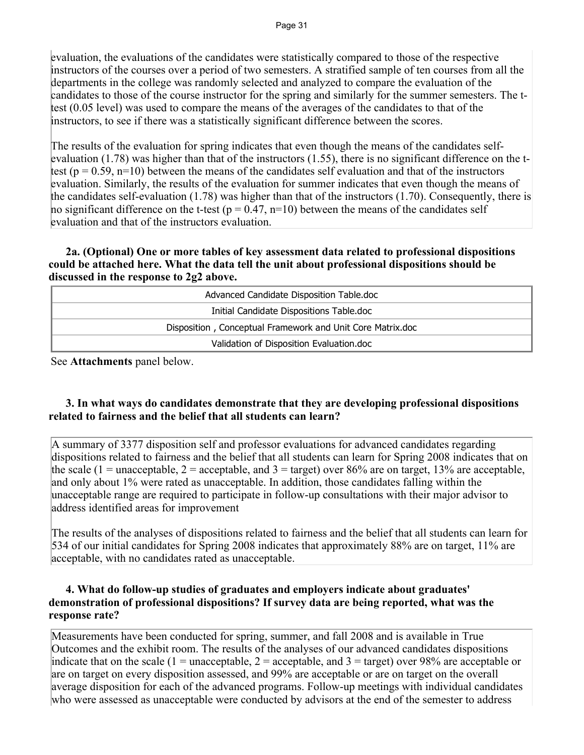evaluation, the evaluations of the candidates were statistically compared to those of the respective instructors of the courses over a period of two semesters. A stratified sample of ten courses from all the departments in the college was randomly selected and analyzed to compare the evaluation of the candidates to those of the course instructor for the spring and similarly for the summer semesters. The ttest (0.05 level) was used to compare the means of the averages of the candidates to that of the instructors, to see if there was a statistically significant difference between the scores.

The results of the evaluation for spring indicates that even though the means of the candidates selfevaluation (1.78) was higher than that of the instructors (1.55), there is no significant difference on the ttest ( $p = 0.59$ ,  $n=10$ ) between the means of the candidates self evaluation and that of the instructors evaluation. Similarly, the results of the evaluation for summer indicates that even though the means of the candidates self-evaluation (1.78) was higher than that of the instructors (1.70). Consequently, there is no significant difference on the t-test ( $p = 0.47$ ,  $n=10$ ) between the means of the candidates self evaluation and that of the instructors evaluation.

## **2a. (Optional) One or more tables of key assessment data related to professional dispositions could be attached here. What the data tell the unit about professional dispositions should be discussed in the response to 2g2 above.**

| Advanced Candidate Disposition Table.doc                   |  |  |  |
|------------------------------------------------------------|--|--|--|
| Initial Candidate Dispositions Table.doc                   |  |  |  |
| Disposition, Conceptual Framework and Unit Core Matrix.doc |  |  |  |
| Validation of Disposition Evaluation.doc                   |  |  |  |

See **Attachments** panel below.

## **3. In what ways do candidates demonstrate that they are developing professional dispositions related to fairness and the belief that all students can learn?**

A summary of 3377 disposition self and professor evaluations for advanced candidates regarding dispositions related to fairness and the belief that all students can learn for Spring 2008 indicates that on the scale (1 = unacceptable, 2 = acceptable, and 3 = target) over 86% are on target, 13% are acceptable, and only about 1% were rated as unacceptable. In addition, those candidates falling within the unacceptable range are required to participate in follow-up consultations with their major advisor to address identified areas for improvement

The results of the analyses of dispositions related to fairness and the belief that all students can learn for 534 of our initial candidates for Spring 2008 indicates that approximately 88% are on target, 11% are acceptable, with no candidates rated as unacceptable.

## **4. What do follow-up studies of graduates and employers indicate about graduates' demonstration of professional dispositions? If survey data are being reported, what was the response rate?**

Measurements have been conducted for spring, summer, and fall 2008 and is available in True Outcomes and the exhibit room. The results of the analyses of our advanced candidates dispositions indicate that on the scale (1 = unacceptable, 2 = acceptable, and 3 = target) over 98% are acceptable or are on target on every disposition assessed, and 99% are acceptable or are on target on the overall average disposition for each of the advanced programs. Follow-up meetings with individual candidates who were assessed as unacceptable were conducted by advisors at the end of the semester to address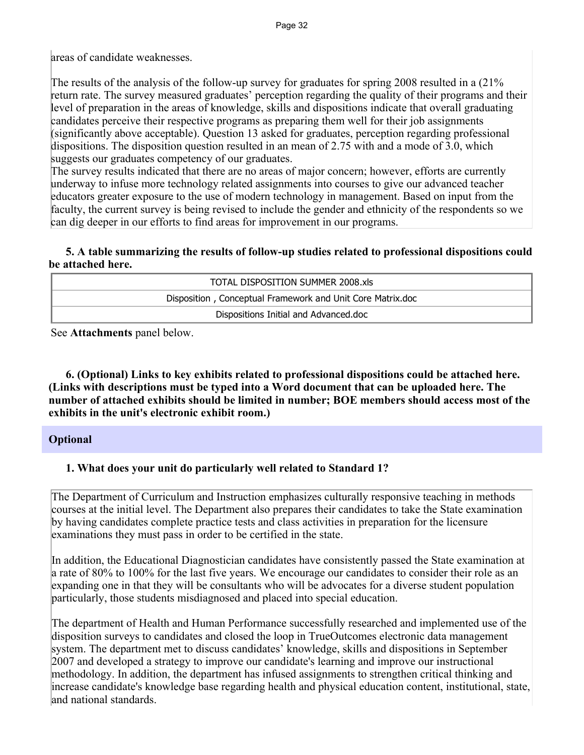areas of candidate weaknesses.

The results of the analysis of the follow-up survey for graduates for spring 2008 resulted in a (21% return rate. The survey measured graduates' perception regarding the quality of their programs and their level of preparation in the areas of knowledge, skills and dispositions indicate that overall graduating candidates perceive their respective programs as preparing them well for their job assignments (significantly above acceptable). Question 13 asked for graduates, perception regarding professional dispositions. The disposition question resulted in an mean of 2.75 with and a mode of 3.0, which suggests our graduates competency of our graduates.

The survey results indicated that there are no areas of major concern; however, efforts are currently underway to infuse more technology related assignments into courses to give our advanced teacher educators greater exposure to the use of modern technology in management. Based on input from the faculty, the current survey is being revised to include the gender and ethnicity of the respondents so we can dig deeper in our efforts to find areas for improvement in our programs.

## **5. A table summarizing the results of follow-up studies related to professional dispositions could be attached here.**

| TOTAL DISPOSITION SUMMER 2008.xls                          |
|------------------------------------------------------------|
| Disposition, Conceptual Framework and Unit Core Matrix.doc |
| Dispositions Initial and Advanced.doc                      |

See **Attachments** panel below.

 **6. (Optional) Links to key exhibits related to professional dispositions could be attached here. (Links with descriptions must be typed into a Word document that can be uploaded here. The number of attached exhibits should be limited in number; BOE members should access most of the exhibits in the unit's electronic exhibit room.)**

## **Optional**

## **1. What does your unit do particularly well related to Standard 1?**

The Department of Curriculum and Instruction emphasizes culturally responsive teaching in methods courses at the initial level. The Department also prepares their candidates to take the State examination by having candidates complete practice tests and class activities in preparation for the licensure examinations they must pass in order to be certified in the state.

In addition, the Educational Diagnostician candidates have consistently passed the State examination at a rate of 80% to 100% for the last five years. We encourage our candidates to consider their role as an expanding one in that they will be consultants who will be advocates for a diverse student population particularly, those students misdiagnosed and placed into special education.

The department of Health and Human Performance successfully researched and implemented use of the disposition surveys to candidates and closed the loop in TrueOutcomes electronic data management system. The department met to discuss candidates' knowledge, skills and dispositions in September 2007 and developed a strategy to improve our candidate's learning and improve our instructional methodology. In addition, the department has infused assignments to strengthen critical thinking and increase candidate's knowledge base regarding health and physical education content, institutional, state, and national standards.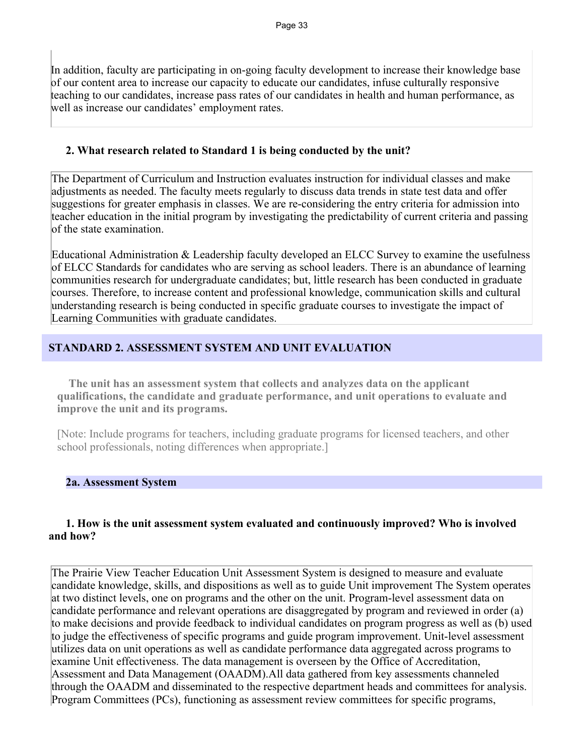In addition, faculty are participating in on-going faculty development to increase their knowledge base of our content area to increase our capacity to educate our candidates, infuse culturally responsive teaching to our candidates, increase pass rates of our candidates in health and human performance, as well as increase our candidates' employment rates.

#### **2. What research related to Standard 1 is being conducted by the unit?**

The Department of Curriculum and Instruction evaluates instruction for individual classes and make adjustments as needed. The faculty meets regularly to discuss data trends in state test data and offer suggestions for greater emphasis in classes. We are re-considering the entry criteria for admission into teacher education in the initial program by investigating the predictability of current criteria and passing of the state examination.

Educational Administration & Leadership faculty developed an ELCC Survey to examine the usefulness of ELCC Standards for candidates who are serving as school leaders. There is an abundance of learning communities research for undergraduate candidates; but, little research has been conducted in graduate courses. Therefore, to increase content and professional knowledge, communication skills and cultural understanding research is being conducted in specific graduate courses to investigate the impact of Learning Communities with graduate candidates.

## **STANDARD 2. ASSESSMENT SYSTEM AND UNIT EVALUATION**

 **The unit has an assessment system that collects and analyzes data on the applicant qualifications, the candidate and graduate performance, and unit operations to evaluate and improve the unit and its programs.**

[Note: Include programs for teachers, including graduate programs for licensed teachers, and other school professionals, noting differences when appropriate.]

#### **2a. Assessment System**

#### **1. How is the unit assessment system evaluated and continuously improved? Who is involved and how?**

The Prairie View Teacher Education Unit Assessment System is designed to measure and evaluate candidate knowledge, skills, and dispositions as well as to guide Unit improvement The System operates at two distinct levels, one on programs and the other on the unit. Program-level assessment data on candidate performance and relevant operations are disaggregated by program and reviewed in order (a) to make decisions and provide feedback to individual candidates on program progress as well as (b) used to judge the effectiveness of specific programs and guide program improvement. Unit-level assessment utilizes data on unit operations as well as candidate performance data aggregated across programs to examine Unit effectiveness. The data management is overseen by the Office of Accreditation, Assessment and Data Management (OAADM).All data gathered from key assessments channeled through the OAADM and disseminated to the respective department heads and committees for analysis. Program Committees (PCs), functioning as assessment review committees for specific programs,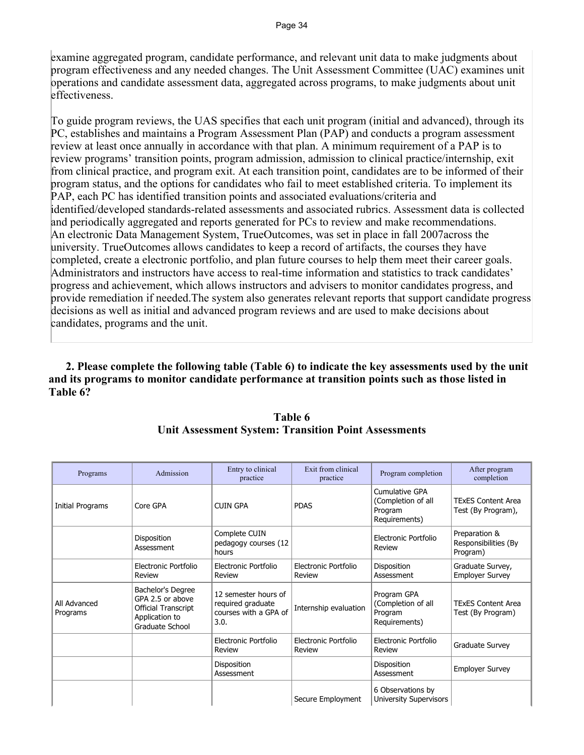examine aggregated program, candidate performance, and relevant unit data to make judgments about program effectiveness and any needed changes. The Unit Assessment Committee (UAC) examines unit operations and candidate assessment data, aggregated across programs, to make judgments about unit effectiveness.

To guide program reviews, the UAS specifies that each unit program (initial and advanced), through its PC, establishes and maintains a Program Assessment Plan (PAP) and conducts a program assessment review at least once annually in accordance with that plan. A minimum requirement of a PAP is to review programs' transition points, program admission, admission to clinical practice/internship, exit from clinical practice, and program exit. At each transition point, candidates are to be informed of their program status, and the options for candidates who fail to meet established criteria. To implement its PAP, each PC has identified transition points and associated evaluations/criteria and identified/developed standards-related assessments and associated rubrics. Assessment data is collected and periodically aggregated and reports generated for PCs to review and make recommendations. An electronic Data Management System, TrueOutcomes, was set in place in fall 2007across the university. TrueOutcomes allows candidates to keep a record of artifacts, the courses they have completed, create a electronic portfolio, and plan future courses to help them meet their career goals. Administrators and instructors have access to real-time information and statistics to track candidates' progress and achievement, which allows instructors and advisers to monitor candidates progress, and provide remediation if needed.The system also generates relevant reports that support candidate progress decisions as well as initial and advanced program reviews and are used to make decisions about candidates, programs and the unit.

 **2. Please complete the following table (Table 6) to indicate the key assessments used by the unit and its programs to monitor candidate performance at transition points such as those listed in Table 6?**

| Programs                 | Admission                                                                                         | Entry to clinical<br>practice                                              | Exit from clinical<br>practice | Program completion                                               | After program<br>completion                       |
|--------------------------|---------------------------------------------------------------------------------------------------|----------------------------------------------------------------------------|--------------------------------|------------------------------------------------------------------|---------------------------------------------------|
| <b>Initial Programs</b>  | Core GPA                                                                                          | <b>CUIN GPA</b>                                                            | <b>PDAS</b>                    | Cumulative GPA<br>(Completion of all<br>Program<br>Requirements) | <b>TExES Content Area</b><br>Test (By Program),   |
|                          | Disposition<br>Assessment                                                                         | Complete CUIN<br>pedagogy courses (12<br>hours                             |                                | Electronic Portfolio<br>Review                                   | Preparation &<br>Responsibilities (By<br>Program) |
|                          | Electronic Portfolio<br>Review                                                                    | Electronic Portfolio<br>Review                                             | Electronic Portfolio<br>Review | <b>Disposition</b><br>Assessment                                 | Graduate Survey,<br><b>Employer Survey</b>        |
| All Advanced<br>Programs | Bachelor's Degree<br>GPA 2.5 or above<br>Official Transcript<br>Application to<br>Graduate School | 12 semester hours of<br>required graduate<br>courses with a GPA of<br>3.0. | Internship evaluation          | Program GPA<br>(Completion of all<br>Program<br>Requirements)    | <b>TExES Content Area</b><br>Test (By Program)    |
|                          |                                                                                                   | Electronic Portfolio<br>Review                                             | Electronic Portfolio<br>Review | Electronic Portfolio<br>Review                                   | Graduate Survey                                   |
|                          |                                                                                                   | Disposition<br>Assessment                                                  |                                | Disposition<br>Assessment                                        | <b>Employer Survey</b>                            |
|                          |                                                                                                   |                                                                            | Secure Employment              | 6 Observations by<br><b>University Supervisors</b>               |                                                   |

## **Table 6 Unit Assessment System: Transition Point Assessments**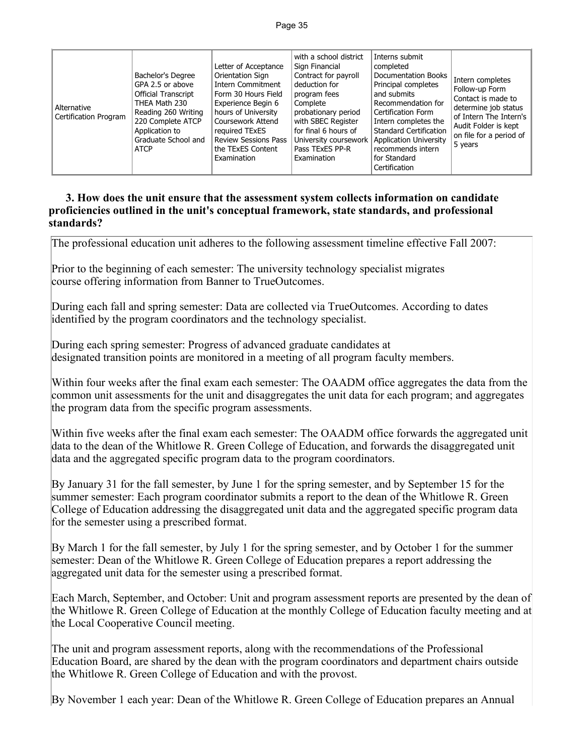| Alternative<br>Certification Program | Bachelor's Degree<br>GPA 2.5 or above<br><b>Official Transcript</b><br>THEA Math 230<br>Reading 260 Writing<br>220 Complete ATCP<br>Application to<br>Graduate School and<br><b>ATCP</b> | Letter of Acceptance<br>Orientation Sign<br><b>Intern Commitment</b><br>Form 30 Hours Field<br>Experience Begin 6<br>hours of University<br>Coursework Attend<br>required TExES<br><b>Review Sessions Pass</b><br>the TExES Content<br>Examination | with a school district<br>Sign Financial<br>Contract for payroll<br>deduction for<br>program fees<br>Complete<br>probationary period<br>with SBEC Register<br>for final 6 hours of<br>University coursework<br>Pass TExES PP-R<br>Examination | Interns submit<br>completed<br>Documentation Books<br>Principal completes<br>and submits<br>Recommendation for<br>Certification Form<br>Intern completes the<br><b>Standard Certification</b><br><b>Application University</b><br>recommends intern<br>for Standard<br>Certification | Intern completes<br>Follow-up Form<br>Contact is made to<br>determine job status<br>of Intern The Intern's<br>Audit Folder is kept<br>on file for a period of<br>5 years |
|--------------------------------------|------------------------------------------------------------------------------------------------------------------------------------------------------------------------------------------|----------------------------------------------------------------------------------------------------------------------------------------------------------------------------------------------------------------------------------------------------|-----------------------------------------------------------------------------------------------------------------------------------------------------------------------------------------------------------------------------------------------|--------------------------------------------------------------------------------------------------------------------------------------------------------------------------------------------------------------------------------------------------------------------------------------|--------------------------------------------------------------------------------------------------------------------------------------------------------------------------|
|--------------------------------------|------------------------------------------------------------------------------------------------------------------------------------------------------------------------------------------|----------------------------------------------------------------------------------------------------------------------------------------------------------------------------------------------------------------------------------------------------|-----------------------------------------------------------------------------------------------------------------------------------------------------------------------------------------------------------------------------------------------|--------------------------------------------------------------------------------------------------------------------------------------------------------------------------------------------------------------------------------------------------------------------------------------|--------------------------------------------------------------------------------------------------------------------------------------------------------------------------|

#### **3. How does the unit ensure that the assessment system collects information on candidate proficiencies outlined in the unit's conceptual framework, state standards, and professional standards?**

The professional education unit adheres to the following assessment timeline effective Fall 2007:

Prior to the beginning of each semester: The university technology specialist migrates course offering information from Banner to TrueOutcomes.

During each fall and spring semester: Data are collected via TrueOutcomes. According to dates identified by the program coordinators and the technology specialist.

During each spring semester: Progress of advanced graduate candidates at designated transition points are monitored in a meeting of all program faculty members.

Within four weeks after the final exam each semester: The OAADM office aggregates the data from the common unit assessments for the unit and disaggregates the unit data for each program; and aggregates the program data from the specific program assessments.

Within five weeks after the final exam each semester: The OAADM office forwards the aggregated unit data to the dean of the Whitlowe R. Green College of Education, and forwards the disaggregated unit data and the aggregated specific program data to the program coordinators.

By January 31 for the fall semester, by June 1 for the spring semester, and by September 15 for the summer semester: Each program coordinator submits a report to the dean of the Whitlowe R. Green College of Education addressing the disaggregated unit data and the aggregated specific program data for the semester using a prescribed format.

By March 1 for the fall semester, by July 1 for the spring semester, and by October 1 for the summer semester: Dean of the Whitlowe R. Green College of Education prepares a report addressing the aggregated unit data for the semester using a prescribed format.

Each March, September, and October: Unit and program assessment reports are presented by the dean of the Whitlowe R. Green College of Education at the monthly College of Education faculty meeting and at the Local Cooperative Council meeting.

The unit and program assessment reports, along with the recommendations of the Professional Education Board, are shared by the dean with the program coordinators and department chairs outside the Whitlowe R. Green College of Education and with the provost.

By November 1 each year: Dean of the Whitlowe R. Green College of Education prepares an Annual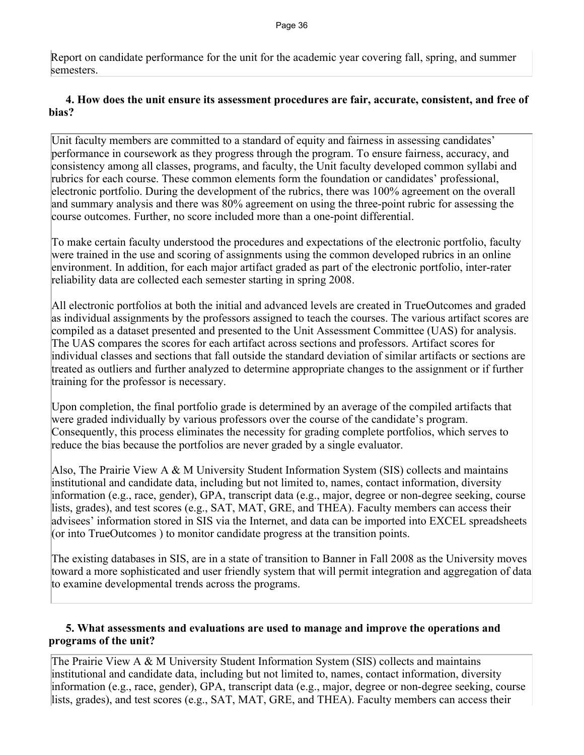Report on candidate performance for the unit for the academic year covering fall, spring, and summer semesters.

## **4. How does the unit ensure its assessment procedures are fair, accurate, consistent, and free of bias?**

Unit faculty members are committed to a standard of equity and fairness in assessing candidates' performance in coursework as they progress through the program. To ensure fairness, accuracy, and consistency among all classes, programs, and faculty, the Unit faculty developed common syllabi and rubrics for each course. These common elements form the foundation or candidates' professional, electronic portfolio. During the development of the rubrics, there was 100% agreement on the overall and summary analysis and there was 80% agreement on using the three-point rubric for assessing the course outcomes. Further, no score included more than a one-point differential.

To make certain faculty understood the procedures and expectations of the electronic portfolio, faculty were trained in the use and scoring of assignments using the common developed rubrics in an online environment. In addition, for each major artifact graded as part of the electronic portfolio, inter-rater reliability data are collected each semester starting in spring 2008.

All electronic portfolios at both the initial and advanced levels are created in TrueOutcomes and graded as individual assignments by the professors assigned to teach the courses. The various artifact scores are compiled as a dataset presented and presented to the Unit Assessment Committee (UAS) for analysis. The UAS compares the scores for each artifact across sections and professors. Artifact scores for individual classes and sections that fall outside the standard deviation of similar artifacts or sections are treated as outliers and further analyzed to determine appropriate changes to the assignment or if further training for the professor is necessary.

Upon completion, the final portfolio grade is determined by an average of the compiled artifacts that were graded individually by various professors over the course of the candidate's program. Consequently, this process eliminates the necessity for grading complete portfolios, which serves to reduce the bias because the portfolios are never graded by a single evaluator.

Also, The Prairie View A & M University Student Information System (SIS) collects and maintains institutional and candidate data, including but not limited to, names, contact information, diversity information (e.g., race, gender), GPA, transcript data (e.g., major, degree or non-degree seeking, course lists, grades), and test scores (e.g., SAT, MAT, GRE, and THEA). Faculty members can access their advisees' information stored in SIS via the Internet, and data can be imported into EXCEL spreadsheets (or into TrueOutcomes ) to monitor candidate progress at the transition points.

The existing databases in SIS, are in a state of transition to Banner in Fall 2008 as the University moves toward a more sophisticated and user friendly system that will permit integration and aggregation of data to examine developmental trends across the programs.

## **5. What assessments and evaluations are used to manage and improve the operations and programs of the unit?**

The Prairie View A & M University Student Information System (SIS) collects and maintains institutional and candidate data, including but not limited to, names, contact information, diversity information (e.g., race, gender), GPA, transcript data (e.g., major, degree or non-degree seeking, course lists, grades), and test scores (e.g., SAT, MAT, GRE, and THEA). Faculty members can access their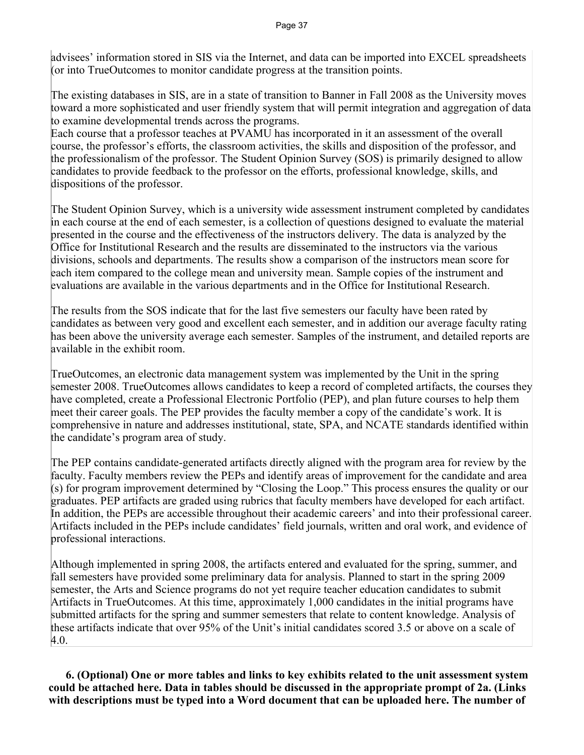advisees' information stored in SIS via the Internet, and data can be imported into EXCEL spreadsheets (or into TrueOutcomes to monitor candidate progress at the transition points.

The existing databases in SIS, are in a state of transition to Banner in Fall 2008 as the University moves toward a more sophisticated and user friendly system that will permit integration and aggregation of data to examine developmental trends across the programs.

Each course that a professor teaches at PVAMU has incorporated in it an assessment of the overall course, the professor's efforts, the classroom activities, the skills and disposition of the professor, and the professionalism of the professor. The Student Opinion Survey (SOS) is primarily designed to allow candidates to provide feedback to the professor on the efforts, professional knowledge, skills, and dispositions of the professor.

The Student Opinion Survey, which is a university wide assessment instrument completed by candidates in each course at the end of each semester, is a collection of questions designed to evaluate the material presented in the course and the effectiveness of the instructors delivery. The data is analyzed by the Office for Institutional Research and the results are disseminated to the instructors via the various divisions, schools and departments. The results show a comparison of the instructors mean score for each item compared to the college mean and university mean. Sample copies of the instrument and evaluations are available in the various departments and in the Office for Institutional Research.

The results from the SOS indicate that for the last five semesters our faculty have been rated by candidates as between very good and excellent each semester, and in addition our average faculty rating has been above the university average each semester. Samples of the instrument, and detailed reports are available in the exhibit room.

TrueOutcomes, an electronic data management system was implemented by the Unit in the spring semester 2008. TrueOutcomes allows candidates to keep a record of completed artifacts, the courses they have completed, create a Professional Electronic Portfolio (PEP), and plan future courses to help them meet their career goals. The PEP provides the faculty member a copy of the candidate's work. It is comprehensive in nature and addresses institutional, state, SPA, and NCATE standards identified within the candidate's program area of study.

The PEP contains candidate-generated artifacts directly aligned with the program area for review by the faculty. Faculty members review the PEPs and identify areas of improvement for the candidate and area (s) for program improvement determined by "Closing the Loop." This process ensures the quality or our graduates. PEP artifacts are graded using rubrics that faculty members have developed for each artifact. In addition, the PEPs are accessible throughout their academic careers' and into their professional career. Artifacts included in the PEPs include candidates' field journals, written and oral work, and evidence of professional interactions.

Although implemented in spring 2008, the artifacts entered and evaluated for the spring, summer, and fall semesters have provided some preliminary data for analysis. Planned to start in the spring 2009 semester, the Arts and Science programs do not yet require teacher education candidates to submit Artifacts in TrueOutcomes. At this time, approximately 1,000 candidates in the initial programs have submitted artifacts for the spring and summer semesters that relate to content knowledge. Analysis of these artifacts indicate that over 95% of the Unit's initial candidates scored 3.5 or above on a scale of 4.0.

 **6. (Optional) One or more tables and links to key exhibits related to the unit assessment system could be attached here. Data in tables should be discussed in the appropriate prompt of 2a. (Links with descriptions must be typed into a Word document that can be uploaded here. The number of**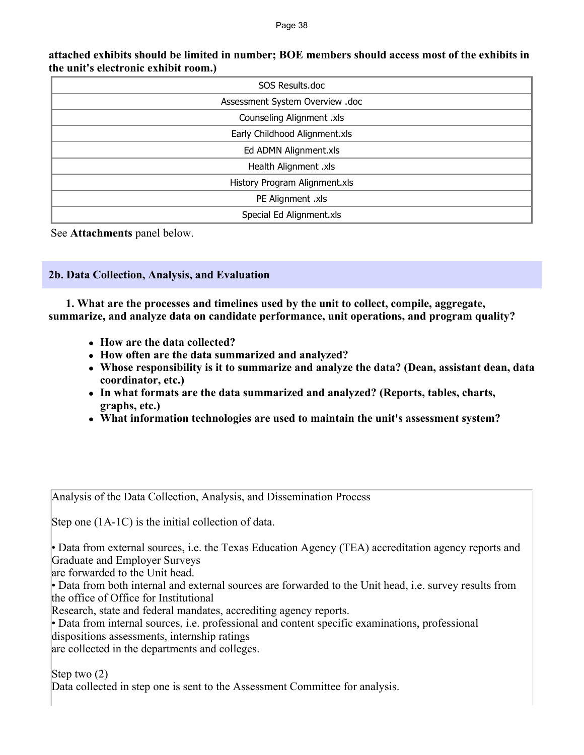| SOS Results.doc                 |  |  |  |  |
|---------------------------------|--|--|--|--|
| Assessment System Overview .doc |  |  |  |  |
| Counseling Alignment .xls       |  |  |  |  |
| Early Childhood Alignment.xls   |  |  |  |  |
| Ed ADMN Alignment.xls           |  |  |  |  |
| Health Alignment .xls           |  |  |  |  |
| History Program Alignment.xls   |  |  |  |  |
| PE Alignment .xls               |  |  |  |  |
| Special Ed Alignment.xls        |  |  |  |  |

#### **attached exhibits should be limited in number; BOE members should access most of the exhibits in the unit's electronic exhibit room.)**

See **Attachments** panel below.

**2b. Data Collection, Analysis, and Evaluation**

 **1. What are the processes and timelines used by the unit to collect, compile, aggregate, summarize, and analyze data on candidate performance, unit operations, and program quality?** 

- ! **How are the data collected?**
- ! **How often are the data summarized and analyzed?**
- ! **Whose responsibility is it to summarize and analyze the data? (Dean, assistant dean, data coordinator, etc.)**
- ! **In what formats are the data summarized and analyzed? (Reports, tables, charts, graphs, etc.)**
- ! **What information technologies are used to maintain the unit's assessment system?**

Analysis of the Data Collection, Analysis, and Dissemination Process

Step one (1A-1C) is the initial collection of data.

• Data from external sources, i.e. the Texas Education Agency (TEA) accreditation agency reports and Graduate and Employer Surveys

are forwarded to the Unit head.

• Data from both internal and external sources are forwarded to the Unit head, i.e. survey results from the office of Office for Institutional

Research, state and federal mandates, accrediting agency reports.

• Data from internal sources, i.e. professional and content specific examinations, professional dispositions assessments, internship ratings

are collected in the departments and colleges.

Step two (2)

Data collected in step one is sent to the Assessment Committee for analysis.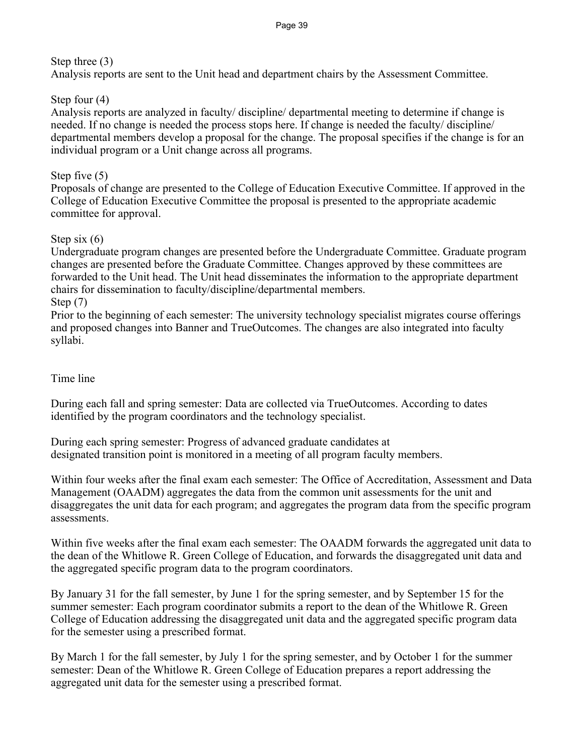## Step three (3)

Analysis reports are sent to the Unit head and department chairs by the Assessment Committee.

## Step four (4)

Analysis reports are analyzed in faculty/ discipline/ departmental meeting to determine if change is needed. If no change is needed the process stops here. If change is needed the faculty/ discipline/ departmental members develop a proposal for the change. The proposal specifies if the change is for an individual program or a Unit change across all programs.

## Step five (5)

Proposals of change are presented to the College of Education Executive Committee. If approved in the College of Education Executive Committee the proposal is presented to the appropriate academic committee for approval.

## Step six (6)

Undergraduate program changes are presented before the Undergraduate Committee. Graduate program changes are presented before the Graduate Committee. Changes approved by these committees are forwarded to the Unit head. The Unit head disseminates the information to the appropriate department chairs for dissemination to faculty/discipline/departmental members. Step (7)

Prior to the beginning of each semester: The university technology specialist migrates course offerings and proposed changes into Banner and TrueOutcomes. The changes are also integrated into faculty syllabi.

## Time line

During each fall and spring semester: Data are collected via TrueOutcomes. According to dates identified by the program coordinators and the technology specialist.

During each spring semester: Progress of advanced graduate candidates at designated transition point is monitored in a meeting of all program faculty members.

Within four weeks after the final exam each semester: The Office of Accreditation, Assessment and Data Management (OAADM) aggregates the data from the common unit assessments for the unit and disaggregates the unit data for each program; and aggregates the program data from the specific program assessments.

Within five weeks after the final exam each semester: The OAADM forwards the aggregated unit data to the dean of the Whitlowe R. Green College of Education, and forwards the disaggregated unit data and the aggregated specific program data to the program coordinators.

By January 31 for the fall semester, by June 1 for the spring semester, and by September 15 for the summer semester: Each program coordinator submits a report to the dean of the Whitlowe R. Green College of Education addressing the disaggregated unit data and the aggregated specific program data for the semester using a prescribed format.

By March 1 for the fall semester, by July 1 for the spring semester, and by October 1 for the summer semester: Dean of the Whitlowe R. Green College of Education prepares a report addressing the aggregated unit data for the semester using a prescribed format.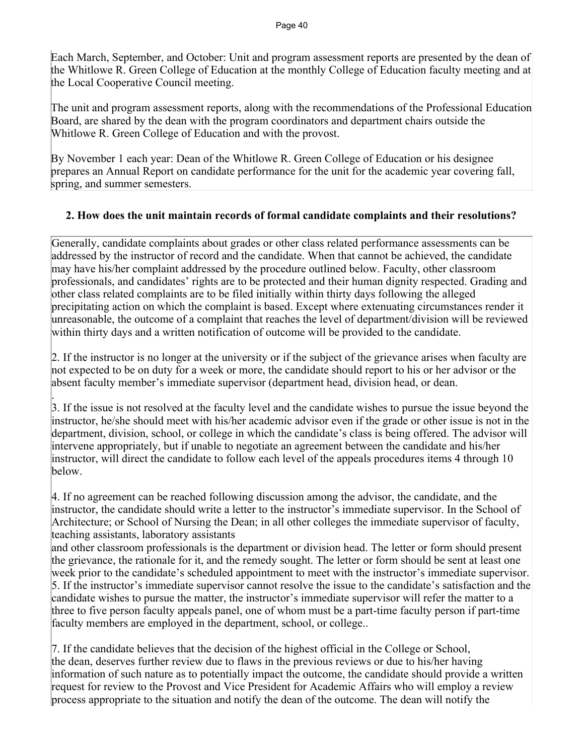Each March, September, and October: Unit and program assessment reports are presented by the dean of the Whitlowe R. Green College of Education at the monthly College of Education faculty meeting and at the Local Cooperative Council meeting.

The unit and program assessment reports, along with the recommendations of the Professional Education Board, are shared by the dean with the program coordinators and department chairs outside the Whitlowe R. Green College of Education and with the provost.

By November 1 each year: Dean of the Whitlowe R. Green College of Education or his designee prepares an Annual Report on candidate performance for the unit for the academic year covering fall, spring, and summer semesters.

## **2. How does the unit maintain records of formal candidate complaints and their resolutions?**

Generally, candidate complaints about grades or other class related performance assessments can be addressed by the instructor of record and the candidate. When that cannot be achieved, the candidate may have his/her complaint addressed by the procedure outlined below. Faculty, other classroom professionals, and candidates' rights are to be protected and their human dignity respected. Grading and other class related complaints are to be filed initially within thirty days following the alleged precipitating action on which the complaint is based. Except where extenuating circumstances render it unreasonable, the outcome of a complaint that reaches the level of department/division will be reviewed within thirty days and a written notification of outcome will be provided to the candidate.

2. If the instructor is no longer at the university or if the subject of the grievance arises when faculty are not expected to be on duty for a week or more, the candidate should report to his or her advisor or the absent faculty member's immediate supervisor (department head, division head, or dean.

. 3. If the issue is not resolved at the faculty level and the candidate wishes to pursue the issue beyond the instructor, he/she should meet with his/her academic advisor even if the grade or other issue is not in the department, division, school, or college in which the candidate's class is being offered. The advisor will intervene appropriately, but if unable to negotiate an agreement between the candidate and his/her instructor, will direct the candidate to follow each level of the appeals procedures items 4 through 10 below.

4. If no agreement can be reached following discussion among the advisor, the candidate, and the instructor, the candidate should write a letter to the instructor's immediate supervisor. In the School of Architecture; or School of Nursing the Dean; in all other colleges the immediate supervisor of faculty, teaching assistants, laboratory assistants

and other classroom professionals is the department or division head. The letter or form should present the grievance, the rationale for it, and the remedy sought. The letter or form should be sent at least one week prior to the candidate's scheduled appointment to meet with the instructor's immediate supervisor. 5. If the instructor's immediate supervisor cannot resolve the issue to the candidate's satisfaction and the candidate wishes to pursue the matter, the instructor's immediate supervisor will refer the matter to a three to five person faculty appeals panel, one of whom must be a part-time faculty person if part-time faculty members are employed in the department, school, or college..

7. If the candidate believes that the decision of the highest official in the College or School, the dean, deserves further review due to flaws in the previous reviews or due to his/her having information of such nature as to potentially impact the outcome, the candidate should provide a written request for review to the Provost and Vice President for Academic Affairs who will employ a review process appropriate to the situation and notify the dean of the outcome. The dean will notify the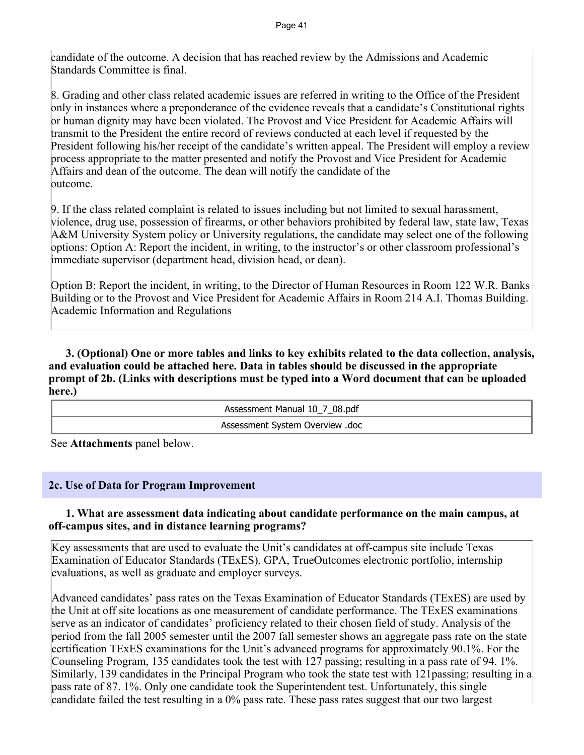candidate of the outcome. A decision that has reached review by the Admissions and Academic Standards Committee is final.

8. Grading and other class related academic issues are referred in writing to the Office of the President only in instances where a preponderance of the evidence reveals that a candidate's Constitutional rights or human dignity may have been violated. The Provost and Vice President for Academic Affairs will transmit to the President the entire record of reviews conducted at each level if requested by the President following his/her receipt of the candidate's written appeal. The President will employ a review process appropriate to the matter presented and notify the Provost and Vice President for Academic Affairs and dean of the outcome. The dean will notify the candidate of the outcome.

9. If the class related complaint is related to issues including but not limited to sexual harassment, violence, drug use, possession of firearms, or other behaviors prohibited by federal law, state law, Texas A&M University System policy or University regulations, the candidate may select one of the following options: Option A: Report the incident, in writing, to the instructor's or other classroom professional's immediate supervisor (department head, division head, or dean).

Option B: Report the incident, in writing, to the Director of Human Resources in Room 122 W.R. Banks Building or to the Provost and Vice President for Academic Affairs in Room 214 A.I. Thomas Building. Academic Information and Regulations

 **3. (Optional) One or more tables and links to key exhibits related to the data collection, analysis, and evaluation could be attached here. Data in tables should be discussed in the appropriate prompt of 2b. (Links with descriptions must be typed into a Word document that can be uploaded here.)**

> Assessment Manual 10\_7\_08.pdf Assessment System Overview .doc

See **Attachments** panel below.

#### **2c. Use of Data for Program Improvement**

#### **1. What are assessment data indicating about candidate performance on the main campus, at off-campus sites, and in distance learning programs?**

Key assessments that are used to evaluate the Unit's candidates at off-campus site include Texas Examination of Educator Standards (TExES), GPA, TrueOutcomes electronic portfolio, internship evaluations, as well as graduate and employer surveys.

Advanced candidates' pass rates on the Texas Examination of Educator Standards (TExES) are used by the Unit at off site locations as one measurement of candidate performance. The TExES examinations serve as an indicator of candidates' proficiency related to their chosen field of study. Analysis of the period from the fall 2005 semester until the 2007 fall semester shows an aggregate pass rate on the state certification TExES examinations for the Unit's advanced programs for approximately 90.1%. For the Counseling Program, 135 candidates took the test with 127 passing; resulting in a pass rate of 94. 1%. Similarly, 139 candidates in the Principal Program who took the state test with 121passing; resulting in a pass rate of 87. 1%. Only one candidate took the Superintendent test. Unfortunately, this single candidate failed the test resulting in a 0% pass rate. These pass rates suggest that our two largest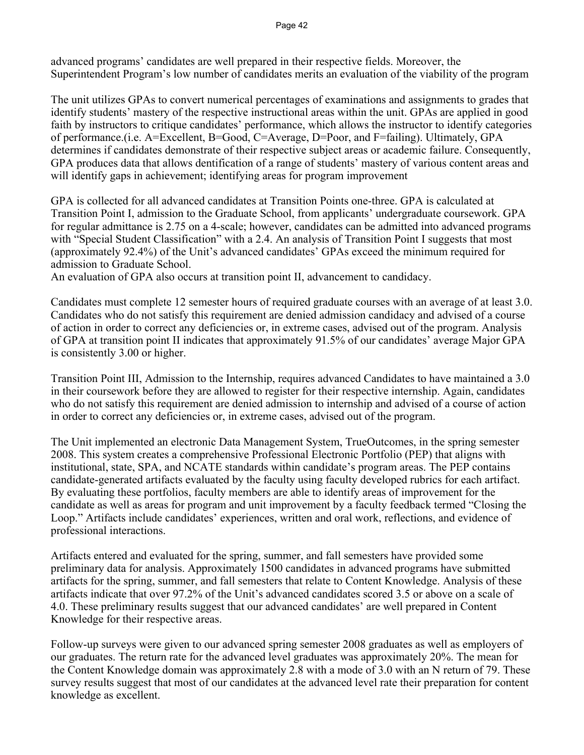advanced programs' candidates are well prepared in their respective fields. Moreover, the Superintendent Program's low number of candidates merits an evaluation of the viability of the program

The unit utilizes GPAs to convert numerical percentages of examinations and assignments to grades that identify students' mastery of the respective instructional areas within the unit. GPAs are applied in good faith by instructors to critique candidates' performance, which allows the instructor to identify categories of performance.(i.e. A=Excellent, B=Good, C=Average, D=Poor, and F=failing). Ultimately, GPA determines if candidates demonstrate of their respective subject areas or academic failure. Consequently, GPA produces data that allows dentification of a range of students' mastery of various content areas and will identify gaps in achievement; identifying areas for program improvement

GPA is collected for all advanced candidates at Transition Points one-three. GPA is calculated at Transition Point I, admission to the Graduate School, from applicants' undergraduate coursework. GPA for regular admittance is 2.75 on a 4-scale; however, candidates can be admitted into advanced programs with "Special Student Classification" with a 2.4. An analysis of Transition Point I suggests that most (approximately 92.4%) of the Unit's advanced candidates' GPAs exceed the minimum required for admission to Graduate School.

An evaluation of GPA also occurs at transition point II, advancement to candidacy.

Candidates must complete 12 semester hours of required graduate courses with an average of at least 3.0. Candidates who do not satisfy this requirement are denied admission candidacy and advised of a course of action in order to correct any deficiencies or, in extreme cases, advised out of the program. Analysis of GPA at transition point II indicates that approximately 91.5% of our candidates' average Major GPA is consistently 3.00 or higher.

Transition Point III, Admission to the Internship, requires advanced Candidates to have maintained a 3.0 in their coursework before they are allowed to register for their respective internship. Again, candidates who do not satisfy this requirement are denied admission to internship and advised of a course of action in order to correct any deficiencies or, in extreme cases, advised out of the program.

The Unit implemented an electronic Data Management System, TrueOutcomes, in the spring semester 2008. This system creates a comprehensive Professional Electronic Portfolio (PEP) that aligns with institutional, state, SPA, and NCATE standards within candidate's program areas. The PEP contains candidate-generated artifacts evaluated by the faculty using faculty developed rubrics for each artifact. By evaluating these portfolios, faculty members are able to identify areas of improvement for the candidate as well as areas for program and unit improvement by a faculty feedback termed "Closing the Loop." Artifacts include candidates' experiences, written and oral work, reflections, and evidence of professional interactions.

Artifacts entered and evaluated for the spring, summer, and fall semesters have provided some preliminary data for analysis. Approximately 1500 candidates in advanced programs have submitted artifacts for the spring, summer, and fall semesters that relate to Content Knowledge. Analysis of these artifacts indicate that over 97.2% of the Unit's advanced candidates scored 3.5 or above on a scale of 4.0. These preliminary results suggest that our advanced candidates' are well prepared in Content Knowledge for their respective areas.

Follow-up surveys were given to our advanced spring semester 2008 graduates as well as employers of our graduates. The return rate for the advanced level graduates was approximately 20%. The mean for the Content Knowledge domain was approximately 2.8 with a mode of 3.0 with an N return of 79. These survey results suggest that most of our candidates at the advanced level rate their preparation for content knowledge as excellent.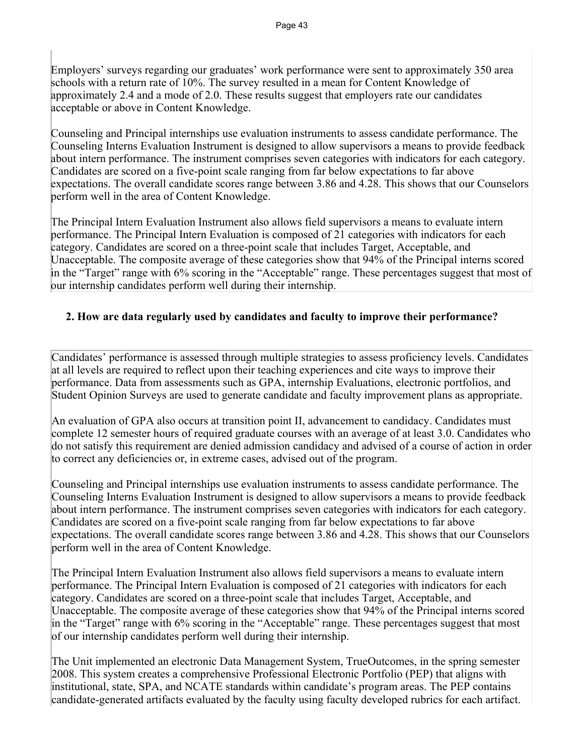Employers' surveys regarding our graduates' work performance were sent to approximately 350 area schools with a return rate of 10%. The survey resulted in a mean for Content Knowledge of approximately 2.4 and a mode of 2.0. These results suggest that employers rate our candidates acceptable or above in Content Knowledge.

Counseling and Principal internships use evaluation instruments to assess candidate performance. The Counseling Interns Evaluation Instrument is designed to allow supervisors a means to provide feedback about intern performance. The instrument comprises seven categories with indicators for each category. Candidates are scored on a five-point scale ranging from far below expectations to far above expectations. The overall candidate scores range between 3.86 and 4.28. This shows that our Counselors perform well in the area of Content Knowledge.

The Principal Intern Evaluation Instrument also allows field supervisors a means to evaluate intern performance. The Principal Intern Evaluation is composed of 21 categories with indicators for each category. Candidates are scored on a three-point scale that includes Target, Acceptable, and Unacceptable. The composite average of these categories show that 94% of the Principal interns scored in the "Target" range with 6% scoring in the "Acceptable" range. These percentages suggest that most of our internship candidates perform well during their internship.

## **2. How are data regularly used by candidates and faculty to improve their performance?**

Candidates' performance is assessed through multiple strategies to assess proficiency levels. Candidates at all levels are required to reflect upon their teaching experiences and cite ways to improve their performance. Data from assessments such as GPA, internship Evaluations, electronic portfolios, and Student Opinion Surveys are used to generate candidate and faculty improvement plans as appropriate.

An evaluation of GPA also occurs at transition point II, advancement to candidacy. Candidates must complete 12 semester hours of required graduate courses with an average of at least 3.0. Candidates who do not satisfy this requirement are denied admission candidacy and advised of a course of action in order to correct any deficiencies or, in extreme cases, advised out of the program.

Counseling and Principal internships use evaluation instruments to assess candidate performance. The Counseling Interns Evaluation Instrument is designed to allow supervisors a means to provide feedback about intern performance. The instrument comprises seven categories with indicators for each category. Candidates are scored on a five-point scale ranging from far below expectations to far above expectations. The overall candidate scores range between 3.86 and 4.28. This shows that our Counselors perform well in the area of Content Knowledge.

The Principal Intern Evaluation Instrument also allows field supervisors a means to evaluate intern performance. The Principal Intern Evaluation is composed of 21 categories with indicators for each category. Candidates are scored on a three-point scale that includes Target, Acceptable, and Unacceptable. The composite average of these categories show that 94% of the Principal interns scored in the "Target" range with 6% scoring in the "Acceptable" range. These percentages suggest that most of our internship candidates perform well during their internship.

The Unit implemented an electronic Data Management System, TrueOutcomes, in the spring semester 2008. This system creates a comprehensive Professional Electronic Portfolio (PEP) that aligns with institutional, state, SPA, and NCATE standards within candidate's program areas. The PEP contains candidate-generated artifacts evaluated by the faculty using faculty developed rubrics for each artifact.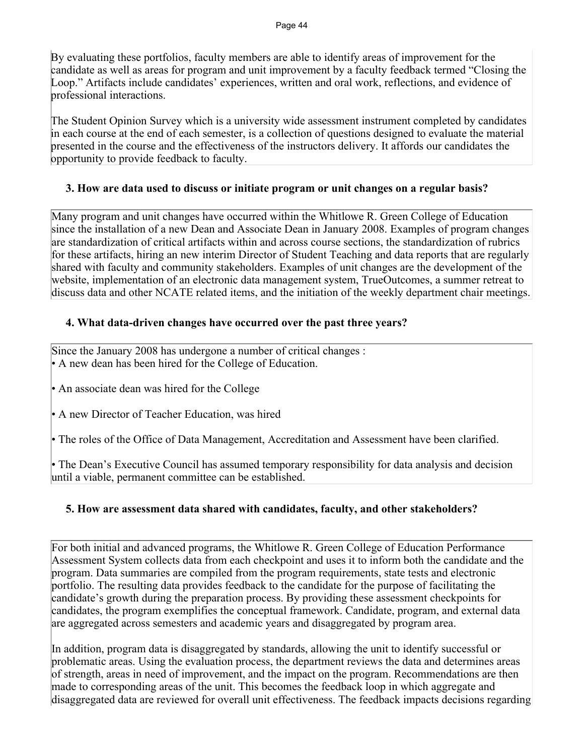By evaluating these portfolios, faculty members are able to identify areas of improvement for the candidate as well as areas for program and unit improvement by a faculty feedback termed "Closing the Loop." Artifacts include candidates' experiences, written and oral work, reflections, and evidence of professional interactions.

The Student Opinion Survey which is a university wide assessment instrument completed by candidates in each course at the end of each semester, is a collection of questions designed to evaluate the material presented in the course and the effectiveness of the instructors delivery. It affords our candidates the opportunity to provide feedback to faculty.

## **3. How are data used to discuss or initiate program or unit changes on a regular basis?**

Many program and unit changes have occurred within the Whitlowe R. Green College of Education since the installation of a new Dean and Associate Dean in January 2008. Examples of program changes are standardization of critical artifacts within and across course sections, the standardization of rubrics for these artifacts, hiring an new interim Director of Student Teaching and data reports that are regularly shared with faculty and community stakeholders. Examples of unit changes are the development of the website, implementation of an electronic data management system, TrueOutcomes, a summer retreat to discuss data and other NCATE related items, and the initiation of the weekly department chair meetings.

## **4. What data-driven changes have occurred over the past three years?**

Since the January 2008 has undergone a number of critical changes : • A new dean has been hired for the College of Education.

• An associate dean was hired for the College

• A new Director of Teacher Education, was hired

• The roles of the Office of Data Management, Accreditation and Assessment have been clarified.

• The Dean's Executive Council has assumed temporary responsibility for data analysis and decision until a viable, permanent committee can be established.

## **5. How are assessment data shared with candidates, faculty, and other stakeholders?**

For both initial and advanced programs, the Whitlowe R. Green College of Education Performance Assessment System collects data from each checkpoint and uses it to inform both the candidate and the program. Data summaries are compiled from the program requirements, state tests and electronic portfolio. The resulting data provides feedback to the candidate for the purpose of facilitating the candidate's growth during the preparation process. By providing these assessment checkpoints for candidates, the program exemplifies the conceptual framework. Candidate, program, and external data are aggregated across semesters and academic years and disaggregated by program area.

In addition, program data is disaggregated by standards, allowing the unit to identify successful or problematic areas. Using the evaluation process, the department reviews the data and determines areas of strength, areas in need of improvement, and the impact on the program. Recommendations are then made to corresponding areas of the unit. This becomes the feedback loop in which aggregate and disaggregated data are reviewed for overall unit effectiveness. The feedback impacts decisions regarding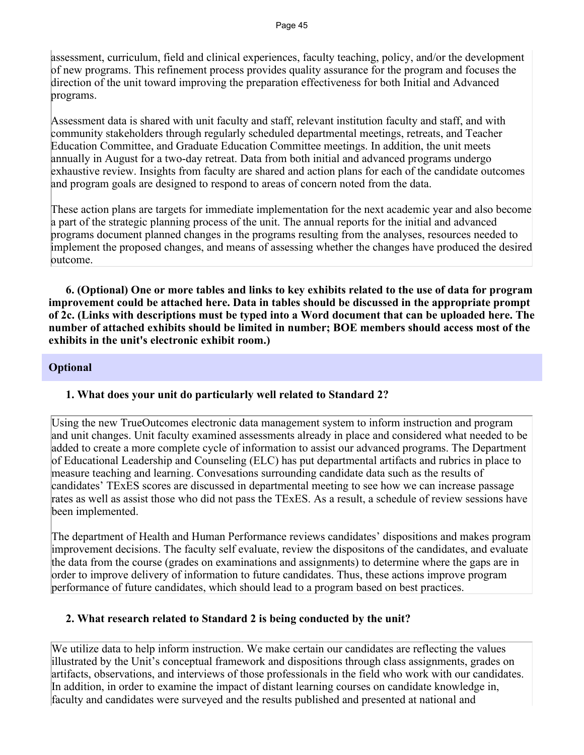assessment, curriculum, field and clinical experiences, faculty teaching, policy, and/or the development of new programs. This refinement process provides quality assurance for the program and focuses the direction of the unit toward improving the preparation effectiveness for both Initial and Advanced programs.

Assessment data is shared with unit faculty and staff, relevant institution faculty and staff, and with community stakeholders through regularly scheduled departmental meetings, retreats, and Teacher Education Committee, and Graduate Education Committee meetings. In addition, the unit meets annually in August for a two-day retreat. Data from both initial and advanced programs undergo exhaustive review. Insights from faculty are shared and action plans for each of the candidate outcomes and program goals are designed to respond to areas of concern noted from the data.

These action plans are targets for immediate implementation for the next academic year and also become a part of the strategic planning process of the unit. The annual reports for the initial and advanced programs document planned changes in the programs resulting from the analyses, resources needed to implement the proposed changes, and means of assessing whether the changes have produced the desired outcome.

 **6. (Optional) One or more tables and links to key exhibits related to the use of data for program improvement could be attached here. Data in tables should be discussed in the appropriate prompt of 2c. (Links with descriptions must be typed into a Word document that can be uploaded here. The number of attached exhibits should be limited in number; BOE members should access most of the exhibits in the unit's electronic exhibit room.)**

## **Optional**

#### **1. What does your unit do particularly well related to Standard 2?**

Using the new TrueOutcomes electronic data management system to inform instruction and program and unit changes. Unit faculty examined assessments already in place and considered what needed to be added to create a more complete cycle of information to assist our advanced programs. The Department of Educational Leadership and Counseling (ELC) has put departmental artifacts and rubrics in place to measure teaching and learning. Convesations surrounding candidate data such as the results of candidates' TExES scores are discussed in departmental meeting to see how we can increase passage rates as well as assist those who did not pass the TExES. As a result, a schedule of review sessions have been implemented.

The department of Health and Human Performance reviews candidates' dispositions and makes program improvement decisions. The faculty self evaluate, review the dispositons of the candidates, and evaluate the data from the course (grades on examinations and assignments) to determine where the gaps are in order to improve delivery of information to future candidates. Thus, these actions improve program performance of future candidates, which should lead to a program based on best practices.

## **2. What research related to Standard 2 is being conducted by the unit?**

We utilize data to help inform instruction. We make certain our candidates are reflecting the values illustrated by the Unit's conceptual framework and dispositions through class assignments, grades on artifacts, observations, and interviews of those professionals in the field who work with our candidates. In addition, in order to examine the impact of distant learning courses on candidate knowledge in, faculty and candidates were surveyed and the results published and presented at national and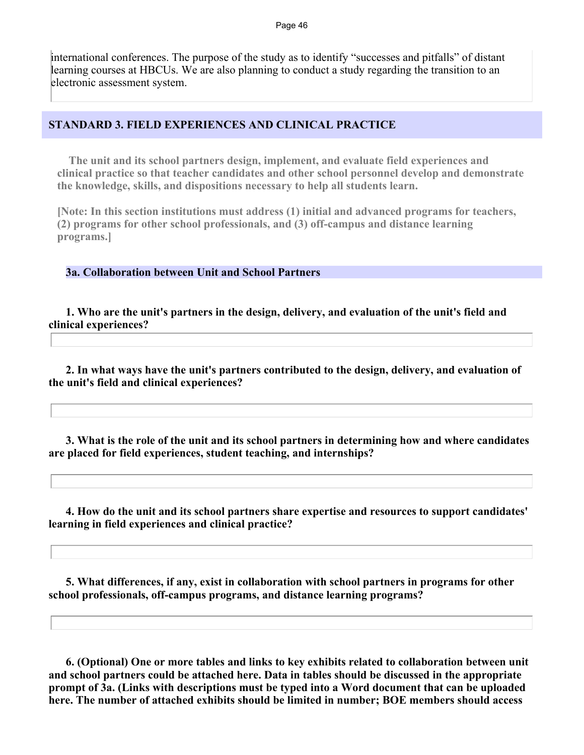international conferences. The purpose of the study as to identify "successes and pitfalls" of distant learning courses at HBCUs. We are also planning to conduct a study regarding the transition to an electronic assessment system.

#### **STANDARD 3. FIELD EXPERIENCES AND CLINICAL PRACTICE**

 **The unit and its school partners design, implement, and evaluate field experiences and clinical practice so that teacher candidates and other school personnel develop and demonstrate the knowledge, skills, and dispositions necessary to help all students learn.** 

**[Note: In this section institutions must address (1) initial and advanced programs for teachers, (2) programs for other school professionals, and (3) off-campus and distance learning programs.]**

#### **3a. Collaboration between Unit and School Partners**

 **1. Who are the unit's partners in the design, delivery, and evaluation of the unit's field and clinical experiences?**

 **2. In what ways have the unit's partners contributed to the design, delivery, and evaluation of the unit's field and clinical experiences?**

 **3. What is the role of the unit and its school partners in determining how and where candidates are placed for field experiences, student teaching, and internships?**

 **4. How do the unit and its school partners share expertise and resources to support candidates' learning in field experiences and clinical practice?**

 **5. What differences, if any, exist in collaboration with school partners in programs for other school professionals, off-campus programs, and distance learning programs?**

 **6. (Optional) One or more tables and links to key exhibits related to collaboration between unit and school partners could be attached here. Data in tables should be discussed in the appropriate prompt of 3a. (Links with descriptions must be typed into a Word document that can be uploaded here. The number of attached exhibits should be limited in number; BOE members should access**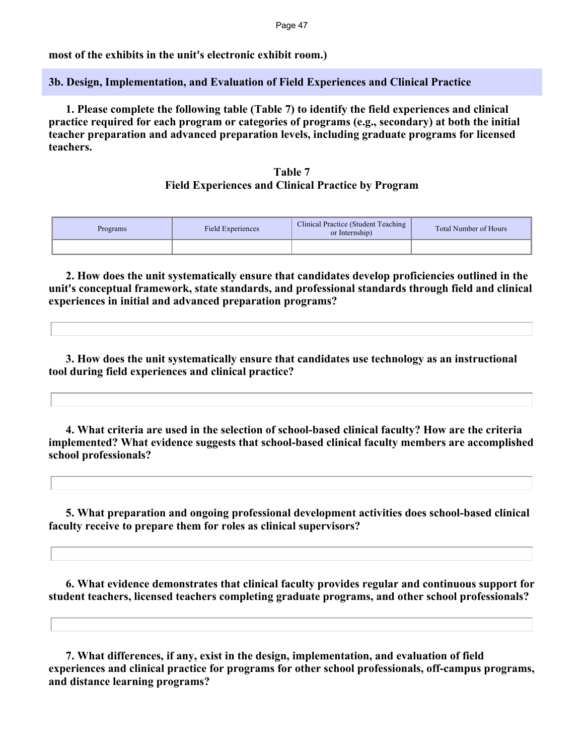Page 47

**most of the exhibits in the unit's electronic exhibit room.)**

**3b. Design, Implementation, and Evaluation of Field Experiences and Clinical Practice**

 **1. Please complete the following table (Table 7) to identify the field experiences and clinical practice required for each program or categories of programs (e.g., secondary) at both the initial teacher preparation and advanced preparation levels, including graduate programs for licensed teachers.**

#### **Table 7 Field Experiences and Clinical Practice by Program**

| Programs | Field Experiences | Clinical Practice (Student Teaching<br>or Internship) | <b>Total Number of Hours</b> |
|----------|-------------------|-------------------------------------------------------|------------------------------|
|          |                   |                                                       |                              |

 **2. How does the unit systematically ensure that candidates develop proficiencies outlined in the unit's conceptual framework, state standards, and professional standards through field and clinical experiences in initial and advanced preparation programs?**

 **3. How does the unit systematically ensure that candidates use technology as an instructional tool during field experiences and clinical practice?**

 **4. What criteria are used in the selection of school-based clinical faculty? How are the criteria implemented? What evidence suggests that school-based clinical faculty members are accomplished school professionals?** 

 **5. What preparation and ongoing professional development activities does school-based clinical faculty receive to prepare them for roles as clinical supervisors?** 

 **6. What evidence demonstrates that clinical faculty provides regular and continuous support for student teachers, licensed teachers completing graduate programs, and other school professionals?**

 **7. What differences, if any, exist in the design, implementation, and evaluation of field experiences and clinical practice for programs for other school professionals, off-campus programs, and distance learning programs?**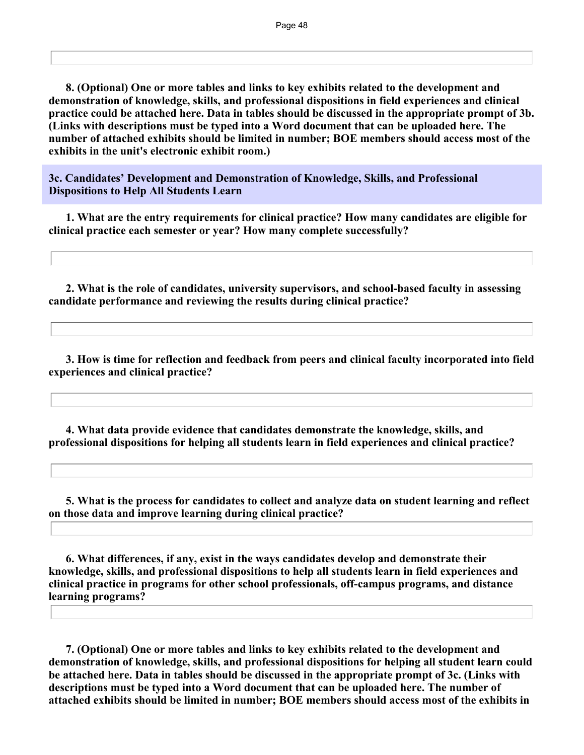**8. (Optional) One or more tables and links to key exhibits related to the development and demonstration of knowledge, skills, and professional dispositions in field experiences and clinical practice could be attached here. Data in tables should be discussed in the appropriate prompt of 3b. (Links with descriptions must be typed into a Word document that can be uploaded here. The number of attached exhibits should be limited in number; BOE members should access most of the exhibits in the unit's electronic exhibit room.)**

**3c. Candidates' Development and Demonstration of Knowledge, Skills, and Professional Dispositions to Help All Students Learn**

 **1. What are the entry requirements for clinical practice? How many candidates are eligible for clinical practice each semester or year? How many complete successfully?**

 **2. What is the role of candidates, university supervisors, and school-based faculty in assessing candidate performance and reviewing the results during clinical practice?** 

 **3. How is time for reflection and feedback from peers and clinical faculty incorporated into field experiences and clinical practice?**

 **4. What data provide evidence that candidates demonstrate the knowledge, skills, and professional dispositions for helping all students learn in field experiences and clinical practice?**

 **5. What is the process for candidates to collect and analyze data on student learning and reflect on those data and improve learning during clinical practice?**

 **6. What differences, if any, exist in the ways candidates develop and demonstrate their knowledge, skills, and professional dispositions to help all students learn in field experiences and clinical practice in programs for other school professionals, off-campus programs, and distance learning programs?**

 **7. (Optional) One or more tables and links to key exhibits related to the development and demonstration of knowledge, skills, and professional dispositions for helping all student learn could be attached here. Data in tables should be discussed in the appropriate prompt of 3c. (Links with descriptions must be typed into a Word document that can be uploaded here. The number of attached exhibits should be limited in number; BOE members should access most of the exhibits in**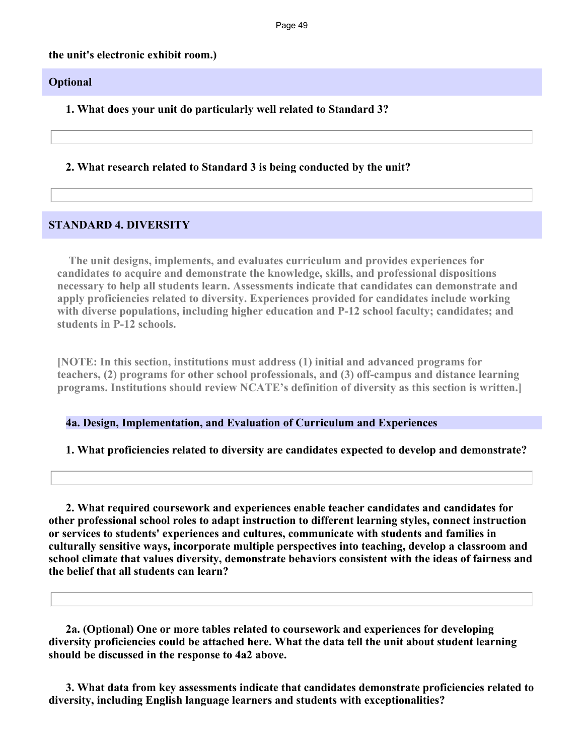#### **the unit's electronic exhibit room.)**

#### **Optional**

**1. What does your unit do particularly well related to Standard 3?**

**2. What research related to Standard 3 is being conducted by the unit?**

#### **STANDARD 4. DIVERSITY**

 **The unit designs, implements, and evaluates curriculum and provides experiences for candidates to acquire and demonstrate the knowledge, skills, and professional dispositions necessary to help all students learn. Assessments indicate that candidates can demonstrate and apply proficiencies related to diversity. Experiences provided for candidates include working**  with diverse populations, including higher education and P-12 school faculty; candidates; and **students in P-12 schools.**

**[NOTE: In this section, institutions must address (1) initial and advanced programs for teachers, (2) programs for other school professionals, and (3) off-campus and distance learning programs. Institutions should review NCATE's definition of diversity as this section is written.]**

**4a. Design, Implementation, and Evaluation of Curriculum and Experiences**

#### **1. What proficiencies related to diversity are candidates expected to develop and demonstrate?**

 **2. What required coursework and experiences enable teacher candidates and candidates for other professional school roles to adapt instruction to different learning styles, connect instruction or services to students' experiences and cultures, communicate with students and families in culturally sensitive ways, incorporate multiple perspectives into teaching, develop a classroom and school climate that values diversity, demonstrate behaviors consistent with the ideas of fairness and the belief that all students can learn?** 

 **2a. (Optional) One or more tables related to coursework and experiences for developing diversity proficiencies could be attached here. What the data tell the unit about student learning should be discussed in the response to 4a2 above.**

 **3. What data from key assessments indicate that candidates demonstrate proficiencies related to diversity, including English language learners and students with exceptionalities?**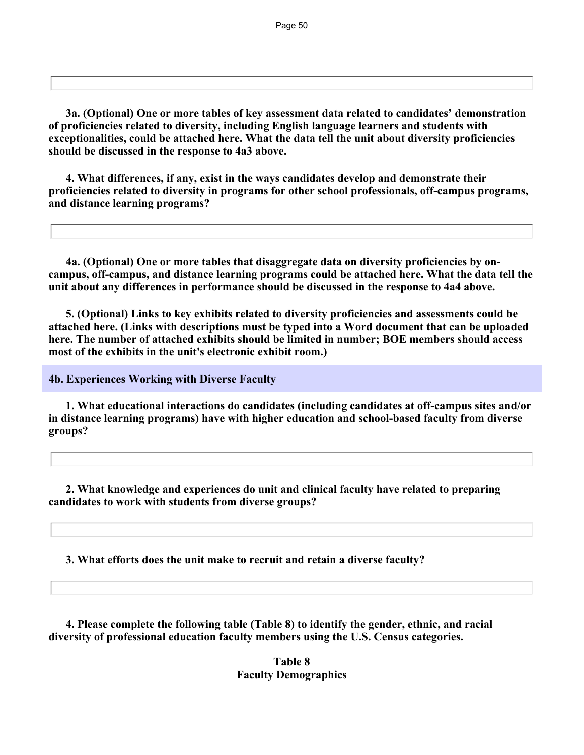**3a. (Optional) One or more tables of key assessment data related to candidates' demonstration of proficiencies related to diversity, including English language learners and students with exceptionalities, could be attached here. What the data tell the unit about diversity proficiencies should be discussed in the response to 4a3 above.**

 **4. What differences, if any, exist in the ways candidates develop and demonstrate their proficiencies related to diversity in programs for other school professionals, off-campus programs, and distance learning programs?**

 **4a. (Optional) One or more tables that disaggregate data on diversity proficiencies by oncampus, off-campus, and distance learning programs could be attached here. What the data tell the unit about any differences in performance should be discussed in the response to 4a4 above.**

 **5. (Optional) Links to key exhibits related to diversity proficiencies and assessments could be attached here. (Links with descriptions must be typed into a Word document that can be uploaded here. The number of attached exhibits should be limited in number; BOE members should access most of the exhibits in the unit's electronic exhibit room.)**

**4b. Experiences Working with Diverse Faculty**

 **1. What educational interactions do candidates (including candidates at off-campus sites and/or in distance learning programs) have with higher education and school-based faculty from diverse groups?** 

 **2. What knowledge and experiences do unit and clinical faculty have related to preparing candidates to work with students from diverse groups?** 

**3. What efforts does the unit make to recruit and retain a diverse faculty?**

 **4. Please complete the following table (Table 8) to identify the gender, ethnic, and racial diversity of professional education faculty members using the U.S. Census categories.**

> **Table 8 Faculty Demographics**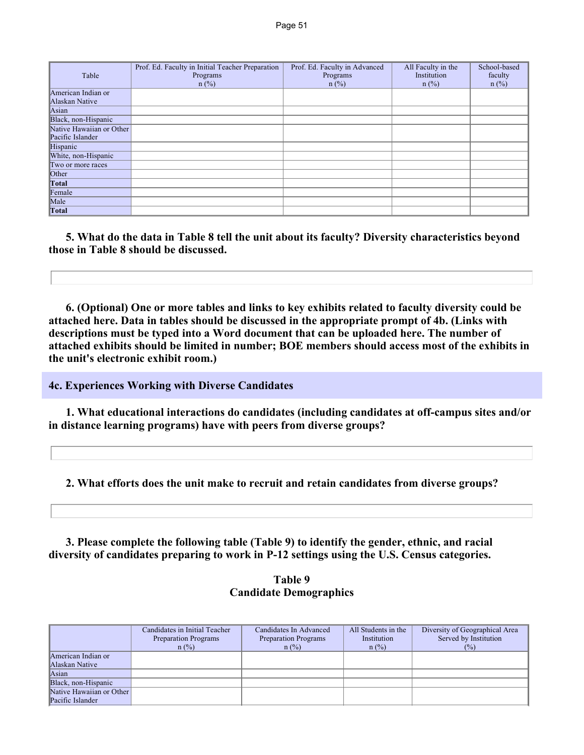| Table                    | Prof. Ed. Faculty in Initial Teacher Preparation<br>Programs<br>$n$ (%) | Prof. Ed. Faculty in Advanced<br>Programs<br>$n$ (%) | All Faculty in the<br>Institution<br>$n$ (%) | School-based<br>faculty<br>$n$ (%) |
|--------------------------|-------------------------------------------------------------------------|------------------------------------------------------|----------------------------------------------|------------------------------------|
| American Indian or       |                                                                         |                                                      |                                              |                                    |
| Alaskan Native           |                                                                         |                                                      |                                              |                                    |
| Asian                    |                                                                         |                                                      |                                              |                                    |
| Black, non-Hispanic      |                                                                         |                                                      |                                              |                                    |
| Native Hawaiian or Other |                                                                         |                                                      |                                              |                                    |
| Pacific Islander         |                                                                         |                                                      |                                              |                                    |
| Hispanic                 |                                                                         |                                                      |                                              |                                    |
| White, non-Hispanic      |                                                                         |                                                      |                                              |                                    |
| Two or more races        |                                                                         |                                                      |                                              |                                    |
| Other                    |                                                                         |                                                      |                                              |                                    |
| Total                    |                                                                         |                                                      |                                              |                                    |
| Female                   |                                                                         |                                                      |                                              |                                    |
| Male                     |                                                                         |                                                      |                                              |                                    |
| Total                    |                                                                         |                                                      |                                              |                                    |

 **5. What do the data in Table 8 tell the unit about its faculty? Diversity characteristics beyond those in Table 8 should be discussed.**

 **6. (Optional) One or more tables and links to key exhibits related to faculty diversity could be attached here. Data in tables should be discussed in the appropriate prompt of 4b. (Links with descriptions must be typed into a Word document that can be uploaded here. The number of attached exhibits should be limited in number; BOE members should access most of the exhibits in the unit's electronic exhibit room.)**

#### **4c. Experiences Working with Diverse Candidates**

 **1. What educational interactions do candidates (including candidates at off-campus sites and/or in distance learning programs) have with peers from diverse groups?**

**2. What efforts does the unit make to recruit and retain candidates from diverse groups?**

 **3. Please complete the following table (Table 9) to identify the gender, ethnic, and racial diversity of candidates preparing to work in P-12 settings using the U.S. Census categories.**

#### **Table 9 Candidate Demographics**

|                                              | Candidates in Initial Teacher<br>Preparation Programs<br>$n$ (%) | Candidates In Advanced<br>Preparation Programs<br>$n$ (%) | All Students in the<br>Institution<br>$n$ (%) | Diversity of Geographical Area<br>Served by Institution<br>$(\%)$ |
|----------------------------------------------|------------------------------------------------------------------|-----------------------------------------------------------|-----------------------------------------------|-------------------------------------------------------------------|
| American Indian or<br>Alaskan Native         |                                                                  |                                                           |                                               |                                                                   |
| $\text{Asian}$                               |                                                                  |                                                           |                                               |                                                                   |
| Black, non-Hispanic                          |                                                                  |                                                           |                                               |                                                                   |
| Native Hawaiian or Other<br>Pacific Islander |                                                                  |                                                           |                                               |                                                                   |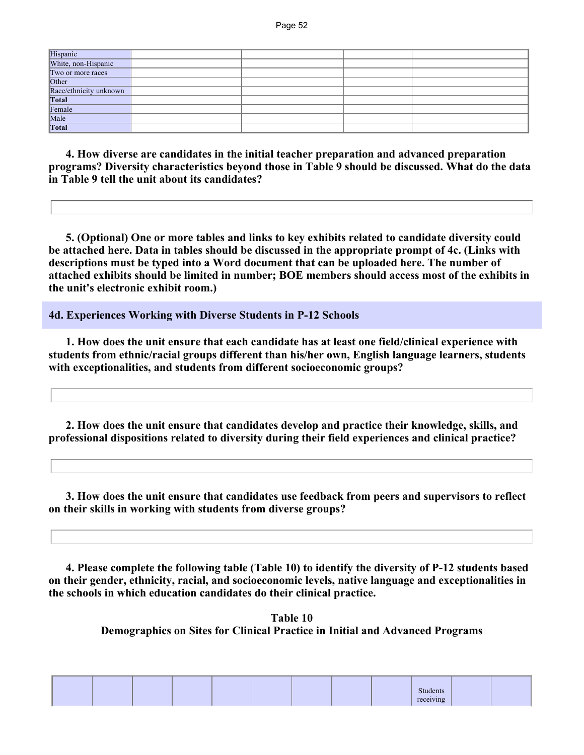| Hispanic<br>White, non-Hispanic<br>Two or more races |  |  |
|------------------------------------------------------|--|--|
|                                                      |  |  |
|                                                      |  |  |
| Other<br>Race/ethnicity unknown                      |  |  |
|                                                      |  |  |
|                                                      |  |  |
| Total<br>Female                                      |  |  |
| Male<br>Total                                        |  |  |
|                                                      |  |  |

 **4. How diverse are candidates in the initial teacher preparation and advanced preparation programs? Diversity characteristics beyond those in Table 9 should be discussed. What do the data in Table 9 tell the unit about its candidates?** 

 **5. (Optional) One or more tables and links to key exhibits related to candidate diversity could be attached here. Data in tables should be discussed in the appropriate prompt of 4c. (Links with descriptions must be typed into a Word document that can be uploaded here. The number of attached exhibits should be limited in number; BOE members should access most of the exhibits in the unit's electronic exhibit room.)**

**4d. Experiences Working with Diverse Students in P-12 Schools**

 **1. How does the unit ensure that each candidate has at least one field/clinical experience with students from ethnic/racial groups different than his/her own, English language learners, students with exceptionalities, and students from different socioeconomic groups?**

 **2. How does the unit ensure that candidates develop and practice their knowledge, skills, and professional dispositions related to diversity during their field experiences and clinical practice?**

 **3. How does the unit ensure that candidates use feedback from peers and supervisors to reflect on their skills in working with students from diverse groups?**

 **4. Please complete the following table (Table 10) to identify the diversity of P-12 students based on their gender, ethnicity, racial, and socioeconomic levels, native language and exceptionalities in the schools in which education candidates do their clinical practice.**

> **Table 10 Demographics on Sites for Clinical Practice in Initial and Advanced Programs**

|  |  |  |  | лиэ<br>. |  |
|--|--|--|--|----------|--|
|  |  |  |  |          |  |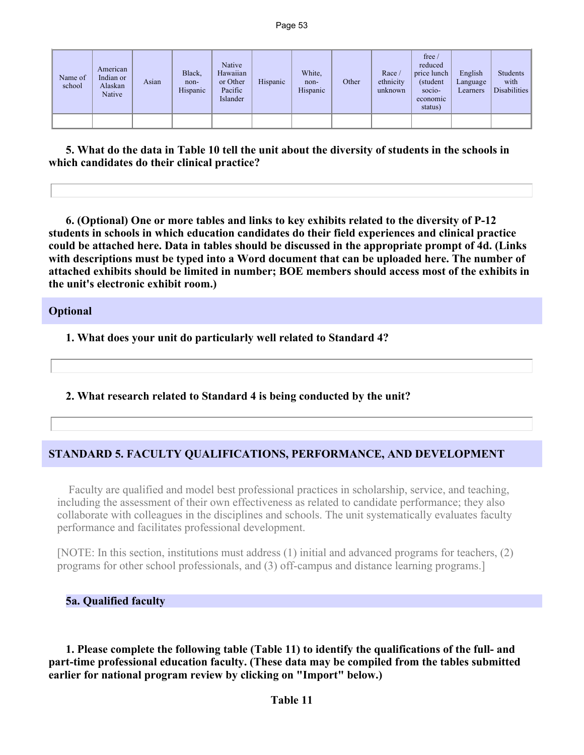| Name of<br>school | American<br>Indian or<br>Alaskan<br>Native | Asian | Black,<br>non-<br>Hispanic | Native<br>Hawaiian<br>or Other<br>Pacific<br>Islander | Hispanic | White,<br>non-<br>Hispanic | Other | Race/<br>ethnicity<br>unknown | free/<br>reduced<br>price lunch<br>(student)<br>$socio-$<br>economic<br>status) | English<br>Language<br>Learners | Students<br>with<br>Disabilities |
|-------------------|--------------------------------------------|-------|----------------------------|-------------------------------------------------------|----------|----------------------------|-------|-------------------------------|---------------------------------------------------------------------------------|---------------------------------|----------------------------------|
|                   |                                            |       |                            |                                                       |          |                            |       |                               |                                                                                 |                                 |                                  |

 **5. What do the data in Table 10 tell the unit about the diversity of students in the schools in which candidates do their clinical practice?** 

 **6. (Optional) One or more tables and links to key exhibits related to the diversity of P-12 students in schools in which education candidates do their field experiences and clinical practice could be attached here. Data in tables should be discussed in the appropriate prompt of 4d. (Links with descriptions must be typed into a Word document that can be uploaded here. The number of attached exhibits should be limited in number; BOE members should access most of the exhibits in the unit's electronic exhibit room.)**

#### **Optional**

**1. What does your unit do particularly well related to Standard 4?**

**2. What research related to Standard 4 is being conducted by the unit?**

## **STANDARD 5. FACULTY QUALIFICATIONS, PERFORMANCE, AND DEVELOPMENT**

 Faculty are qualified and model best professional practices in scholarship, service, and teaching, including the assessment of their own effectiveness as related to candidate performance; they also collaborate with colleagues in the disciplines and schools. The unit systematically evaluates faculty performance and facilitates professional development.

[NOTE: In this section, institutions must address (1) initial and advanced programs for teachers, (2) programs for other school professionals, and (3) off-campus and distance learning programs.]

#### **5a. Qualified faculty**

 **1. Please complete the following table (Table 11) to identify the qualifications of the full- and part-time professional education faculty. (These data may be compiled from the tables submitted earlier for national program review by clicking on "Import" below.)**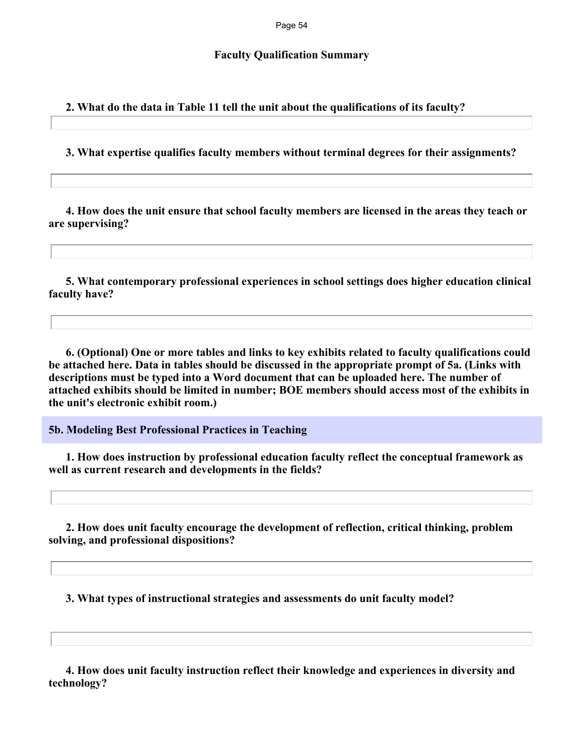#### **Faculty Qualification Summary**

**2. What do the data in Table 11 tell the unit about the qualifications of its faculty?**

**3. What expertise qualifies faculty members without terminal degrees for their assignments?**

 **4. How does the unit ensure that school faculty members are licensed in the areas they teach or are supervising?** 

 **5. What contemporary professional experiences in school settings does higher education clinical faculty have?**

 **6. (Optional) One or more tables and links to key exhibits related to faculty qualifications could be attached here. Data in tables should be discussed in the appropriate prompt of 5a. (Links with descriptions must be typed into a Word document that can be uploaded here. The number of attached exhibits should be limited in number; BOE members should access most of the exhibits in the unit's electronic exhibit room.)**

**5b. Modeling Best Professional Practices in Teaching**

 **1. How does instruction by professional education faculty reflect the conceptual framework as well as current research and developments in the fields?** 

 **2. How does unit faculty encourage the development of reflection, critical thinking, problem solving, and professional dispositions?** 

**3. What types of instructional strategies and assessments do unit faculty model?**

 **4. How does unit faculty instruction reflect their knowledge and experiences in diversity and technology?**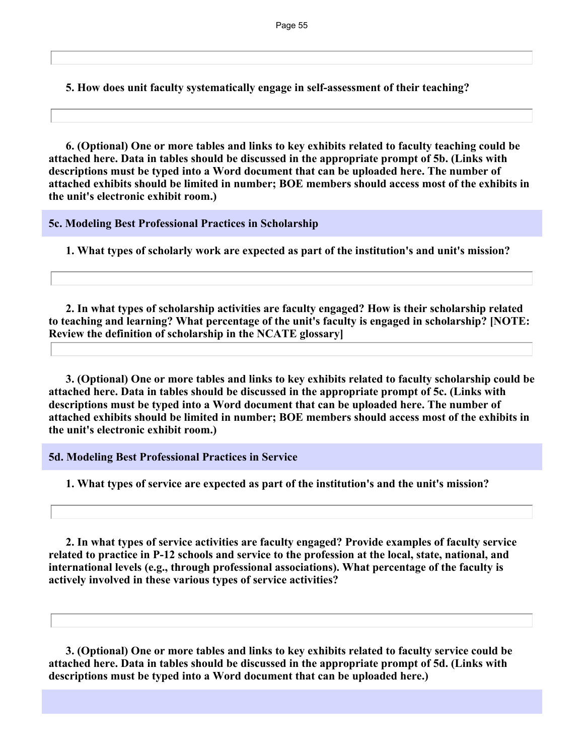**5. How does unit faculty systematically engage in self-assessment of their teaching?**

 **6. (Optional) One or more tables and links to key exhibits related to faculty teaching could be attached here. Data in tables should be discussed in the appropriate prompt of 5b. (Links with descriptions must be typed into a Word document that can be uploaded here. The number of attached exhibits should be limited in number; BOE members should access most of the exhibits in the unit's electronic exhibit room.)**

**5c. Modeling Best Professional Practices in Scholarship**

**1. What types of scholarly work are expected as part of the institution's and unit's mission?** 

 **2. In what types of scholarship activities are faculty engaged? How is their scholarship related to teaching and learning? What percentage of the unit's faculty is engaged in scholarship? [NOTE: Review the definition of scholarship in the NCATE glossary]** 

 **3. (Optional) One or more tables and links to key exhibits related to faculty scholarship could be attached here. Data in tables should be discussed in the appropriate prompt of 5c. (Links with descriptions must be typed into a Word document that can be uploaded here. The number of attached exhibits should be limited in number; BOE members should access most of the exhibits in the unit's electronic exhibit room.)**

**5d. Modeling Best Professional Practices in Service**

**1. What types of service are expected as part of the institution's and the unit's mission?** 

 **2. In what types of service activities are faculty engaged? Provide examples of faculty service related to practice in P-12 schools and service to the profession at the local, state, national, and international levels (e.g., through professional associations). What percentage of the faculty is actively involved in these various types of service activities?** 

 **3. (Optional) One or more tables and links to key exhibits related to faculty service could be attached here. Data in tables should be discussed in the appropriate prompt of 5d. (Links with descriptions must be typed into a Word document that can be uploaded here.)**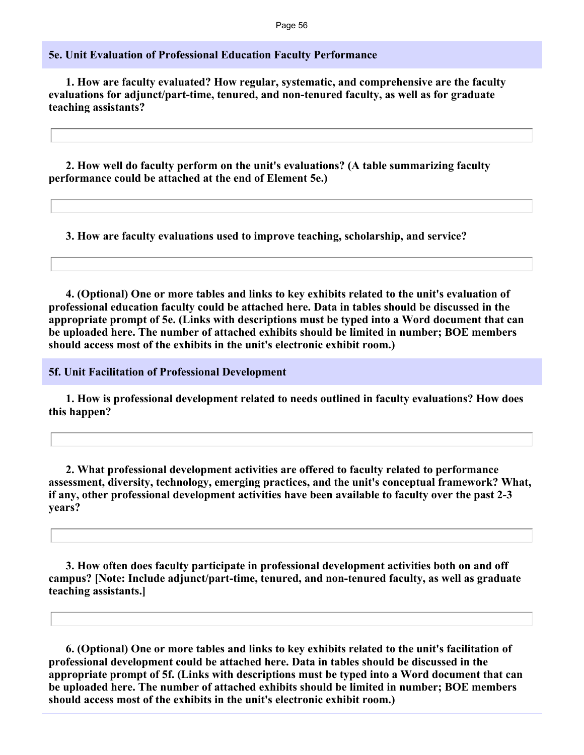#### **5e. Unit Evaluation of Professional Education Faculty Performance**

 **1. How are faculty evaluated? How regular, systematic, and comprehensive are the faculty evaluations for adjunct/part-time, tenured, and non-tenured faculty, as well as for graduate teaching assistants?**

 **2. How well do faculty perform on the unit's evaluations? (A table summarizing faculty performance could be attached at the end of Element 5e.)**

**3. How are faculty evaluations used to improve teaching, scholarship, and service?** 

 **4. (Optional) One or more tables and links to key exhibits related to the unit's evaluation of professional education faculty could be attached here. Data in tables should be discussed in the appropriate prompt of 5e. (Links with descriptions must be typed into a Word document that can be uploaded here. The number of attached exhibits should be limited in number; BOE members should access most of the exhibits in the unit's electronic exhibit room.)**

**5f. Unit Facilitation of Professional Development**

 **1. How is professional development related to needs outlined in faculty evaluations? How does this happen?** 

 **2. What professional development activities are offered to faculty related to performance assessment, diversity, technology, emerging practices, and the unit's conceptual framework? What, if any, other professional development activities have been available to faculty over the past 2-3 years?**

 **3. How often does faculty participate in professional development activities both on and off campus? [Note: Include adjunct/part-time, tenured, and non-tenured faculty, as well as graduate teaching assistants.]**

 **6. (Optional) One or more tables and links to key exhibits related to the unit's facilitation of professional development could be attached here. Data in tables should be discussed in the appropriate prompt of 5f. (Links with descriptions must be typed into a Word document that can be uploaded here. The number of attached exhibits should be limited in number; BOE members should access most of the exhibits in the unit's electronic exhibit room.)**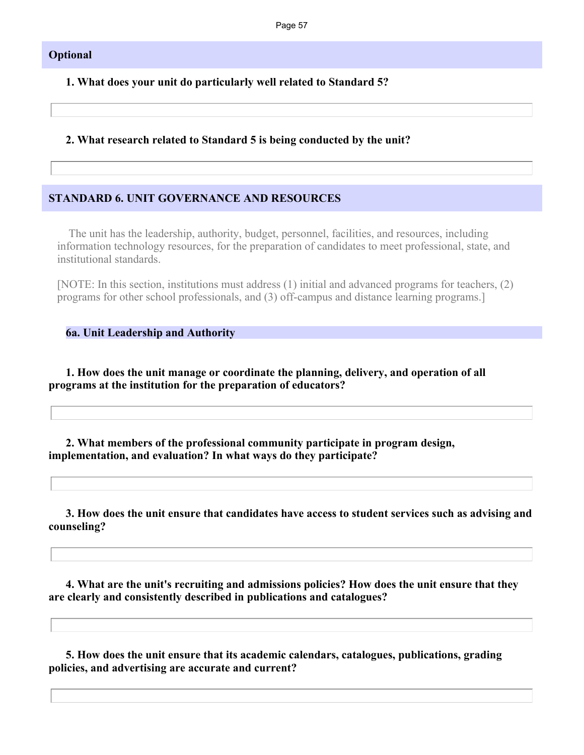#### **Optional**

**1. What does your unit do particularly well related to Standard 5?**

#### **2. What research related to Standard 5 is being conducted by the unit?**

#### **STANDARD 6. UNIT GOVERNANCE AND RESOURCES**

 The unit has the leadership, authority, budget, personnel, facilities, and resources, including information technology resources, for the preparation of candidates to meet professional, state, and institutional standards.

[NOTE: In this section, institutions must address (1) initial and advanced programs for teachers, (2) programs for other school professionals, and (3) off-campus and distance learning programs.]

**6a. Unit Leadership and Authority**

 **1. How does the unit manage or coordinate the planning, delivery, and operation of all programs at the institution for the preparation of educators?** 

 **2. What members of the professional community participate in program design, implementation, and evaluation? In what ways do they participate?** 

 **3. How does the unit ensure that candidates have access to student services such as advising and counseling?**

 **4. What are the unit's recruiting and admissions policies? How does the unit ensure that they are clearly and consistently described in publications and catalogues?**

 **5. How does the unit ensure that its academic calendars, catalogues, publications, grading policies, and advertising are accurate and current?**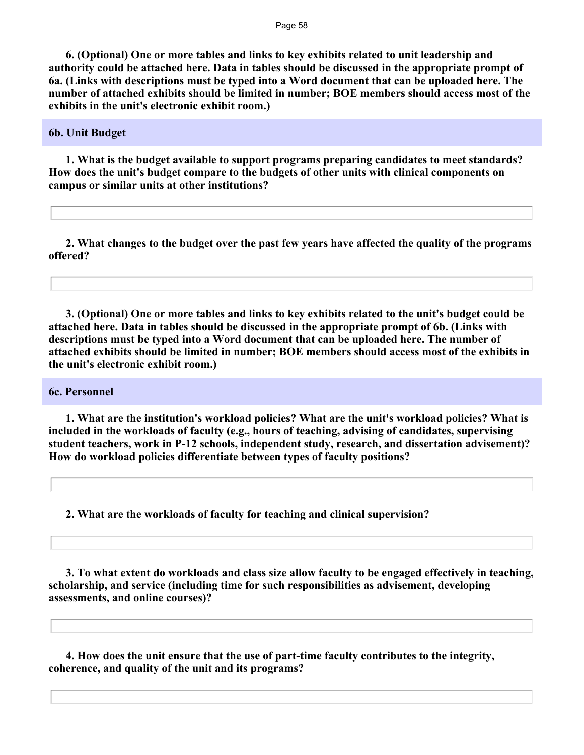**6. (Optional) One or more tables and links to key exhibits related to unit leadership and authority could be attached here. Data in tables should be discussed in the appropriate prompt of 6a. (Links with descriptions must be typed into a Word document that can be uploaded here. The number of attached exhibits should be limited in number; BOE members should access most of the exhibits in the unit's electronic exhibit room.)**

#### **6b. Unit Budget**

 **1. What is the budget available to support programs preparing candidates to meet standards? How does the unit's budget compare to the budgets of other units with clinical components on campus or similar units at other institutions?**

 **2. What changes to the budget over the past few years have affected the quality of the programs offered?** 

 **3. (Optional) One or more tables and links to key exhibits related to the unit's budget could be attached here. Data in tables should be discussed in the appropriate prompt of 6b. (Links with descriptions must be typed into a Word document that can be uploaded here. The number of attached exhibits should be limited in number; BOE members should access most of the exhibits in the unit's electronic exhibit room.)**

#### **6c. Personnel**

 **1. What are the institution's workload policies? What are the unit's workload policies? What is included in the workloads of faculty (e.g., hours of teaching, advising of candidates, supervising student teachers, work in P-12 schools, independent study, research, and dissertation advisement)? How do workload policies differentiate between types of faculty positions?**

**2. What are the workloads of faculty for teaching and clinical supervision?** 

 **3. To what extent do workloads and class size allow faculty to be engaged effectively in teaching, scholarship, and service (including time for such responsibilities as advisement, developing assessments, and online courses)?**

 **4. How does the unit ensure that the use of part-time faculty contributes to the integrity, coherence, and quality of the unit and its programs?**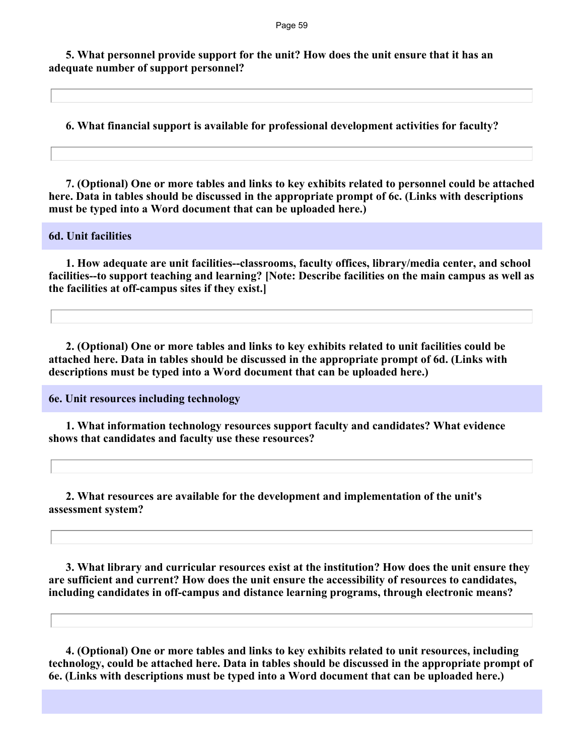**5. What personnel provide support for the unit? How does the unit ensure that it has an adequate number of support personnel?**

**6. What financial support is available for professional development activities for faculty?**

 **7. (Optional) One or more tables and links to key exhibits related to personnel could be attached here. Data in tables should be discussed in the appropriate prompt of 6c. (Links with descriptions must be typed into a Word document that can be uploaded here.)**

#### **6d. Unit facilities**

 **1. How adequate are unit facilities--classrooms, faculty offices, library/media center, and school facilities--to support teaching and learning? [Note: Describe facilities on the main campus as well as the facilities at off-campus sites if they exist.]**

 **2. (Optional) One or more tables and links to key exhibits related to unit facilities could be attached here. Data in tables should be discussed in the appropriate prompt of 6d. (Links with descriptions must be typed into a Word document that can be uploaded here.)**

**6e. Unit resources including technology**

 **1. What information technology resources support faculty and candidates? What evidence shows that candidates and faculty use these resources?**

 **2. What resources are available for the development and implementation of the unit's assessment system?**

 **3. What library and curricular resources exist at the institution? How does the unit ensure they are sufficient and current? How does the unit ensure the accessibility of resources to candidates, including candidates in off-campus and distance learning programs, through electronic means?** 

 **4. (Optional) One or more tables and links to key exhibits related to unit resources, including technology, could be attached here. Data in tables should be discussed in the appropriate prompt of 6e. (Links with descriptions must be typed into a Word document that can be uploaded here.)**